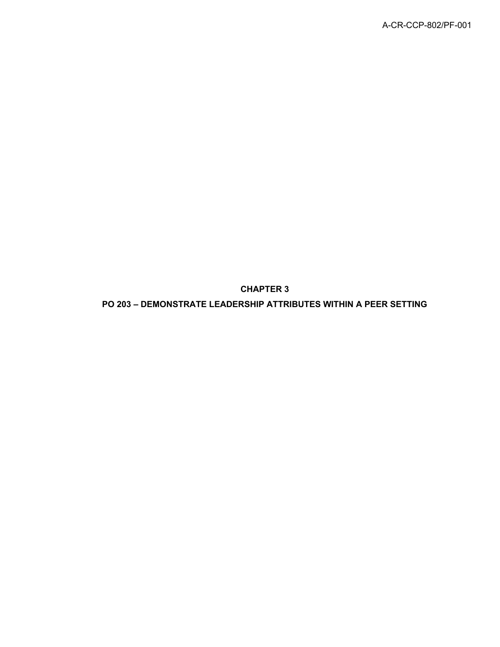CHAPTER 3

PO 203 – DEMONSTRATE LEADERSHIP ATTRIBUTES WITHIN A PEER SETTING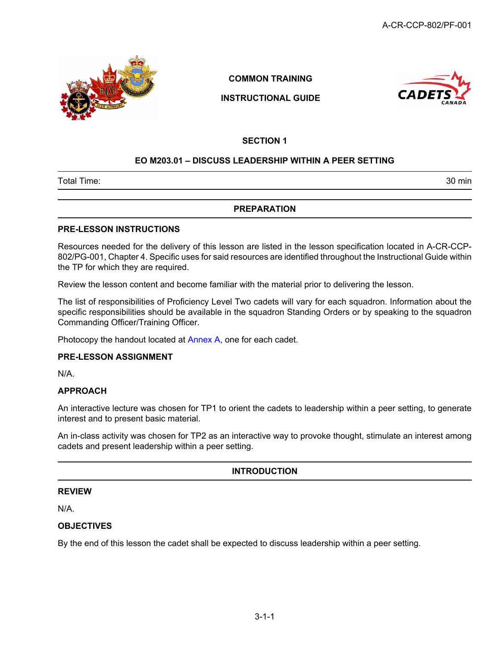

COMMON TRAINING

INSTRUCTIONAL GUIDE



#### SECTION 1

#### EO M203.01 – DISCUSS LEADERSHIP WITHIN A PEER SETTING

Total Time: 30 min

### PREPARATION

#### PRE-LESSON INSTRUCTIONS

Resources needed for the delivery of this lesson are listed in the lesson specification located in A-CR-CCP-802/PG-001, Chapter 4. Specific uses for said resources are identified throughout the Instructional Guide within the TP for which they are required.

Review the lesson content and become familiar with the material prior to delivering the lesson.

The list of responsibilities of Proficiency Level Two cadets will vary for each squadron. Information about the specific responsibilities should be available in the squadron Standing Orders or by speaking to the squadron Commanding Officer/Training Officer.

Photocopy the handout located at Annex A, one for each cadet.

#### PRE-LESSON ASSIGNMENT

N/A.

#### APPROACH

An interactive lecture was chosen for TP1 to orient the cadets to leadership within a peer setting, to generate interest and to present basic material.

An in-class activity was chosen for TP2 as an interactive way to provoke thought, stimulate an interest among cadets and present leadership within a peer setting.

# INTRODUCTION

# REVIEW

N/A.

#### **OBJECTIVES**

By the end of this lesson the cadet shall be expected to discuss leadership within a peer setting.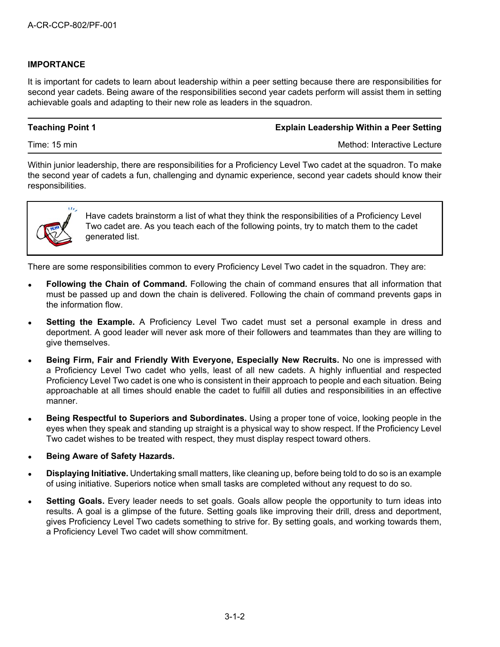# **IMPORTANCE**

It is important for cadets to learn about leadership within a peer setting because there are responsibilities for second year cadets. Being aware of the responsibilities second year cadets perform will assist them in setting achievable goals and adapting to their new role as leaders in the squadron.

#### Teaching Point 1 Explain Leadership Within a Peer Setting

Time: 15 min Method: Interactive Lecture Companies And Method: Interactive Lecture

Within junior leadership, there are responsibilities for a Proficiency Level Two cadet at the squadron. To make the second year of cadets a fun, challenging and dynamic experience, second year cadets should know their responsibilities.



Have cadets brainstorm a list of what they think the responsibilities of a Proficiency Level Two cadet are. As you teach each of the following points, try to match them to the cadet generated list.

There are some responsibilities common to every Proficiency Level Two cadet in the squadron. They are:

- Following the Chain of Command. Following the chain of command ensures that all information that must be passed up and down the chain is delivered. Following the chain of command prevents gaps in the information flow.
- Setting the Example. A Proficiency Level Two cadet must set a personal example in dress and deportment. A good leader will never ask more of their followers and teammates than they are willing to give themselves.
- Being Firm, Fair and Friendly With Everyone, Especially New Recruits. No one is impressed with a Proficiency Level Two cadet who yells, least of all new cadets. A highly influential and respected Proficiency Level Two cadet is one who is consistent in their approach to people and each situation. Being approachable at all times should enable the cadet to fulfill all duties and responsibilities in an effective manner.
- Being Respectful to Superiors and Subordinates. Using a proper tone of voice, looking people in the  $\bullet$ eyes when they speak and standing up straight is a physical way to show respect. If the Proficiency Level Two cadet wishes to be treated with respect, they must display respect toward others.
- Being Aware of Safety Hazards.
- Displaying Initiative. Undertaking small matters, like cleaning up, before being told to do so is an example of using initiative. Superiors notice when small tasks are completed without any request to do so.
- Setting Goals. Every leader needs to set goals. Goals allow people the opportunity to turn ideas into results. A goal is a glimpse of the future. Setting goals like improving their drill, dress and deportment, gives Proficiency Level Two cadets something to strive for. By setting goals, and working towards them, a Proficiency Level Two cadet will show commitment.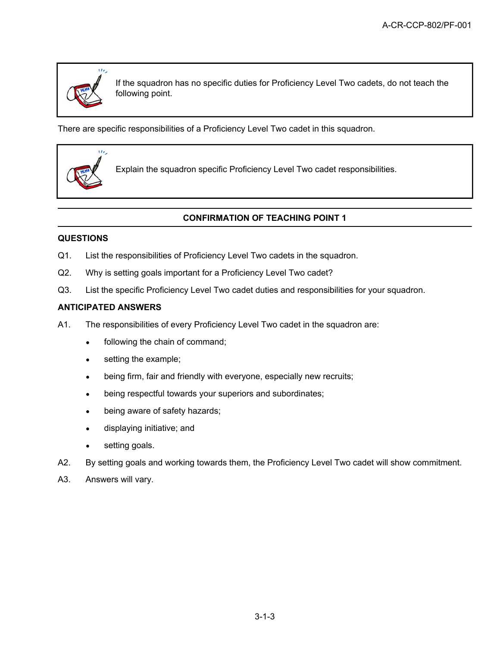

If the squadron has no specific duties for Proficiency Level Two cadets, do not teach the following point.

There are specific responsibilities of a Proficiency Level Two cadet in this squadron.



Explain the squadron specific Proficiency Level Two cadet responsibilities.

# CONFIRMATION OF TEACHING POINT 1

# **QUESTIONS**

- Q1. List the responsibilities of Proficiency Level Two cadets in the squadron.
- Q2. Why is setting goals important for a Proficiency Level Two cadet?
- Q3. List the specific Proficiency Level Two cadet duties and responsibilities for your squadron.

# ANTICIPATED ANSWERS

- A1. The responsibilities of every Proficiency Level Two cadet in the squadron are:
	- following the chain of command;  $\bullet$
	- setting the example;  $\bullet$
	- being firm, fair and friendly with everyone, especially new recruits;  $\bullet$
	- being respectful towards your superiors and subordinates;  $\bullet$
	- being aware of safety hazards;  $\bullet$
	- displaying initiative; and  $\bullet$
	- setting goals.  $\bullet$
- A2. By setting goals and working towards them, the Proficiency Level Two cadet will show commitment.
- A3. Answers will vary.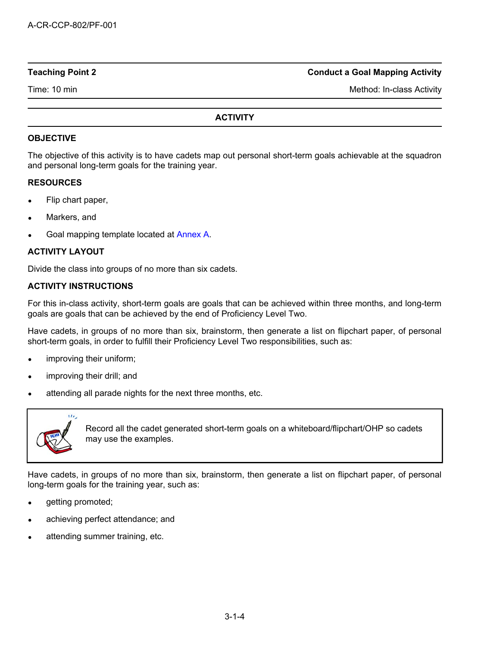### Teaching Point 2 Conduct a Goal Mapping Activity

Time: 10 min Method: In-class Activity

#### **ACTIVITY**

#### **OBJECTIVE**

The objective of this activity is to have cadets map out personal short-term goals achievable at the squadron and personal long-term goals for the training year.

#### **RESOURCES**

- Flip chart paper,
- Markers, and
- Goal mapping template located at Annex A.

### ACTIVITY LAYOUT

Divide the class into groups of no more than six cadets.

### ACTIVITY INSTRUCTIONS

For this in-class activity, short-term goals are goals that can be achieved within three months, and long-term goals are goals that can be achieved by the end of Proficiency Level Two.

Have cadets, in groups of no more than six, brainstorm, then generate a list on flipchart paper, of personal short-term goals, in order to fulfill their Proficiency Level Two responsibilities, such as:

- improving their uniform;
- improving their drill; and
- attending all parade nights for the next three months, etc.



Record all the cadet generated short-term goals on a whiteboard/flipchart/OHP so cadets may use the examples.

Have cadets, in groups of no more than six, brainstorm, then generate a list on flipchart paper, of personal long-term goals for the training year, such as:

- getting promoted;
- achieving perfect attendance; and
- attending summer training, etc.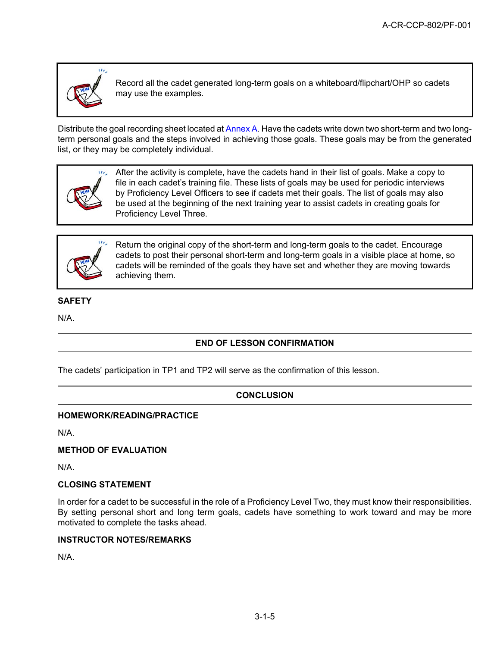

Record all the cadet generated long-term goals on a whiteboard/flipchart/OHP so cadets may use the examples.

Distribute the goal recording sheet located at Annex A. Have the cadets write down two short-term and two longterm personal goals and the steps involved in achieving those goals. These goals may be from the generated list, or they may be completely individual.



After the activity is complete, have the cadets hand in their list of goals. Make a copy to file in each cadet's training file. These lists of goals may be used for periodic interviews by Proficiency Level Officers to see if cadets met their goals. The list of goals may also be used at the beginning of the next training year to assist cadets in creating goals for Proficiency Level Three.



Return the original copy of the short-term and long-term goals to the cadet. Encourage cadets to post their personal short-term and long-term goals in a visible place at home, so cadets will be reminded of the goals they have set and whether they are moving towards achieving them.

# **SAFETY**

N/A.

# END OF LESSON CONFIRMATION

The cadets' participation in TP1 and TP2 will serve as the confirmation of this lesson.

# **CONCLUSION**

### HOMEWORK/READING/PRACTICE

N/A.

METHOD OF EVALUATION

N/A.

# CLOSING STATEMENT

In order for a cadet to be successful in the role of a Proficiency Level Two, they must know their responsibilities. By setting personal short and long term goals, cadets have something to work toward and may be more motivated to complete the tasks ahead.

### INSTRUCTOR NOTES/REMARKS

N/A.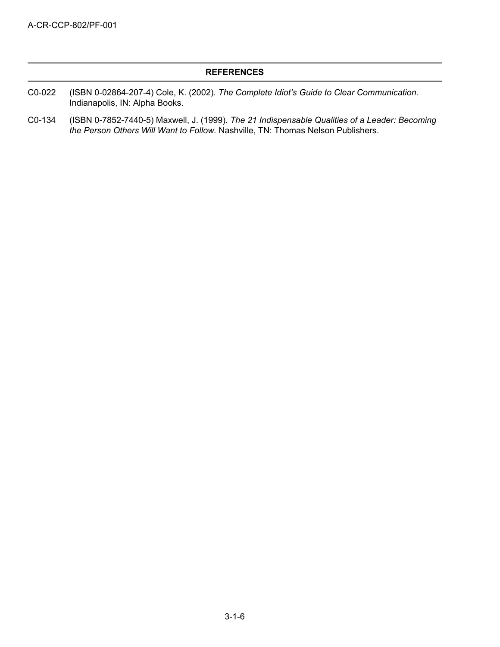| <b>REFERENCES</b>   |                                                                                                                            |  |  |  |  |
|---------------------|----------------------------------------------------------------------------------------------------------------------------|--|--|--|--|
| C0-022              | (ISBN 0-02864-207-4) Cole, K. (2002). The Complete Idiot's Guide to Clear Communication.<br>Indianapolis, IN: Alpha Books. |  |  |  |  |
| $\bigcap$ $\bigcap$ |                                                                                                                            |  |  |  |  |

C0-134 (ISBN 0-7852-7440-5) Maxwell, J. (1999). The 21 Indispensable Qualities of a Leader: Becoming the Person Others Will Want to Follow. Nashville, TN: Thomas Nelson Publishers.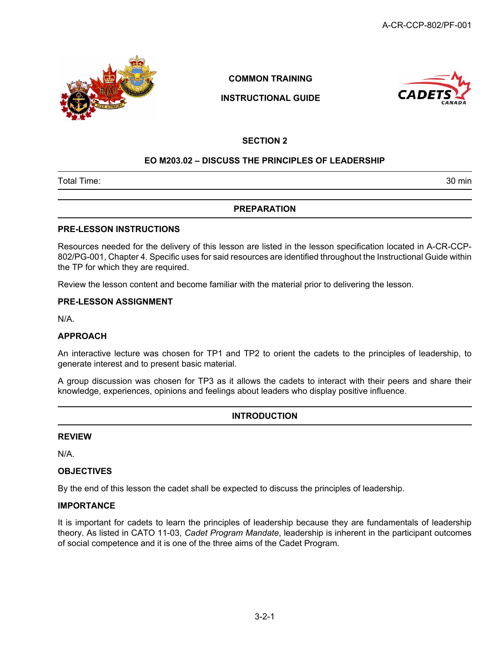

COMMON TRAINING

INSTRUCTIONAL GUIDE



### SECTION 2

#### EO M203.02 – DISCUSS THE PRINCIPLES OF LEADERSHIP

Total Time: 30 min

### PREPARATION

#### PRE-LESSON INSTRUCTIONS

Resources needed for the delivery of this lesson are listed in the lesson specification located in A-CR-CCP-802/PG-001, Chapter 4. Specific uses for said resources are identified throughout the Instructional Guide within the TP for which they are required.

Review the lesson content and become familiar with the material prior to delivering the lesson.

#### PRE-LESSON ASSIGNMENT

N/A.

#### APPROACH

An interactive lecture was chosen for TP1 and TP2 to orient the cadets to the principles of leadership, to generate interest and to present basic material.

A group discussion was chosen for TP3 as it allows the cadets to interact with their peers and share their knowledge, experiences, opinions and feelings about leaders who display positive influence.

# INTRODUCTION

#### REVIEW

N/A.

#### **OBJECTIVES**

By the end of this lesson the cadet shall be expected to discuss the principles of leadership.

#### **IMPORTANCE**

It is important for cadets to learn the principles of leadership because they are fundamentals of leadership theory. As listed in CATO 11-03, Cadet Program Mandate, leadership is inherent in the participant outcomes of social competence and it is one of the three aims of the Cadet Program.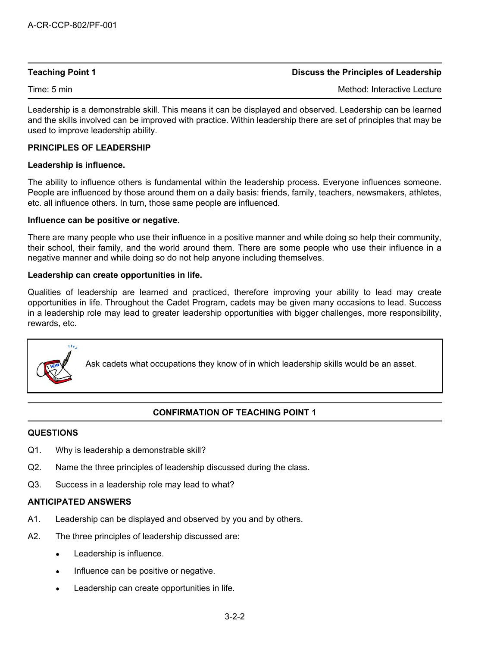# Teaching Point 1 Discuss the Principles of Leadership

Time: 5 min Method: Interactive Lecture Communication of the Method: Interactive Lecture

Leadership is a demonstrable skill. This means it can be displayed and observed. Leadership can be learned and the skills involved can be improved with practice. Within leadership there are set of principles that may be used to improve leadership ability.

# PRINCIPLES OF LEADERSHIP

### Leadership is influence.

The ability to influence others is fundamental within the leadership process. Everyone influences someone. People are influenced by those around them on a daily basis: friends, family, teachers, newsmakers, athletes, etc. all influence others. In turn, those same people are influenced.

### Influence can be positive or negative.

There are many people who use their influence in a positive manner and while doing so help their community, their school, their family, and the world around them. There are some people who use their influence in a negative manner and while doing so do not help anyone including themselves.

### Leadership can create opportunities in life.

Qualities of leadership are learned and practiced, therefore improving your ability to lead may create opportunities in life. Throughout the Cadet Program, cadets may be given many occasions to lead. Success in a leadership role may lead to greater leadership opportunities with bigger challenges, more responsibility, rewards, etc.



Ask cadets what occupations they know of in which leadership skills would be an asset.

# CONFIRMATION OF TEACHING POINT 1

### **QUESTIONS**

- Q1. Why is leadership a demonstrable skill?
- Q2. Name the three principles of leadership discussed during the class.
- Q3. Success in a leadership role may lead to what?

### ANTICIPATED ANSWERS

- A1. Leadership can be displayed and observed by you and by others.
- A2. The three principles of leadership discussed are:
	- Leadership is influence.  $\bullet$
	- Influence can be positive or negative.
	- Leadership can create opportunities in life.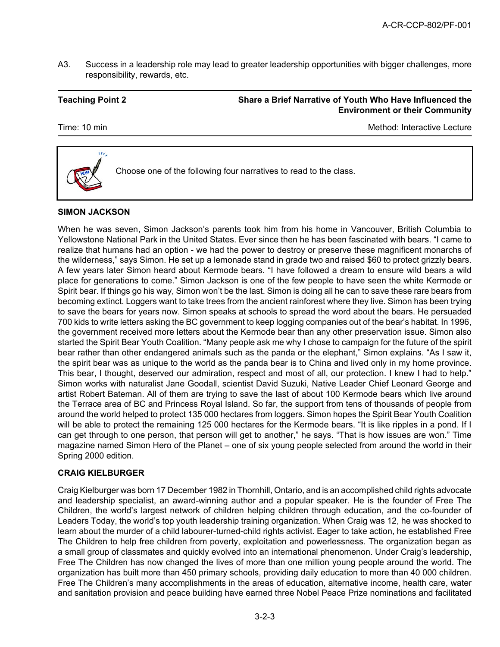A3. Success in a leadership role may lead to greater leadership opportunities with bigger challenges, more responsibility, rewards, etc.

# Teaching Point 2 Share a Brief Narrative of Youth Who Have Influenced the Environment or their Community

Time: 10 min Method: Interactive Lecture Communication of the Method: Interactive Lecture



Choose one of the following four narratives to read to the class.

### SIMON JACKSON

When he was seven, Simon Jackson's parents took him from his home in Vancouver, British Columbia to Yellowstone National Park in the United States. Ever since then he has been fascinated with bears. "I came to realize that humans had an option - we had the power to destroy or preserve these magnificent monarchs of the wilderness," says Simon. He set up a lemonade stand in grade two and raised \$60 to protect grizzly bears. A few years later Simon heard about Kermode bears. "I have followed a dream to ensure wild bears a wild place for generations to come." Simon Jackson is one of the few people to have seen the white Kermode or Spirit bear. If things go his way, Simon won't be the last. Simon is doing all he can to save these rare bears from becoming extinct. Loggers want to take trees from the ancient rainforest where they live. Simon has been trying to save the bears for years now. Simon speaks at schools to spread the word about the bears. He persuaded 700 kids to write letters asking the BC government to keep logging companies out of the bear's habitat. In 1996, the government received more letters about the Kermode bear than any other preservation issue. Simon also started the Spirit Bear Youth Coalition. "Many people ask me why I chose to campaign for the future of the spirit bear rather than other endangered animals such as the panda or the elephant," Simon explains. "As I saw it, the spirit bear was as unique to the world as the panda bear is to China and lived only in my home province. This bear, I thought, deserved our admiration, respect and most of all, our protection. I knew I had to help." Simon works with naturalist Jane Goodall, scientist David Suzuki, Native Leader Chief Leonard George and artist Robert Bateman. All of them are trying to save the last of about 100 Kermode bears which live around the Terrace area of BC and Princess Royal Island. So far, the support from tens of thousands of people from around the world helped to protect 135 000 hectares from loggers. Simon hopes the Spirit Bear Youth Coalition will be able to protect the remaining 125 000 hectares for the Kermode bears. "It is like ripples in a pond. If I can get through to one person, that person will get to another," he says. "That is how issues are won." Time magazine named Simon Hero of the Planet – one of six young people selected from around the world in their Spring 2000 edition.

### CRAIG KIELBURGER

Craig Kielburger was born 17 December 1982 in Thornhill, Ontario, and is an accomplished child rights advocate and leadership specialist, an award-winning author and a popular speaker. He is the founder of Free The Children, the world's largest network of children helping children through education, and the co-founder of Leaders Today, the world's top youth leadership training organization. When Craig was 12, he was shocked to learn about the murder of a child labourer-turned-child rights activist. Eager to take action, he established Free The Children to help free children from poverty, exploitation and powerlessness. The organization began as a small group of classmates and quickly evolved into an international phenomenon. Under Craig's leadership, Free The Children has now changed the lives of more than one million young people around the world. The organization has built more than 450 primary schools, providing daily education to more than 40 000 children. Free The Children's many accomplishments in the areas of education, alternative income, health care, water and sanitation provision and peace building have earned three Nobel Peace Prize nominations and facilitated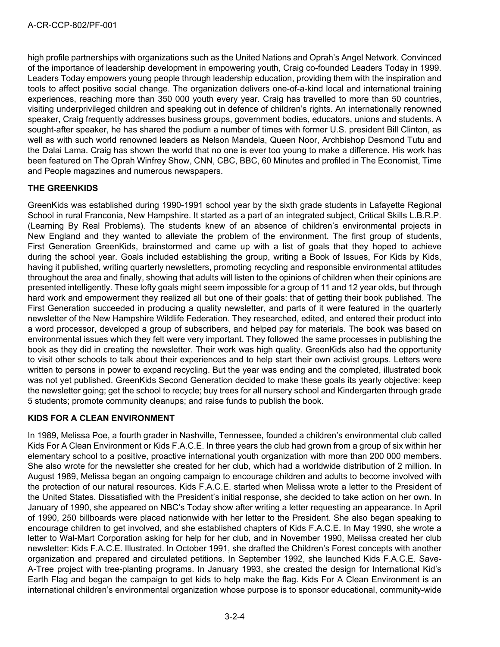high profile partnerships with organizations such as the United Nations and Oprah's Angel Network. Convinced of the importance of leadership development in empowering youth, Craig co-founded Leaders Today in 1999. Leaders Today empowers young people through leadership education, providing them with the inspiration and tools to affect positive social change. The organization delivers one-of-a-kind local and international training experiences, reaching more than 350 000 youth every year. Craig has travelled to more than 50 countries, visiting underprivileged children and speaking out in defence of children's rights. An internationally renowned speaker, Craig frequently addresses business groups, government bodies, educators, unions and students. A sought-after speaker, he has shared the podium a number of times with former U.S. president Bill Clinton, as well as with such world renowned leaders as Nelson Mandela, Queen Noor, Archbishop Desmond Tutu and the Dalai Lama. Craig has shown the world that no one is ever too young to make a difference. His work has been featured on The Oprah Winfrey Show, CNN, CBC, BBC, 60 Minutes and profiled in The Economist, Time and People magazines and numerous newspapers.

# THE GREENKIDS

GreenKids was established during 1990-1991 school year by the sixth grade students in Lafayette Regional School in rural Franconia, New Hampshire. It started as a part of an integrated subject, Critical Skills L.B.R.P. (Learning By Real Problems). The students knew of an absence of children's environmental projects in New England and they wanted to alleviate the problem of the environment. The first group of students, First Generation GreenKids, brainstormed and came up with a list of goals that they hoped to achieve during the school year. Goals included establishing the group, writing a Book of Issues, For Kids by Kids, having it published, writing quarterly newsletters, promoting recycling and responsible environmental attitudes throughout the area and finally, showing that adults will listen to the opinions of children when their opinions are presented intelligently. These lofty goals might seem impossible for a group of 11 and 12 year olds, but through hard work and empowerment they realized all but one of their goals: that of getting their book published. The First Generation succeeded in producing a quality newsletter, and parts of it were featured in the quarterly newsletter of the New Hampshire Wildlife Federation. They researched, edited, and entered their product into a word processor, developed a group of subscribers, and helped pay for materials. The book was based on environmental issues which they felt were very important. They followed the same processes in publishing the book as they did in creating the newsletter. Their work was high quality. GreenKids also had the opportunity to visit other schools to talk about their experiences and to help start their own activist groups. Letters were written to persons in power to expand recycling. But the year was ending and the completed, illustrated book was not yet published. GreenKids Second Generation decided to make these goals its yearly objective: keep the newsletter going; get the school to recycle; buy trees for all nursery school and Kindergarten through grade 5 students; promote community cleanups; and raise funds to publish the book.

# KIDS FOR A CLEAN ENVIRONMENT

In 1989, Melissa Poe, a fourth grader in Nashville, Tennessee, founded a children's environmental club called Kids For A Clean Environment or Kids F.A.C.E. In three years the club had grown from a group of six within her elementary school to a positive, proactive international youth organization with more than 200 000 members. She also wrote for the newsletter she created for her club, which had a worldwide distribution of 2 million. In August 1989, Melissa began an ongoing campaign to encourage children and adults to become involved with the protection of our natural resources. Kids F.A.C.E. started when Melissa wrote a letter to the President of the United States. Dissatisfied with the President's initial response, she decided to take action on her own. In January of 1990, she appeared on NBC's Today show after writing a letter requesting an appearance. In April of 1990, 250 billboards were placed nationwide with her letter to the President. She also began speaking to encourage children to get involved, and she established chapters of Kids F.A.C.E. In May 1990, she wrote a letter to Wal-Mart Corporation asking for help for her club, and in November 1990, Melissa created her club newsletter: Kids F.A.C.E. Illustrated. In October 1991, she drafted the Children's Forest concepts with another organization and prepared and circulated petitions. In September 1992, she launched Kids F.A.C.E. Save-A-Tree project with tree-planting programs. In January 1993, she created the design for International Kid's Earth Flag and began the campaign to get kids to help make the flag. Kids For A Clean Environment is an international children's environmental organization whose purpose is to sponsor educational, community-wide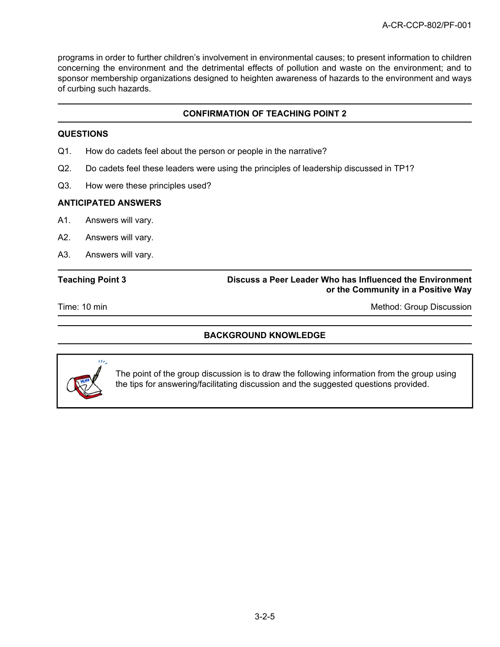programs in order to further children's involvement in environmental causes; to present information to children concerning the environment and the detrimental effects of pollution and waste on the environment; and to sponsor membership organizations designed to heighten awareness of hazards to the environment and ways of curbing such hazards.

### CONFIRMATION OF TEACHING POINT 2

#### **QUESTIONS**

- Q1. How do cadets feel about the person or people in the narrative?
- Q2. Do cadets feel these leaders were using the principles of leadership discussed in TP1?
- Q3. How were these principles used?

#### ANTICIPATED ANSWERS

- A1. Answers will vary.
- A2. Answers will vary.
- A3. Answers will vary.

### Teaching Point 3 Discuss a Peer Leader Who has Influenced the Environment or the Community in a Positive Way

Time: 10 min Method: Group Discussion Method: Group Discussion

# BACKGROUND KNOWLEDGE



The point of the group discussion is to draw the following information from the group using the tips for answering/facilitating discussion and the suggested questions provided.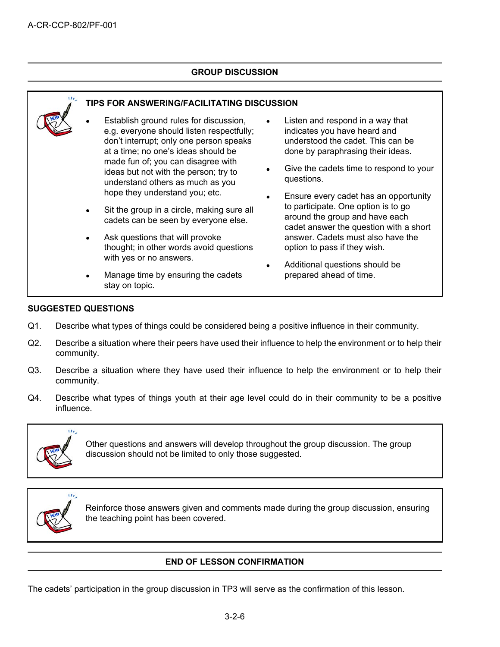# GROUP DISCUSSION

| TIPS FOR ANSWERING/FACILITATING DISCUSSION                                                                                                                                                                                                                                                                                 |                                                                                                                                                                                                                                              |  |  |  |  |  |
|----------------------------------------------------------------------------------------------------------------------------------------------------------------------------------------------------------------------------------------------------------------------------------------------------------------------------|----------------------------------------------------------------------------------------------------------------------------------------------------------------------------------------------------------------------------------------------|--|--|--|--|--|
| Establish ground rules for discussion,<br>e.g. everyone should listen respectfully;<br>don't interrupt; only one person speaks<br>at a time; no one's ideas should be<br>made fun of; you can disagree with<br>ideas but not with the person; try to<br>understand others as much as you<br>hope they understand you; etc. | Listen and respond in a way that<br>indicates you have heard and<br>understood the cadet. This can be<br>done by paraphrasing their ideas.<br>Give the cadets time to respond to your<br>questions.<br>Ensure every cadet has an opportunity |  |  |  |  |  |
| Sit the group in a circle, making sure all<br>cadets can be seen by everyone else.                                                                                                                                                                                                                                         | to participate. One option is to go<br>around the group and have each<br>cadet answer the question with a short                                                                                                                              |  |  |  |  |  |
| Ask questions that will provoke<br>thought; in other words avoid questions<br>with yes or no answers.                                                                                                                                                                                                                      | answer. Cadets must also have the<br>option to pass if they wish.<br>Additional questions should be                                                                                                                                          |  |  |  |  |  |
| Manage time by ensuring the cadets<br>stay on topic.                                                                                                                                                                                                                                                                       | prepared ahead of time.                                                                                                                                                                                                                      |  |  |  |  |  |

# SUGGESTED QUESTIONS

- Q1. Describe what types of things could be considered being a positive influence in their community.
- Q2. Describe a situation where their peers have used their influence to help the environment or to help their community.
- Q3. Describe a situation where they have used their influence to help the environment or to help their community.
- Q4. Describe what types of things youth at their age level could do in their community to be a positive influence.



Other questions and answers will develop throughout the group discussion. The group discussion should not be limited to only those suggested.



Reinforce those answers given and comments made during the group discussion, ensuring the teaching point has been covered.

# END OF LESSON CONFIRMATION

The cadets' participation in the group discussion in TP3 will serve as the confirmation of this lesson.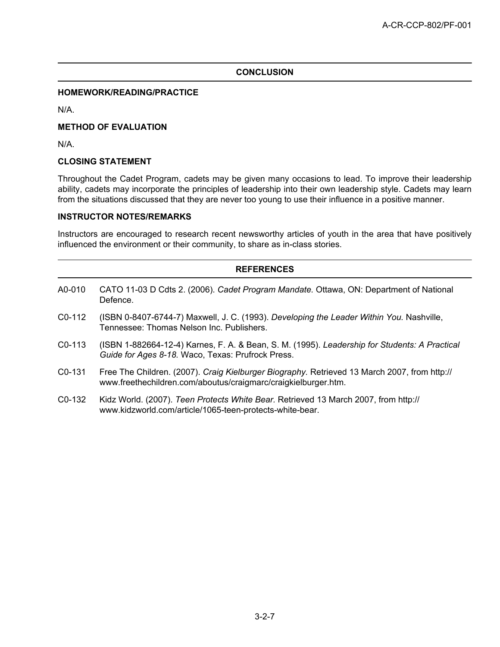### **CONCLUSION**

#### HOMEWORK/READING/PRACTICE

N/A.

#### METHOD OF EVALUATION

N/A.

#### CLOSING STATEMENT

Throughout the Cadet Program, cadets may be given many occasions to lead. To improve their leadership ability, cadets may incorporate the principles of leadership into their own leadership style. Cadets may learn from the situations discussed that they are never too young to use their influence in a positive manner.

#### INSTRUCTOR NOTES/REMARKS

Instructors are encouraged to research recent newsworthy articles of youth in the area that have positively influenced the environment or their community, to share as in-class stories.

### **REFERENCES**

- A0-010 CATO 11-03 D Cdts 2. (2006). Cadet Program Mandate. Ottawa, ON: Department of National Defence.
- C0-112 (ISBN 0-8407-6744-7) Maxwell, J. C. (1993). Developing the Leader Within You. Nashville, Tennessee: Thomas Nelson Inc. Publishers.
- C0-113 (ISBN 1-882664-12-4) Karnes, F. A. & Bean, S. M. (1995). Leadership for Students: A Practical Guide for Ages 8-18. Waco, Texas: Prufrock Press.
- C0-131 Free The Children. (2007). Craig Kielburger Biography. Retrieved 13 March 2007, from http:// www.freethechildren.com/aboutus/craigmarc/craigkielburger.htm.
- C0-132 Kidz World. (2007). Teen Protects White Bear. Retrieved 13 March 2007, from http:// www.kidzworld.com/article/1065-teen-protects-white-bear.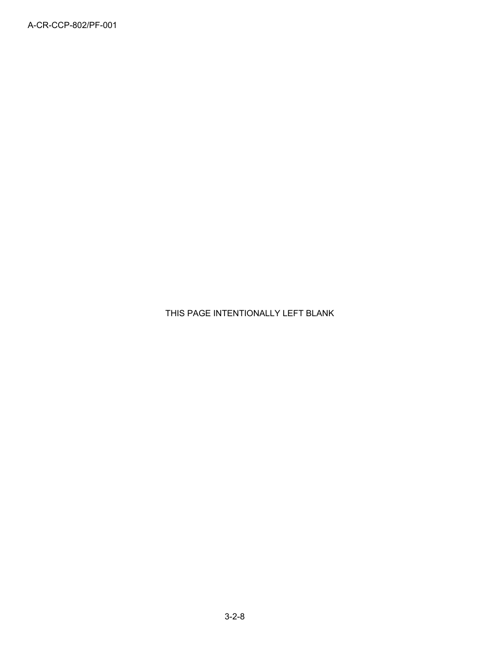THIS PAGE INTENTIONALLY LEFT BLANK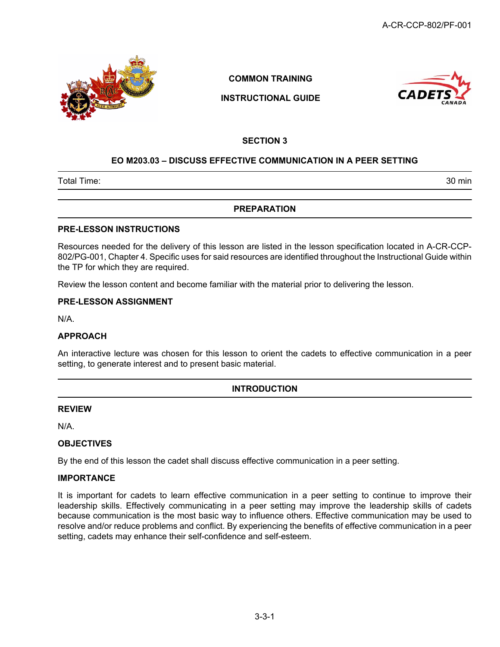

COMMON TRAINING

INSTRUCTIONAL GUIDE



### SECTION 3

#### EO M203.03 – DISCUSS EFFECTIVE COMMUNICATION IN A PEER SETTING

Total Time: 30 min

#### PREPARATION

#### PRE-LESSON INSTRUCTIONS

Resources needed for the delivery of this lesson are listed in the lesson specification located in A-CR-CCP-802/PG-001, Chapter 4. Specific uses for said resources are identified throughout the Instructional Guide within the TP for which they are required.

Review the lesson content and become familiar with the material prior to delivering the lesson.

#### PRE-LESSON ASSIGNMENT

N/A.

#### APPROACH

An interactive lecture was chosen for this lesson to orient the cadets to effective communication in a peer setting, to generate interest and to present basic material.

### INTRODUCTION

#### REVIEW

N/A.

#### **OBJECTIVES**

By the end of this lesson the cadet shall discuss effective communication in a peer setting.

#### **IMPORTANCE**

It is important for cadets to learn effective communication in a peer setting to continue to improve their leadership skills. Effectively communicating in a peer setting may improve the leadership skills of cadets because communication is the most basic way to influence others. Effective communication may be used to resolve and/or reduce problems and conflict. By experiencing the benefits of effective communication in a peer setting, cadets may enhance their self-confidence and self-esteem.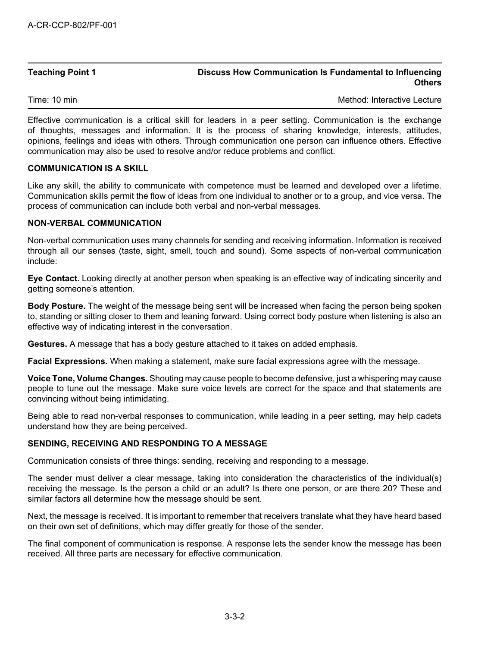# Teaching Point 1 Discuss How Communication Is Fundamental to Influencing **Others**

Time: 10 min Method: Interactive Lecture Companies And Method: Interactive Lecture

Effective communication is a critical skill for leaders in a peer setting. Communication is the exchange of thoughts, messages and information. It is the process of sharing knowledge, interests, attitudes, opinions, feelings and ideas with others. Through communication one person can influence others. Effective communication may also be used to resolve and/or reduce problems and conflict.

### COMMUNICATION IS A SKILL

Like any skill, the ability to communicate with competence must be learned and developed over a lifetime. Communication skills permit the flow of ideas from one individual to another or to a group, and vice versa. The process of communication can include both verbal and non-verbal messages.

#### NON-VERBAL COMMUNICATION

Non-verbal communication uses many channels for sending and receiving information. Information is received through all our senses (taste, sight, smell, touch and sound). Some aspects of non-verbal communication include:

Eye Contact. Looking directly at another person when speaking is an effective way of indicating sincerity and getting someone's attention.

Body Posture. The weight of the message being sent will be increased when facing the person being spoken to, standing or sitting closer to them and leaning forward. Using correct body posture when listening is also an effective way of indicating interest in the conversation.

Gestures. A message that has a body gesture attached to it takes on added emphasis.

Facial Expressions. When making a statement, make sure facial expressions agree with the message.

Voice Tone, Volume Changes. Shouting may cause people to become defensive, just a whispering may cause people to tune out the message. Make sure voice levels are correct for the space and that statements are convincing without being intimidating.

Being able to read non-verbal responses to communication, while leading in a peer setting, may help cadets understand how they are being perceived.

### SENDING, RECEIVING AND RESPONDING TO A MESSAGE

Communication consists of three things: sending, receiving and responding to a message.

The sender must deliver a clear message, taking into consideration the characteristics of the individual(s) receiving the message. Is the person a child or an adult? Is there one person, or are there 20? These and similar factors all determine how the message should be sent.

Next, the message is received. It is important to remember that receivers translate what they have heard based on their own set of definitions, which may differ greatly for those of the sender.

The final component of communication is response. A response lets the sender know the message has been received. All three parts are necessary for effective communication.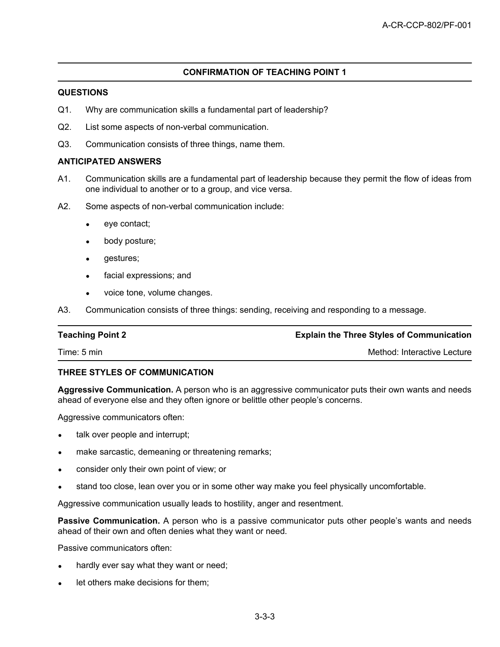### CONFIRMATION OF TEACHING POINT 1

#### QUESTIONS

- Q1. Why are communication skills a fundamental part of leadership?
- Q2. List some aspects of non-verbal communication.
- Q3. Communication consists of three things, name them.

#### ANTICIPATED ANSWERS

- A1. Communication skills are a fundamental part of leadership because they permit the flow of ideas from one individual to another or to a group, and vice versa.
- A2. Some aspects of non-verbal communication include:
	- eye contact;  $\bullet$
	- body posture;  $\bullet$
	- gestures;  $\bullet$
	- facial expressions; and  $\bullet$
	- voice tone, volume changes.
- A3. Communication consists of three things: sending, receiving and responding to a message.

# Teaching Point 2 Explain the Three Styles of Communication

Time: 5 min Method: Interactive Lecture Communication of the Method: Interactive Lecture

# THREE STYLES OF COMMUNICATION

Aggressive Communication. A person who is an aggressive communicator puts their own wants and needs ahead of everyone else and they often ignore or belittle other people's concerns.

Aggressive communicators often:

- talk over people and interrupt;
- make sarcastic, demeaning or threatening remarks;
- consider only their own point of view; or
- stand too close, lean over you or in some other way make you feel physically uncomfortable.

Aggressive communication usually leads to hostility, anger and resentment.

Passive Communication. A person who is a passive communicator puts other people's wants and needs ahead of their own and often denies what they want or need.

Passive communicators often:

- hardly ever say what they want or need;
- let others make decisions for them;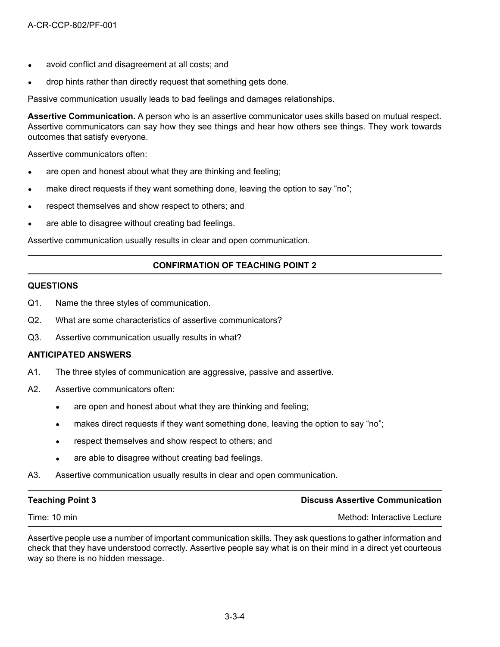- avoid conflict and disagreement at all costs; and
- drop hints rather than directly request that something gets done.

Passive communication usually leads to bad feelings and damages relationships.

Assertive Communication. A person who is an assertive communicator uses skills based on mutual respect. Assertive communicators can say how they see things and hear how others see things. They work towards outcomes that satisfy everyone.

Assertive communicators often:

- are open and honest about what they are thinking and feeling;
- make direct requests if they want something done, leaving the option to say "no";
- respect themselves and show respect to others; and
- are able to disagree without creating bad feelings.

Assertive communication usually results in clear and open communication.

# CONFIRMATION OF TEACHING POINT 2

#### **QUESTIONS**

- Q1. Name the three styles of communication.
- Q2. What are some characteristics of assertive communicators?
- Q3. Assertive communication usually results in what?

#### ANTICIPATED ANSWERS

- A1. The three styles of communication are aggressive, passive and assertive.
- A2. Assertive communicators often:
	- are open and honest about what they are thinking and feeling;  $\bullet$
	- makes direct requests if they want something done, leaving the option to say "no";  $\bullet$
	- respect themselves and show respect to others; and
	- are able to disagree without creating bad feelings.
- A3. Assertive communication usually results in clear and open communication.

# Teaching Point 3 Discuss Assertive Communication Time: 10 min Method: Interactive Lecture Companies And Method: Interactive Lecture

Assertive people use a number of important communication skills. They ask questions to gather information and check that they have understood correctly. Assertive people say what is on their mind in a direct yet courteous way so there is no hidden message.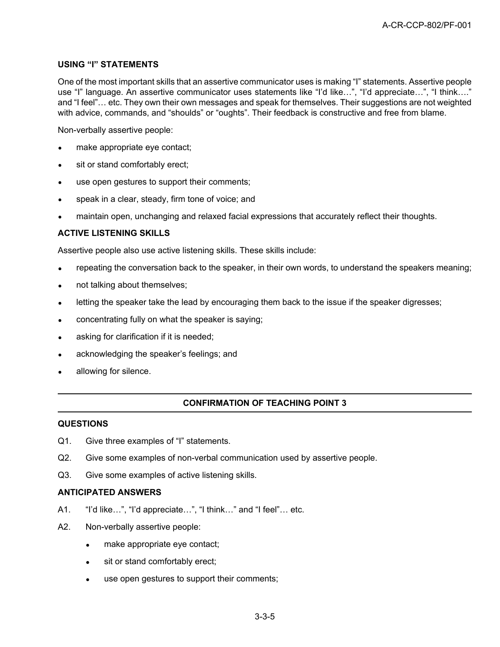### USING "I" STATEMENTS

One of the most important skills that an assertive communicator uses is making "I" statements. Assertive people use "I" language. An assertive communicator uses statements like "I'd like…", "I'd appreciate…", "I think…." and "I feel"… etc. They own their own messages and speak for themselves. Their suggestions are not weighted with advice, commands, and "shoulds" or "oughts". Their feedback is constructive and free from blame.

Non-verbally assertive people:

- make appropriate eye contact;
- sit or stand comfortably erect;
- use open gestures to support their comments;
- speak in a clear, steady, firm tone of voice; and
- maintain open, unchanging and relaxed facial expressions that accurately reflect their thoughts.

# ACTIVE LISTENING SKILLS

Assertive people also use active listening skills. These skills include:

- repeating the conversation back to the speaker, in their own words, to understand the speakers meaning;
- not talking about themselves;
- letting the speaker take the lead by encouraging them back to the issue if the speaker digresses;
- concentrating fully on what the speaker is saying;
- asking for clarification if it is needed;
- acknowledging the speaker's feelings; and
- allowing for silence.

# CONFIRMATION OF TEACHING POINT 3

#### **QUESTIONS**

- Q1. Give three examples of "I" statements.
- Q2. Give some examples of non-verbal communication used by assertive people.
- Q3. Give some examples of active listening skills.

### ANTICIPATED ANSWERS

- A1. "I'd like…", "I'd appreciate…", "I think…" and "I feel"… etc.
- A2. Non-verbally assertive people:
	- make appropriate eye contact;  $\bullet$
	- sit or stand comfortably erect;  $\bullet$
	- use open gestures to support their comments; $\bullet$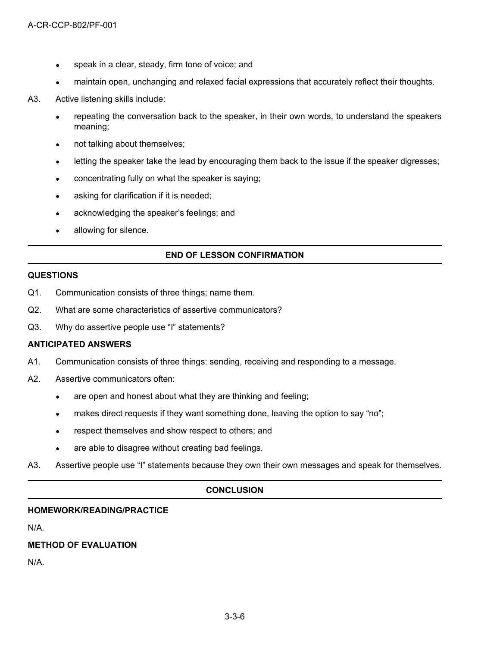- speak in a clear, steady, firm tone of voice; and  $\bullet$
- maintain open, unchanging and relaxed facial expressions that accurately reflect their thoughts.  $\bullet$
- A3. Active listening skills include:
	- repeating the conversation back to the speaker, in their own words, to understand the speakers meaning;
	- not talking about themselves;
	- letting the speaker take the lead by encouraging them back to the issue if the speaker digresses;
	- concentrating fully on what the speaker is saying;
	- asking for clarification if it is needed;
	- acknowledging the speaker's feelings; and
	- allowing for silence.

# END OF LESSON CONFIRMATION

#### **QUESTIONS**

- Q1. Communication consists of three things; name them.
- Q2. What are some characteristics of assertive communicators?
- Q3. Why do assertive people use "I" statements?

### ANTICIPATED ANSWERS

- A1. Communication consists of three things: sending, receiving and responding to a message.
- A2. Assertive communicators often:
	- are open and honest about what they are thinking and feeling;  $\bullet$
	- makes direct requests if they want something done, leaving the option to say "no";
	- respect themselves and show respect to others; and  $\bullet$
	- are able to disagree without creating bad feelings.  $\bullet$
- A3. Assertive people use "I" statements because they own their own messages and speak for themselves.

# **CONCLUSION**

# HOMEWORK/READING/PRACTICE

N/A.

# METHOD OF EVALUATION

N/A.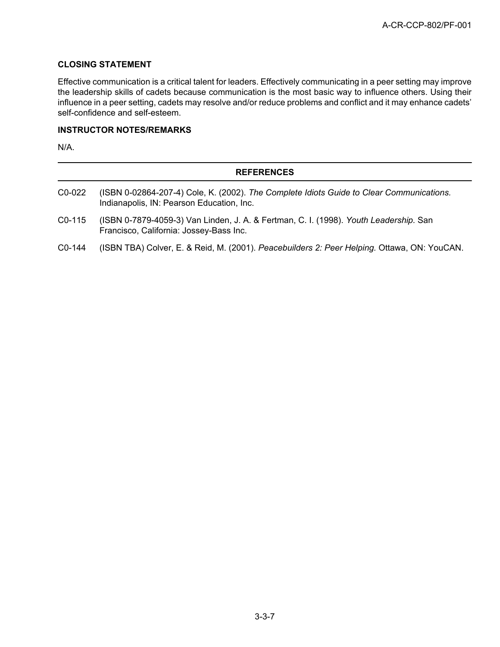# CLOSING STATEMENT

Effective communication is a critical talent for leaders. Effectively communicating in a peer setting may improve the leadership skills of cadets because communication is the most basic way to influence others. Using their influence in a peer setting, cadets may resolve and/or reduce problems and conflict and it may enhance cadets' self-confidence and self-esteem.

# INSTRUCTOR NOTES/REMARKS

N/A.

| <b>REFERENCES</b> |                                                                                                                                       |  |  |  |  |  |
|-------------------|---------------------------------------------------------------------------------------------------------------------------------------|--|--|--|--|--|
| C0-022            | (ISBN 0-02864-207-4) Cole, K. (2002). The Complete Idiots Guide to Clear Communications.<br>Indianapolis, IN: Pearson Education, Inc. |  |  |  |  |  |
| C0-115            | (ISBN 0-7879-4059-3) Van Linden, J. A. & Fertman, C. I. (1998). Youth Leadership. San<br>Francisco, California: Jossey-Bass Inc.      |  |  |  |  |  |
| $CO-144$          | (ISBN TBA) Colver, E. & Reid, M. (2001). Peacebuilders 2: Peer Helping. Ottawa, ON: YouCAN.                                           |  |  |  |  |  |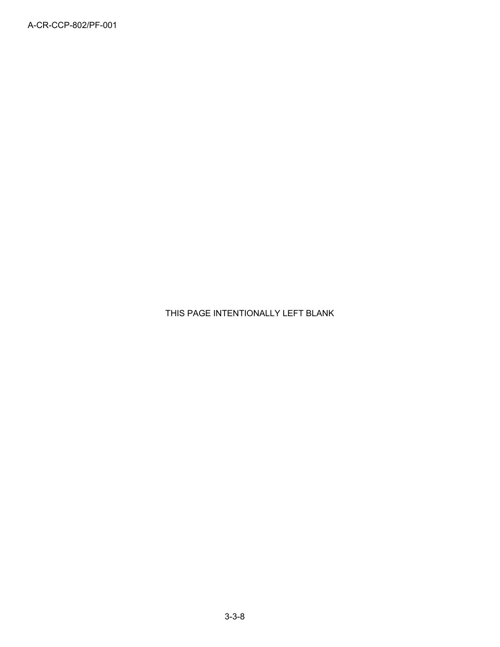THIS PAGE INTENTIONALLY LEFT BLANK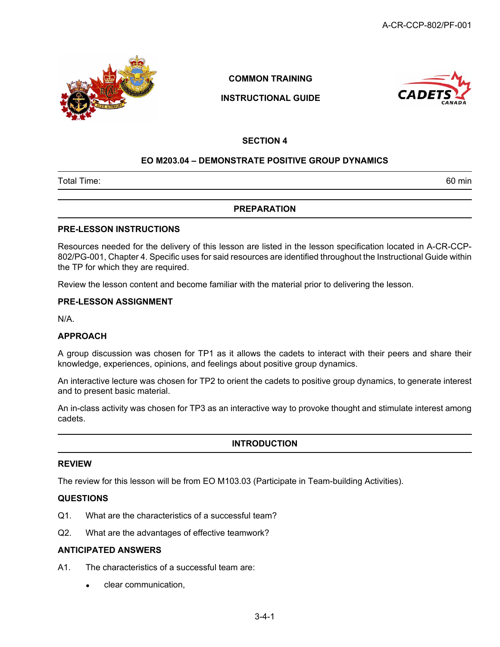

COMMON TRAINING

INSTRUCTIONAL GUIDE



### SECTION 4

#### EO M203.04 – DEMONSTRATE POSITIVE GROUP DYNAMICS

Total Time: 60 min

#### PREPARATION

#### PRE-LESSON INSTRUCTIONS

Resources needed for the delivery of this lesson are listed in the lesson specification located in A-CR-CCP-802/PG-001, Chapter 4. Specific uses for said resources are identified throughout the Instructional Guide within the TP for which they are required.

Review the lesson content and become familiar with the material prior to delivering the lesson.

#### PRE-LESSON ASSIGNMENT

N/A.

#### APPROACH

A group discussion was chosen for TP1 as it allows the cadets to interact with their peers and share their knowledge, experiences, opinions, and feelings about positive group dynamics.

An interactive lecture was chosen for TP2 to orient the cadets to positive group dynamics, to generate interest and to present basic material.

An in-class activity was chosen for TP3 as an interactive way to provoke thought and stimulate interest among cadets.

### INTRODUCTION

#### REVIEW

The review for this lesson will be from EO M103.03 (Participate in Team-building Activities).

# QUESTIONS

- Q1. What are the characteristics of a successful team?
- Q2. What are the advantages of effective teamwork?

# ANTICIPATED ANSWERS

A1. The characteristics of a successful team are:

clear communication,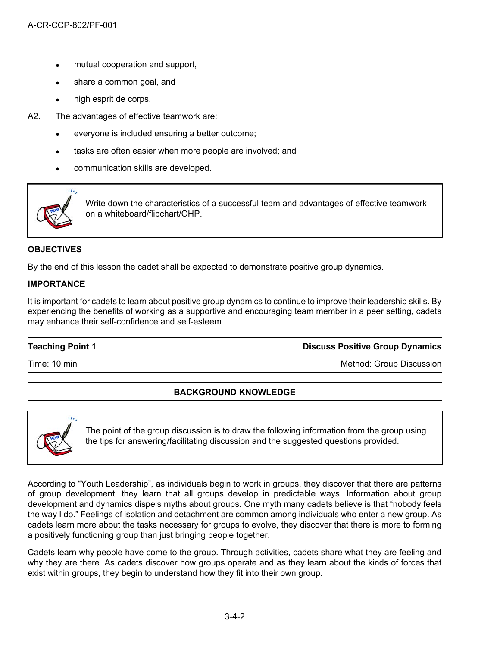- mutual cooperation and support,  $\bullet$
- share a common goal, and
- high esprit de corps.  $\bullet$
- A2. The advantages of effective teamwork are:
	- everyone is included ensuring a better outcome;  $\bullet$
	- tasks are often easier when more people are involved; and  $\bullet$
	- communication skills are developed.



Write down the characteristics of a successful team and advantages of effective teamwork on a whiteboard/flipchart/OHP.

# **OBJECTIVES**

By the end of this lesson the cadet shall be expected to demonstrate positive group dynamics.

# **IMPORTANCE**

It is important for cadets to learn about positive group dynamics to continue to improve their leadership skills. By experiencing the benefits of working as a supportive and encouraging team member in a peer setting, cadets may enhance their self-confidence and self-esteem.

**Teaching Point 1 Teaching Point 1 Discuss Positive Group Dynamics** 

Time: 10 min Method: Group Discussion Nethod: Group Discussion

# BACKGROUND KNOWLEDGE



The point of the group discussion is to draw the following information from the group using the tips for answering/facilitating discussion and the suggested questions provided.

According to "Youth Leadership", as individuals begin to work in groups, they discover that there are patterns of group development; they learn that all groups develop in predictable ways. Information about group development and dynamics dispels myths about groups. One myth many cadets believe is that "nobody feels the way I do." Feelings of isolation and detachment are common among individuals who enter a new group. As cadets learn more about the tasks necessary for groups to evolve, they discover that there is more to forming a positively functioning group than just bringing people together.

Cadets learn why people have come to the group. Through activities, cadets share what they are feeling and why they are there. As cadets discover how groups operate and as they learn about the kinds of forces that exist within groups, they begin to understand how they fit into their own group.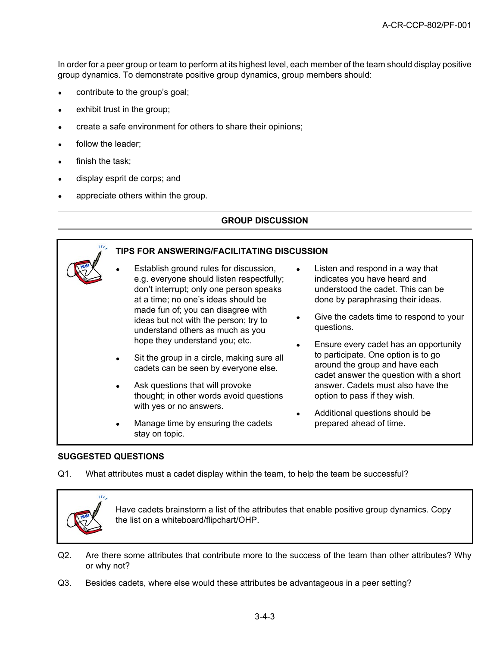In order for a peer group or team to perform at its highest level, each member of the team should display positive group dynamics. To demonstrate positive group dynamics, group members should:

- contribute to the group's goal;
- exhibit trust in the group;
- create a safe environment for others to share their opinions;
- follow the leader;
- finish the task;
- display esprit de corps; and
- appreciate others within the group.

### GROUP DISCUSSION

|  | TIPS FOR ANSWERING/FACILITATING DISCUSSION |                                                                                                                                                                                                             |   |                                                                                                                                            |  |  |  |
|--|--------------------------------------------|-------------------------------------------------------------------------------------------------------------------------------------------------------------------------------------------------------------|---|--------------------------------------------------------------------------------------------------------------------------------------------|--|--|--|
|  |                                            | Establish ground rules for discussion,<br>e.g. everyone should listen respectfully;<br>don't interrupt; only one person speaks<br>at a time; no one's ideas should be<br>made fun of; you can disagree with |   | Listen and respond in a way that<br>indicates you have heard and<br>understood the cadet. This can be<br>done by paraphrasing their ideas. |  |  |  |
|  |                                            | ideas but not with the person; try to<br>understand others as much as you                                                                                                                                   |   | Give the cadets time to respond to your<br>questions.                                                                                      |  |  |  |
|  |                                            | hope they understand you; etc.                                                                                                                                                                              | ٠ | Ensure every cadet has an opportunity                                                                                                      |  |  |  |
|  |                                            | Sit the group in a circle, making sure all<br>cadets can be seen by everyone else.                                                                                                                          |   | to participate. One option is to go<br>around the group and have each<br>cadet answer the question with a short                            |  |  |  |
|  |                                            | Ask questions that will provoke<br>thought; in other words avoid questions<br>with yes or no answers.                                                                                                       |   | answer. Cadets must also have the<br>option to pass if they wish.                                                                          |  |  |  |
|  |                                            |                                                                                                                                                                                                             |   | Additional questions should be                                                                                                             |  |  |  |
|  |                                            | Manage time by ensuring the cadets<br>stay on topic.                                                                                                                                                        |   | prepared ahead of time.                                                                                                                    |  |  |  |

# SUGGESTED QUESTIONS

Q1. What attributes must a cadet display within the team, to help the team be successful?



Have cadets brainstorm a list of the attributes that enable positive group dynamics. Copy the list on a whiteboard/flipchart/OHP.

- Q2. Are there some attributes that contribute more to the success of the team than other attributes? Why or why not?
- Q3. Besides cadets, where else would these attributes be advantageous in a peer setting?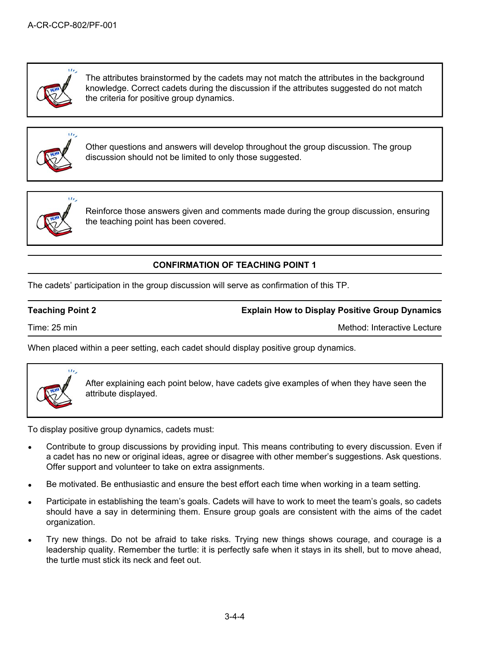

The attributes brainstormed by the cadets may not match the attributes in the background knowledge. Correct cadets during the discussion if the attributes suggested do not match the criteria for positive group dynamics.



Other questions and answers will develop throughout the group discussion. The group discussion should not be limited to only those suggested.



Reinforce those answers given and comments made during the group discussion, ensuring the teaching point has been covered.

# CONFIRMATION OF TEACHING POINT 1

The cadets' participation in the group discussion will serve as confirmation of this TP.

### Teaching Point 2 Explain How to Display Positive Group Dynamics

Time: 25 min Method: Interactive Lecture Communication of the Method: Interactive Lecture

When placed within a peer setting, each cadet should display positive group dynamics.



After explaining each point below, have cadets give examples of when they have seen the attribute displayed.

To display positive group dynamics, cadets must:

- Contribute to group discussions by providing input. This means contributing to every discussion. Even if a cadet has no new or original ideas, agree or disagree with other member's suggestions. Ask questions. Offer support and volunteer to take on extra assignments.
- Be motivated. Be enthusiastic and ensure the best effort each time when working in a team setting.
- Participate in establishing the team's goals. Cadets will have to work to meet the team's goals, so cadets should have a say in determining them. Ensure group goals are consistent with the aims of the cadet organization.
- Try new things. Do not be afraid to take risks. Trying new things shows courage, and courage is a leadership quality. Remember the turtle: it is perfectly safe when it stays in its shell, but to move ahead, the turtle must stick its neck and feet out.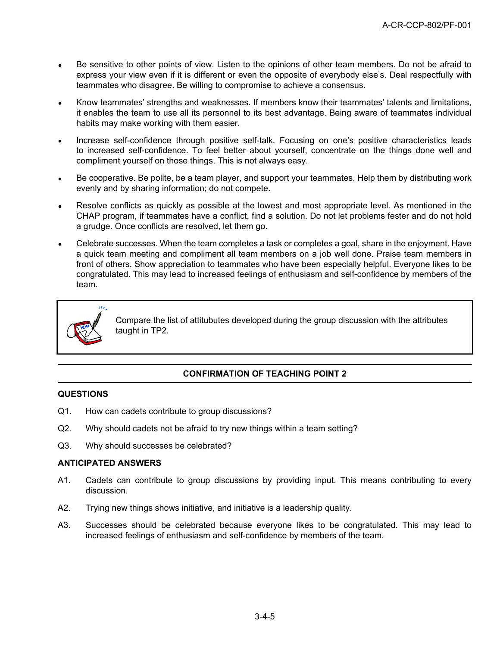- Be sensitive to other points of view. Listen to the opinions of other team members. Do not be afraid to express your view even if it is different or even the opposite of everybody else's. Deal respectfully with teammates who disagree. Be willing to compromise to achieve a consensus.
- Know teammates' strengths and weaknesses. If members know their teammates' talents and limitations, it enables the team to use all its personnel to its best advantage. Being aware of teammates individual habits may make working with them easier.
- Increase self-confidence through positive self-talk. Focusing on one's positive characteristics leads to increased self-confidence. To feel better about yourself, concentrate on the things done well and compliment yourself on those things. This is not always easy.
- Be cooperative. Be polite, be a team player, and support your teammates. Help them by distributing work evenly and by sharing information; do not compete.
- Resolve conflicts as quickly as possible at the lowest and most appropriate level. As mentioned in the CHAP program, if teammates have a conflict, find a solution. Do not let problems fester and do not hold a grudge. Once conflicts are resolved, let them go.
- Celebrate successes. When the team completes a task or completes a goal, share in the enjoyment. Have a quick team meeting and compliment all team members on a job well done. Praise team members in front of others. Show appreciation to teammates who have been especially helpful. Everyone likes to be congratulated. This may lead to increased feelings of enthusiasm and self-confidence by members of the team.



Compare the list of attitubutes developed during the group discussion with the attributes taught in TP2.

# CONFIRMATION OF TEACHING POINT 2

### QUESTIONS

- Q1. How can cadets contribute to group discussions?
- Q2. Why should cadets not be afraid to try new things within a team setting?
- Q3. Why should successes be celebrated?

### ANTICIPATED ANSWERS

- A1. Cadets can contribute to group discussions by providing input. This means contributing to every discussion.
- A2. Trying new things shows initiative, and initiative is a leadership quality.
- A3. Successes should be celebrated because everyone likes to be congratulated. This may lead to increased feelings of enthusiasm and self-confidence by members of the team.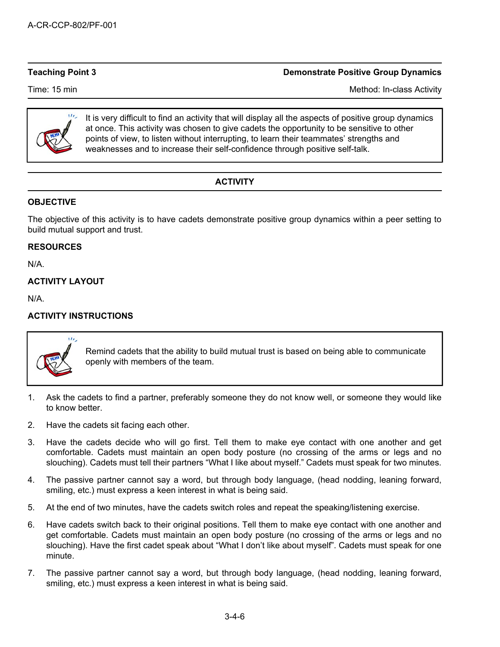# Teaching Point 3 Demonstrate Positive Group Dynamics

Time: 15 min Method: In-class Activity



It is very difficult to find an activity that will display all the aspects of positive group dynamics at once. This activity was chosen to give cadets the opportunity to be sensitive to other points of view, to listen without interrupting, to learn their teammates' strengths and weaknesses and to increase their self-confidence through positive self-talk.

# **ACTIVITY**

# **OBJECTIVE**

The objective of this activity is to have cadets demonstrate positive group dynamics within a peer setting to build mutual support and trust.

### RESOURCES

N/A.

# ACTIVITY LAYOUT

N/A.

# ACTIVITY INSTRUCTIONS



Remind cadets that the ability to build mutual trust is based on being able to communicate openly with members of the team.

- 1. Ask the cadets to find a partner, preferably someone they do not know well, or someone they would like to know better.
- 2. Have the cadets sit facing each other.
- 3. Have the cadets decide who will go first. Tell them to make eye contact with one another and get comfortable. Cadets must maintain an open body posture (no crossing of the arms or legs and no slouching). Cadets must tell their partners "What I like about myself." Cadets must speak for two minutes.
- 4. The passive partner cannot say a word, but through body language, (head nodding, leaning forward, smiling, etc.) must express a keen interest in what is being said.
- 5. At the end of two minutes, have the cadets switch roles and repeat the speaking/listening exercise.
- 6. Have cadets switch back to their original positions. Tell them to make eye contact with one another and get comfortable. Cadets must maintain an open body posture (no crossing of the arms or legs and no slouching). Have the first cadet speak about "What I don't like about myself". Cadets must speak for one minute.
- 7. The passive partner cannot say a word, but through body language, (head nodding, leaning forward, smiling, etc.) must express a keen interest in what is being said.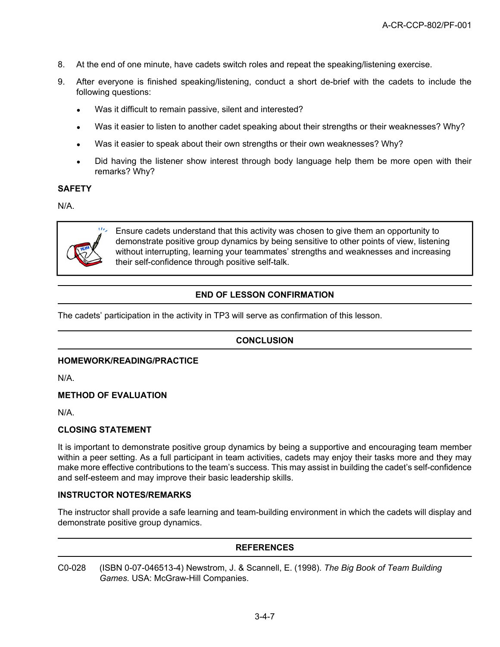- 8. At the end of one minute, have cadets switch roles and repeat the speaking/listening exercise.
- 9. After everyone is finished speaking/listening, conduct a short de-brief with the cadets to include the following questions:
	- Was it difficult to remain passive, silent and interested?
	- Was it easier to listen to another cadet speaking about their strengths or their weaknesses? Why?  $\bullet$
	- Was it easier to speak about their own strengths or their own weaknesses? Why?
	- Did having the listener show interest through body language help them be more open with their remarks? Why?

#### **SAFETY**

N/A.



Ensure cadets understand that this activity was chosen to give them an opportunity to demonstrate positive group dynamics by being sensitive to other points of view, listening without interrupting, learning your teammates' strengths and weaknesses and increasing their self-confidence through positive self-talk.

### END OF LESSON CONFIRMATION

The cadets' participation in the activity in TP3 will serve as confirmation of this lesson.

### **CONCLUSION**

#### HOMEWORK/READING/PRACTICE

N/A.

#### METHOD OF EVALUATION

N/A.

#### CLOSING STATEMENT

It is important to demonstrate positive group dynamics by being a supportive and encouraging team member within a peer setting. As a full participant in team activities, cadets may enjoy their tasks more and they may make more effective contributions to the team's success. This may assist in building the cadet's self-confidence and self-esteem and may improve their basic leadership skills.

#### INSTRUCTOR NOTES/REMARKS

The instructor shall provide a safe learning and team-building environment in which the cadets will display and demonstrate positive group dynamics.

#### **REFERENCES**

C0-028 (ISBN 0-07-046513-4) Newstrom, J. & Scannell, E. (1998). The Big Book of Team Building Games. USA: McGraw-Hill Companies.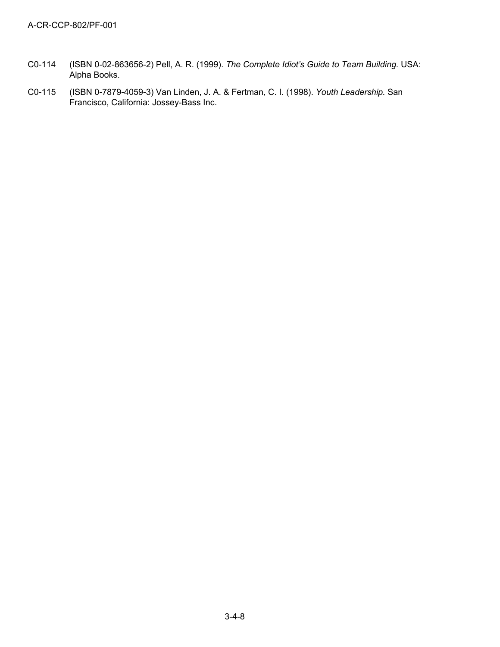- C0-114 (ISBN 0-02-863656-2) Pell, A. R. (1999). The Complete Idiot's Guide to Team Building. USA: Alpha Books.
- C0-115 (ISBN 0-7879-4059-3) Van Linden, J. A. & Fertman, C. I. (1998). Youth Leadership. San Francisco, California: Jossey-Bass Inc.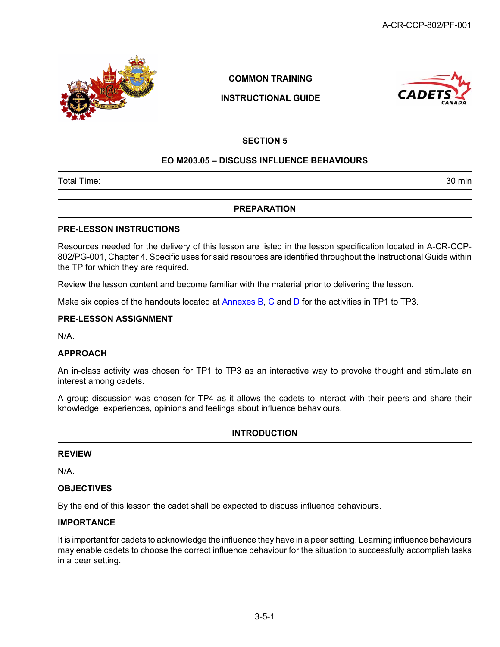

COMMON TRAINING

INSTRUCTIONAL GUIDE



# SECTION 5

# EO M203.05 – DISCUSS INFLUENCE BEHAVIOURS

Total Time: 30 min

### PREPARATION

#### PRE-LESSON INSTRUCTIONS

Resources needed for the delivery of this lesson are listed in the lesson specification located in A-CR-CCP-802/PG-001, Chapter 4. Specific uses for said resources are identified throughout the Instructional Guide within the TP for which they are required.

Review the lesson content and become familiar with the material prior to delivering the lesson.

Make six copies of the handouts located at Annexes B, C and D for the activities in TP1 to TP3.

#### PRE-LESSON ASSIGNMENT

N/A.

### APPROACH

An in-class activity was chosen for TP1 to TP3 as an interactive way to provoke thought and stimulate an interest among cadets.

A group discussion was chosen for TP4 as it allows the cadets to interact with their peers and share their knowledge, experiences, opinions and feelings about influence behaviours.

### INTRODUCTION

#### REVIEW

N/A.

### **OBJECTIVES**

By the end of this lesson the cadet shall be expected to discuss influence behaviours.

### IMPORTANCE

It is important for cadets to acknowledge the influence they have in a peer setting. Learning influence behaviours may enable cadets to choose the correct influence behaviour for the situation to successfully accomplish tasks in a peer setting.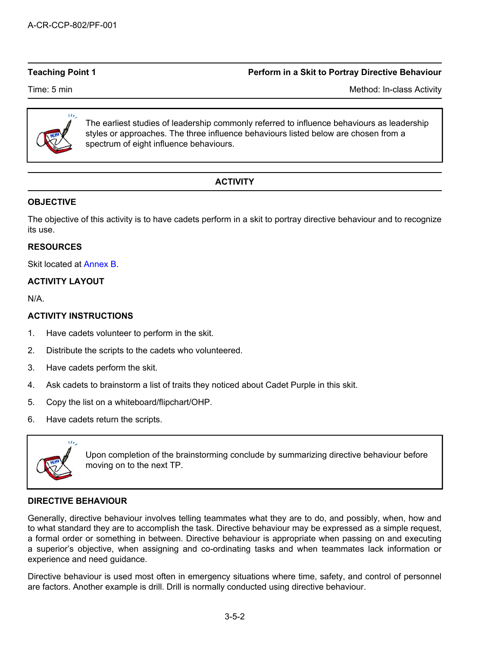# Teaching Point 1 **Perform in a Skit to Portray Directive Behaviour** Perform in a Skit to Portray Directive Behaviour

Time: 5 min Method: In-class Activity



The earliest studies of leadership commonly referred to influence behaviours as leadership styles or approaches. The three influence behaviours listed below are chosen from a spectrum of eight influence behaviours.

# **ACTIVITY**

# **OBJECTIVE**

The objective of this activity is to have cadets perform in a skit to portray directive behaviour and to recognize its use.

# RESOURCES

Skit located at Annex B.

# ACTIVITY LAYOUT

N/A.

# ACTIVITY INSTRUCTIONS

- 1. Have cadets volunteer to perform in the skit.
- 2. Distribute the scripts to the cadets who volunteered.
- 3. Have cadets perform the skit.
- 4. Ask cadets to brainstorm a list of traits they noticed about Cadet Purple in this skit.
- 5. Copy the list on a whiteboard/flipchart/OHP.
- 6. Have cadets return the scripts.



Upon completion of the brainstorming conclude by summarizing directive behaviour before moving on to the next TP.

# DIRECTIVE BEHAVIOUR

Generally, directive behaviour involves telling teammates what they are to do, and possibly, when, how and to what standard they are to accomplish the task. Directive behaviour may be expressed as a simple request, a formal order or something in between. Directive behaviour is appropriate when passing on and executing a superior's objective, when assigning and co-ordinating tasks and when teammates lack information or experience and need guidance.

Directive behaviour is used most often in emergency situations where time, safety, and control of personnel are factors. Another example is drill. Drill is normally conducted using directive behaviour.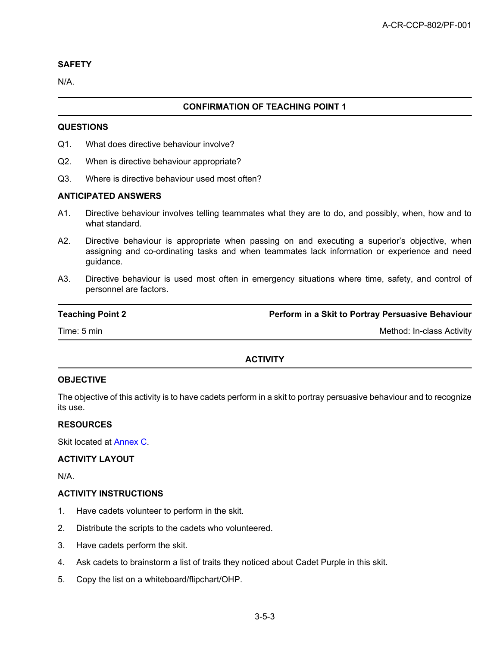### **SAFETY**

N/A.

#### CONFIRMATION OF TEACHING POINT 1

#### **QUESTIONS**

- Q1. What does directive behaviour involve?
- Q2. When is directive behaviour appropriate?
- Q3. Where is directive behaviour used most often?

#### ANTICIPATED ANSWERS

- A1. Directive behaviour involves telling teammates what they are to do, and possibly, when, how and to what standard.
- A2. Directive behaviour is appropriate when passing on and executing a superior's objective, when assigning and co-ordinating tasks and when teammates lack information or experience and need guidance.
- A3. Directive behaviour is used most often in emergency situations where time, safety, and control of personnel are factors.

Teaching Point 2 **Perform in a Skit to Portray Persuasive Behaviour** Persuasive Behaviour

Time: 5 min Method: In-class Activity

# **ACTIVITY**

#### **OBJECTIVE**

The objective of this activity is to have cadets perform in a skit to portray persuasive behaviour and to recognize its use.

#### **RESOURCES**

Skit located at Annex C.

#### ACTIVITY LAYOUT

N/A.

#### ACTIVITY INSTRUCTIONS

- 1. Have cadets volunteer to perform in the skit.
- 2. Distribute the scripts to the cadets who volunteered.
- 3. Have cadets perform the skit.
- 4. Ask cadets to brainstorm a list of traits they noticed about Cadet Purple in this skit.
- 5. Copy the list on a whiteboard/flipchart/OHP.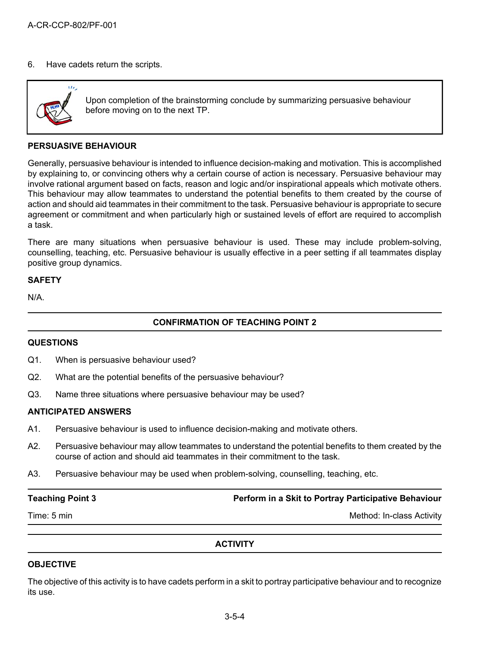#### 6. Have cadets return the scripts.



Upon completion of the brainstorming conclude by summarizing persuasive behaviour before moving on to the next TP.

#### PERSUASIVE BEHAVIOUR

Generally, persuasive behaviour is intended to influence decision-making and motivation. This is accomplished by explaining to, or convincing others why a certain course of action is necessary. Persuasive behaviour may involve rational argument based on facts, reason and logic and/or inspirational appeals which motivate others. This behaviour may allow teammates to understand the potential benefits to them created by the course of action and should aid teammates in their commitment to the task. Persuasive behaviour is appropriate to secure agreement or commitment and when particularly high or sustained levels of effort are required to accomplish a task.

There are many situations when persuasive behaviour is used. These may include problem-solving, counselling, teaching, etc. Persuasive behaviour is usually effective in a peer setting if all teammates display positive group dynamics.

#### **SAFETY**

N/A.

#### CONFIRMATION OF TEACHING POINT 2

#### **QUESTIONS**

- Q1. When is persuasive behaviour used?
- Q2. What are the potential benefits of the persuasive behaviour?
- Q3. Name three situations where persuasive behaviour may be used?

#### ANTICIPATED ANSWERS

- A1. Persuasive behaviour is used to influence decision-making and motivate others.
- A2. Persuasive behaviour may allow teammates to understand the potential benefits to them created by the course of action and should aid teammates in their commitment to the task.
- A3. Persuasive behaviour may be used when problem-solving, counselling, teaching, etc.

# Teaching Point 3 Perform in a Skit to Portray Participative Behaviour

Time: 5 min Method: In-class Activity

#### **ACTIVITY**

#### **OBJECTIVE**

The objective of this activity is to have cadets perform in a skit to portray participative behaviour and to recognize its use.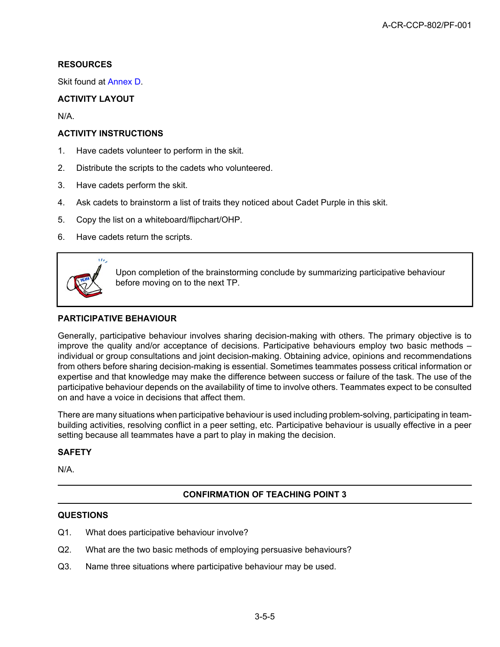# **RESOURCES**

Skit found at Annex D.

# ACTIVITY LAYOUT

N/A.

# ACTIVITY INSTRUCTIONS

- 1. Have cadets volunteer to perform in the skit.
- 2. Distribute the scripts to the cadets who volunteered.
- 3. Have cadets perform the skit.
- 4. Ask cadets to brainstorm a list of traits they noticed about Cadet Purple in this skit.
- 5. Copy the list on a whiteboard/flipchart/OHP.
- 6. Have cadets return the scripts.



Upon completion of the brainstorming conclude by summarizing participative behaviour before moving on to the next TP.

# PARTICIPATIVE BEHAVIOUR

Generally, participative behaviour involves sharing decision-making with others. The primary objective is to improve the quality and/or acceptance of decisions. Participative behaviours employ two basic methods – individual or group consultations and joint decision-making. Obtaining advice, opinions and recommendations from others before sharing decision-making is essential. Sometimes teammates possess critical information or expertise and that knowledge may make the difference between success or failure of the task. The use of the participative behaviour depends on the availability of time to involve others. Teammates expect to be consulted on and have a voice in decisions that affect them.

There are many situations when participative behaviour is used including problem-solving, participating in teambuilding activities, resolving conflict in a peer setting, etc. Participative behaviour is usually effective in a peer setting because all teammates have a part to play in making the decision.

# **SAFETY**

N/A.

# CONFIRMATION OF TEACHING POINT 3

# QUESTIONS

- Q1. What does participative behaviour involve?
- Q2. What are the two basic methods of employing persuasive behaviours?
- Q3. Name three situations where participative behaviour may be used.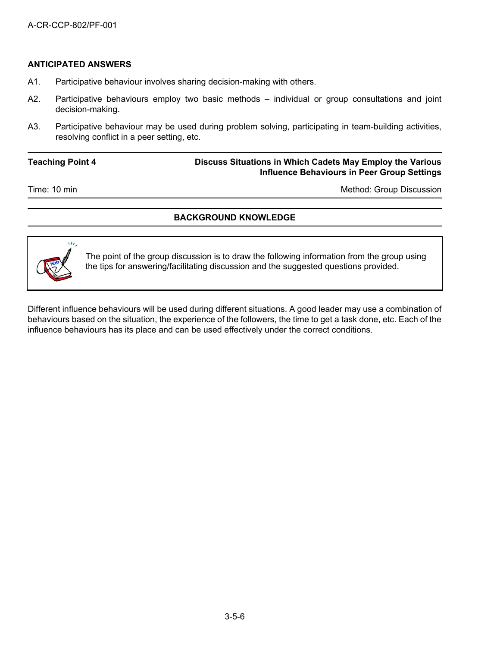## ANTICIPATED ANSWERS

- A1. Participative behaviour involves sharing decision-making with others.
- A2. Participative behaviours employ two basic methods individual or group consultations and joint decision-making.
- A3. Participative behaviour may be used during problem solving, participating in team-building activities, resolving conflict in a peer setting, etc.

### Teaching Point 4 Discuss Situations in Which Cadets May Employ the Various Influence Behaviours in Peer Group Settings

Time: 10 min Method: Group Discussion Method: Group Discussion

# BACKGROUND KNOWLEDGE



The point of the group discussion is to draw the following information from the group using the tips for answering/facilitating discussion and the suggested questions provided.

Different influence behaviours will be used during different situations. A good leader may use a combination of behaviours based on the situation, the experience of the followers, the time to get a task done, etc. Each of the influence behaviours has its place and can be used effectively under the correct conditions.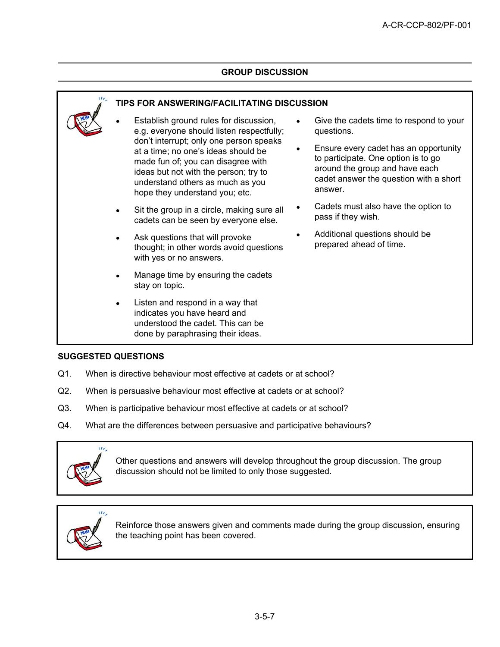# GROUP DISCUSSION



# SUGGESTED QUESTIONS

- Q1. When is directive behaviour most effective at cadets or at school?
- Q2. When is persuasive behaviour most effective at cadets or at school?
- Q3. When is participative behaviour most effective at cadets or at school?
- Q4. What are the differences between persuasive and participative behaviours?



Other questions and answers will develop throughout the group discussion. The group discussion should not be limited to only those suggested.



Reinforce those answers given and comments made during the group discussion, ensuring the teaching point has been covered.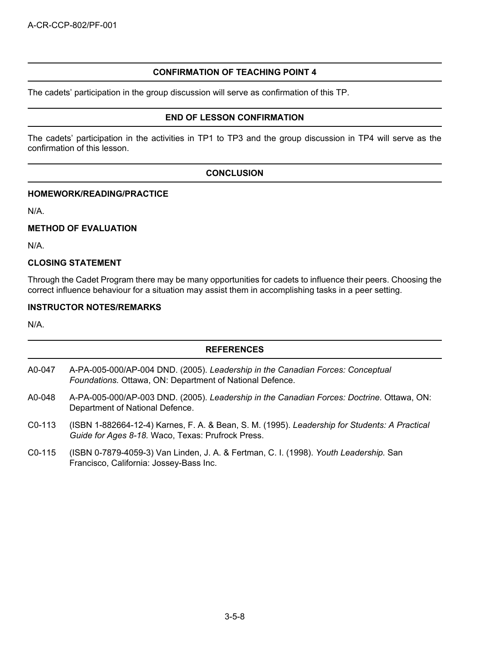# CONFIRMATION OF TEACHING POINT 4

The cadets' participation in the group discussion will serve as confirmation of this TP.

# END OF LESSON CONFIRMATION

The cadets' participation in the activities in TP1 to TP3 and the group discussion in TP4 will serve as the confirmation of this lesson.

# **CONCLUSION**

### HOMEWORK/READING/PRACTICE

N/A.

METHOD OF EVALUATION

N/A.

# CLOSING STATEMENT

Through the Cadet Program there may be many opportunities for cadets to influence their peers. Choosing the correct influence behaviour for a situation may assist them in accomplishing tasks in a peer setting.

# INSTRUCTOR NOTES/REMARKS

Francisco, California: Jossey-Bass Inc.

N/A.

| <b>REFERENCES</b>   |                                                                                                                                                    |  |  |  |
|---------------------|----------------------------------------------------------------------------------------------------------------------------------------------------|--|--|--|
| A0-047              | A-PA-005-000/AP-004 DND. (2005). Leadership in the Canadian Forces: Conceptual<br>Foundations. Ottawa, ON: Department of National Defence.         |  |  |  |
| A0-048              | A-PA-005-000/AP-003 DND. (2005). Leadership in the Canadian Forces: Doctrine. Ottawa, ON:<br>Department of National Defence.                       |  |  |  |
| C <sub>0</sub> -113 | (ISBN 1-882664-12-4) Karnes, F. A. & Bean, S. M. (1995). Leadership for Students: A Practical<br>Guide for Ages 8-18. Waco, Texas: Prufrock Press. |  |  |  |
| C <sub>0</sub> -115 | (ISBN 0-7879-4059-3) Van Linden, J. A. & Fertman, C. I. (1998). Youth Leadership. San                                                              |  |  |  |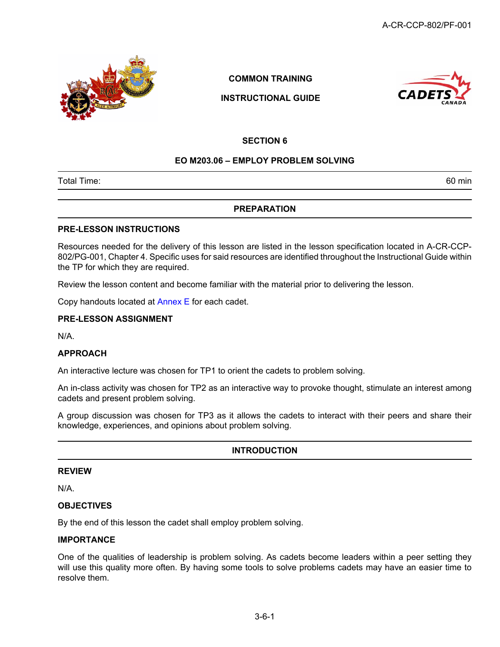

COMMON TRAINING

INSTRUCTIONAL GUIDE



# SECTION 6

### EO M203.06 – EMPLOY PROBLEM SOLVING

Total Time: 60 min

# PREPARATION

#### PRE-LESSON INSTRUCTIONS

Resources needed for the delivery of this lesson are listed in the lesson specification located in A-CR-CCP-802/PG-001, Chapter 4. Specific uses for said resources are identified throughout the Instructional Guide within the TP for which they are required.

Review the lesson content and become familiar with the material prior to delivering the lesson.

Copy handouts located at Annex E for each cadet.

### PRE-LESSON ASSIGNMENT

N/A.

# APPROACH

An interactive lecture was chosen for TP1 to orient the cadets to problem solving.

An in-class activity was chosen for TP2 as an interactive way to provoke thought, stimulate an interest among cadets and present problem solving.

A group discussion was chosen for TP3 as it allows the cadets to interact with their peers and share their knowledge, experiences, and opinions about problem solving.

# **INTRODUCTION**

#### REVIEW

N/A.

#### **OBJECTIVES**

By the end of this lesson the cadet shall employ problem solving.

### IMPORTANCE

One of the qualities of leadership is problem solving. As cadets become leaders within a peer setting they will use this quality more often. By having some tools to solve problems cadets may have an easier time to resolve them.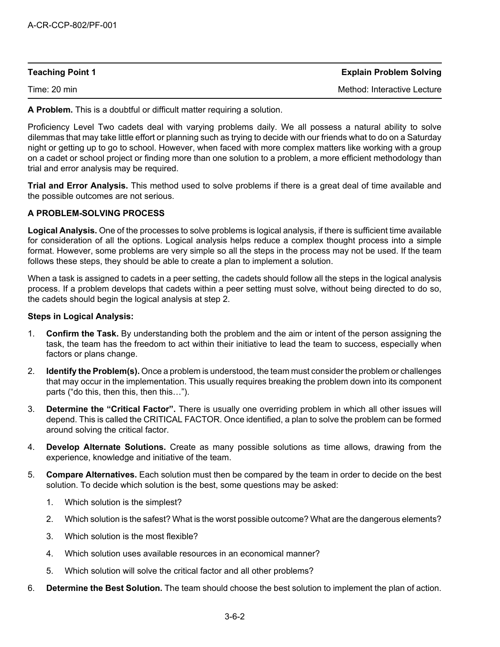| <b>Teaching Point 1</b> | <b>Explain Problem Solving</b> |
|-------------------------|--------------------------------|
| Time: 20 min            | Method: Interactive Lecture    |

A Problem. This is a doubtful or difficult matter requiring a solution.

Proficiency Level Two cadets deal with varying problems daily. We all possess a natural ability to solve dilemmas that may take little effort or planning such as trying to decide with our friends what to do on a Saturday night or getting up to go to school. However, when faced with more complex matters like working with a group on a cadet or school project or finding more than one solution to a problem, a more efficient methodology than trial and error analysis may be required.

Trial and Error Analysis. This method used to solve problems if there is a great deal of time available and the possible outcomes are not serious.

# A PROBLEM-SOLVING PROCESS

Logical Analysis. One of the processes to solve problems is logical analysis, if there is sufficient time available for consideration of all the options. Logical analysis helps reduce a complex thought process into a simple format. However, some problems are very simple so all the steps in the process may not be used. If the team follows these steps, they should be able to create a plan to implement a solution.

When a task is assigned to cadets in a peer setting, the cadets should follow all the steps in the logical analysis process. If a problem develops that cadets within a peer setting must solve, without being directed to do so, the cadets should begin the logical analysis at step 2.

# Steps in Logical Analysis:

- 1. Confirm the Task. By understanding both the problem and the aim or intent of the person assigning the task, the team has the freedom to act within their initiative to lead the team to success, especially when factors or plans change.
- 2. Identify the Problem(s). Once a problem is understood, the team must consider the problem or challenges that may occur in the implementation. This usually requires breaking the problem down into its component parts ("do this, then this, then this…").
- 3. Determine the "Critical Factor". There is usually one overriding problem in which all other issues will depend. This is called the CRITICAL FACTOR. Once identified, a plan to solve the problem can be formed around solving the critical factor.
- 4. Develop Alternate Solutions. Create as many possible solutions as time allows, drawing from the experience, knowledge and initiative of the team.
- 5. Compare Alternatives. Each solution must then be compared by the team in order to decide on the best solution. To decide which solution is the best, some questions may be asked:
	- 1. Which solution is the simplest?
	- 2. Which solution is the safest? What is the worst possible outcome? What are the dangerous elements?
	- 3. Which solution is the most flexible?
	- 4. Which solution uses available resources in an economical manner?
	- 5. Which solution will solve the critical factor and all other problems?
- 6. Determine the Best Solution. The team should choose the best solution to implement the plan of action.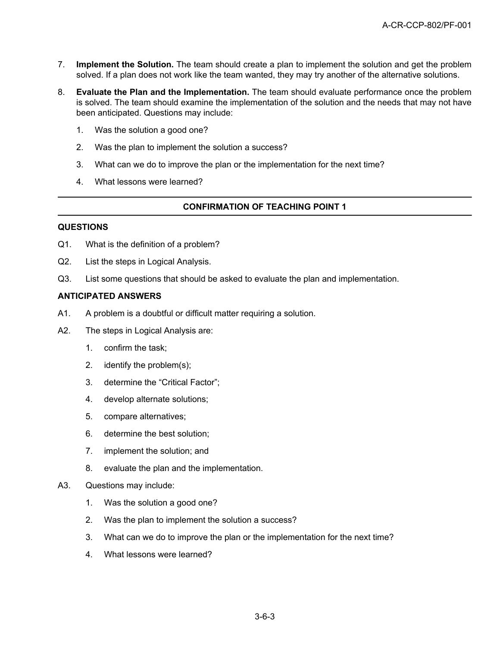- 7. Implement the Solution. The team should create a plan to implement the solution and get the problem solved. If a plan does not work like the team wanted, they may try another of the alternative solutions.
- 8. Evaluate the Plan and the Implementation. The team should evaluate performance once the problem is solved. The team should examine the implementation of the solution and the needs that may not have been anticipated. Questions may include:
	- 1. Was the solution a good one?
	- 2. Was the plan to implement the solution a success?
	- 3. What can we do to improve the plan or the implementation for the next time?
	- 4. What lessons were learned?

# CONFIRMATION OF TEACHING POINT 1

# **QUESTIONS**

- Q1. What is the definition of a problem?
- Q2. List the steps in Logical Analysis.
- Q3. List some questions that should be asked to evaluate the plan and implementation.

# ANTICIPATED ANSWERS

- A1. A problem is a doubtful or difficult matter requiring a solution.
- A2. The steps in Logical Analysis are:
	- 1. confirm the task;
	- 2. identify the problem(s);
	- 3. determine the "Critical Factor";
	- 4. develop alternate solutions;
	- 5. compare alternatives;
	- 6. determine the best solution;
	- 7. implement the solution; and
	- 8. evaluate the plan and the implementation.

# A3. Questions may include:

- 1. Was the solution a good one?
- 2. Was the plan to implement the solution a success?
- 3. What can we do to improve the plan or the implementation for the next time?
- 4. What lessons were learned?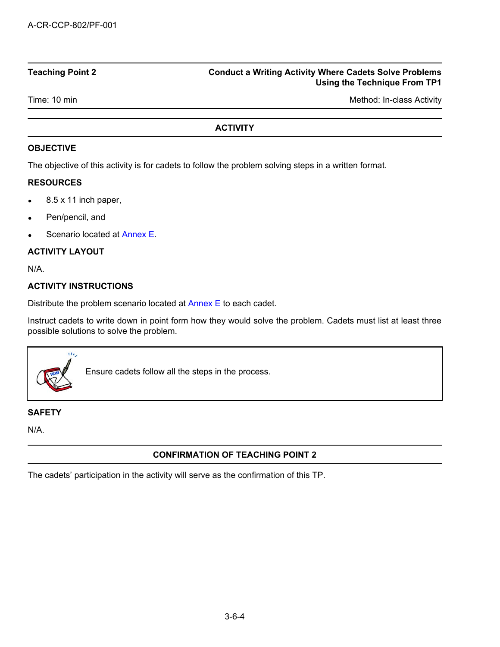# Teaching Point 2 Conduct a Writing Activity Where Cadets Solve Problems Using the Technique From TP1

Time: 10 min Method: In-class Activity

# **ACTIVITY**

# OBJECTIVE

The objective of this activity is for cadets to follow the problem solving steps in a written format.

# **RESOURCES**

- 8.5 x 11 inch paper,
- Pen/pencil, and
- Scenario located at Annex E.

# ACTIVITY LAYOUT

N/A.

# ACTIVITY INSTRUCTIONS

Distribute the problem scenario located at Annex E to each cadet.

Instruct cadets to write down in point form how they would solve the problem. Cadets must list at least three possible solutions to solve the problem.



Ensure cadets follow all the steps in the process.

# **SAFETY**

N/A.

# CONFIRMATION OF TEACHING POINT 2

The cadets' participation in the activity will serve as the confirmation of this TP.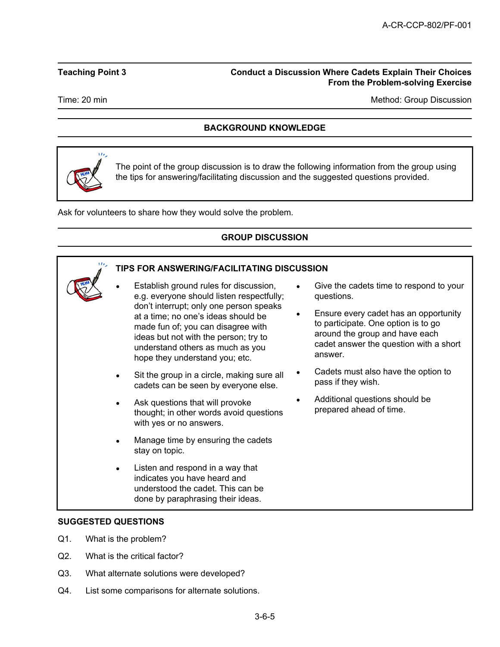# Teaching Point 3 Conduct a Discussion Where Cadets Explain Their Choices From the Problem-solving Exercise

Time: 20 min Method: Group Discussion Nethod: Group Discussion

# BACKGROUND KNOWLEDGE



The point of the group discussion is to draw the following information from the group using the tips for answering/facilitating discussion and the suggested questions provided.

Ask for volunteers to share how they would solve the problem.

# GROUP DISCUSSION



# SUGGESTED QUESTIONS

- Q1. What is the problem?
- Q2. What is the critical factor?
- Q3. What alternate solutions were developed?
- Q4. List some comparisons for alternate solutions.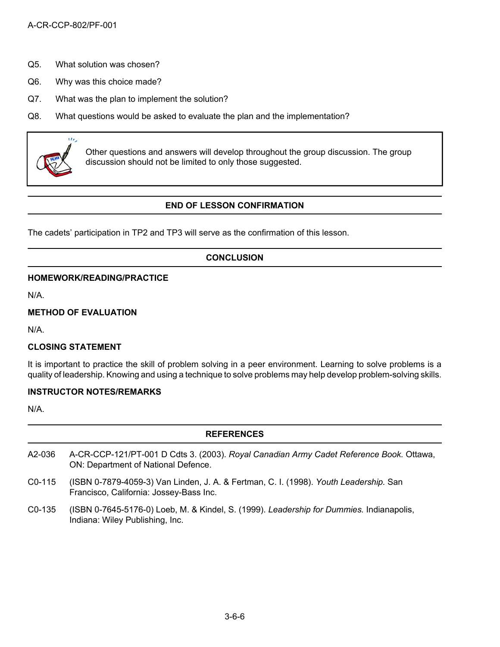- Q5. What solution was chosen?
- Q6. Why was this choice made?
- Q7. What was the plan to implement the solution?
- Q8. What questions would be asked to evaluate the plan and the implementation?



Other questions and answers will develop throughout the group discussion. The group discussion should not be limited to only those suggested.

# END OF LESSON CONFIRMATION

The cadets' participation in TP2 and TP3 will serve as the confirmation of this lesson.

# **CONCLUSION**

### HOMEWORK/READING/PRACTICE

N/A.

# METHOD OF EVALUATION

N/A.

# CLOSING STATEMENT

It is important to practice the skill of problem solving in a peer environment. Learning to solve problems is a quality of leadership. Knowing and using a technique to solve problems may help develop problem-solving skills.

# INSTRUCTOR NOTES/REMARKS

N/A.

# **REFERENCES**

- A2-036 A-CR-CCP-121/PT-001 D Cdts 3. (2003). Royal Canadian Army Cadet Reference Book. Ottawa, ON: Department of National Defence.
- C0-115 (ISBN 0-7879-4059-3) Van Linden, J. A. & Fertman, C. I. (1998). Youth Leadership. San Francisco, California: Jossey-Bass Inc.
- C0-135 (ISBN 0-7645-5176-0) Loeb, M. & Kindel, S. (1999). Leadership for Dummies. Indianapolis, Indiana: Wiley Publishing, Inc.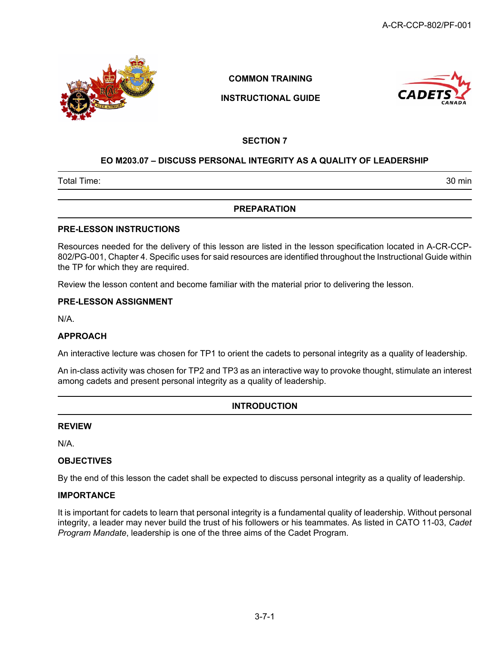

COMMON TRAINING

INSTRUCTIONAL GUIDE



## SECTION 7

## EO M203.07 – DISCUSS PERSONAL INTEGRITY AS A QUALITY OF LEADERSHIP

Total Time: 30 min

### PREPARATION

#### PRE-LESSON INSTRUCTIONS

Resources needed for the delivery of this lesson are listed in the lesson specification located in A-CR-CCP-802/PG-001, Chapter 4. Specific uses for said resources are identified throughout the Instructional Guide within the TP for which they are required.

Review the lesson content and become familiar with the material prior to delivering the lesson.

#### PRE-LESSON ASSIGNMENT

N/A.

#### APPROACH

An interactive lecture was chosen for TP1 to orient the cadets to personal integrity as a quality of leadership.

An in-class activity was chosen for TP2 and TP3 as an interactive way to provoke thought, stimulate an interest among cadets and present personal integrity as a quality of leadership.

#### **INTRODUCTION**

#### REVIEW

N/A.

#### **OBJECTIVES**

By the end of this lesson the cadet shall be expected to discuss personal integrity as a quality of leadership.

#### **IMPORTANCE**

It is important for cadets to learn that personal integrity is a fundamental quality of leadership. Without personal integrity, a leader may never build the trust of his followers or his teammates. As listed in CATO 11-03, Cadet Program Mandate, leadership is one of the three aims of the Cadet Program.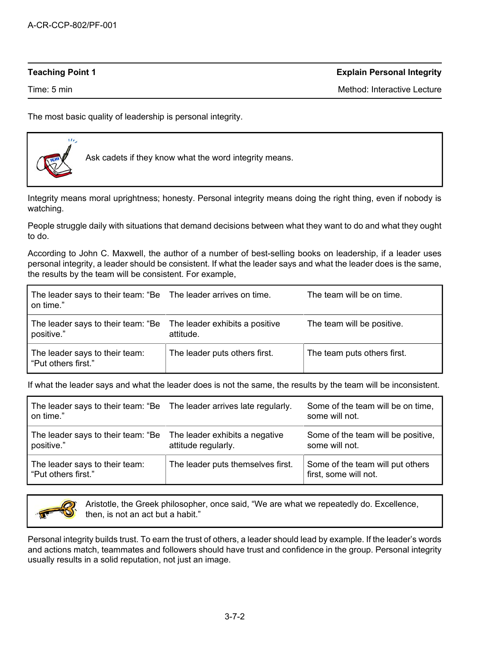Teaching Point 1 **Explain Personal Integrity** 

Time: 5 min Method: Interactive Lecture Company of Time: 5 min Method: Interactive Lecture

The most basic quality of leadership is personal integrity.



Ask cadets if they know what the word integrity means.

Integrity means moral uprightness; honesty. Personal integrity means doing the right thing, even if nobody is watching.

People struggle daily with situations that demand decisions between what they want to do and what they ought to do.

According to John C. Maxwell, the author of a number of best-selling books on leadership, if a leader uses personal integrity, a leader should be consistent. If what the leader says and what the leader does is the same, the results by the team will be consistent. For example,

| The leader says to their team: "Be $\vert$ The leader arrives on time.<br>on time."     |                               | The team will be on time.   |
|-----------------------------------------------------------------------------------------|-------------------------------|-----------------------------|
| The leader says to their team: "Be $\vert$ The leader exhibits a positive<br>positive." | attitude.                     | The team will be positive.  |
| The leader says to their team:<br>"Put others first."                                   | The leader puts others first. | The team puts others first. |

If what the leader says and what the leader does is not the same, the results by the team will be inconsistent.

| The leader says to their team: "Be $\vert$ The leader arrives late regularly.<br>on time." |                                                       | Some of the team will be on time,<br>some will not.       |
|--------------------------------------------------------------------------------------------|-------------------------------------------------------|-----------------------------------------------------------|
| The leader says to their team: "Be<br>positive."                                           | The leader exhibits a negative<br>attitude regularly. | Some of the team will be positive,<br>some will not.      |
| The leader says to their team:<br>"Put others first."                                      | The leader puts themselves first.                     | Some of the team will put others<br>first, some will not. |



Aristotle, the Greek philosopher, once said, "We are what we repeatedly do. Excellence, then, is not an act but a habit."

Personal integrity builds trust. To earn the trust of others, a leader should lead by example. If the leader's words and actions match, teammates and followers should have trust and confidence in the group. Personal integrity usually results in a solid reputation, not just an image.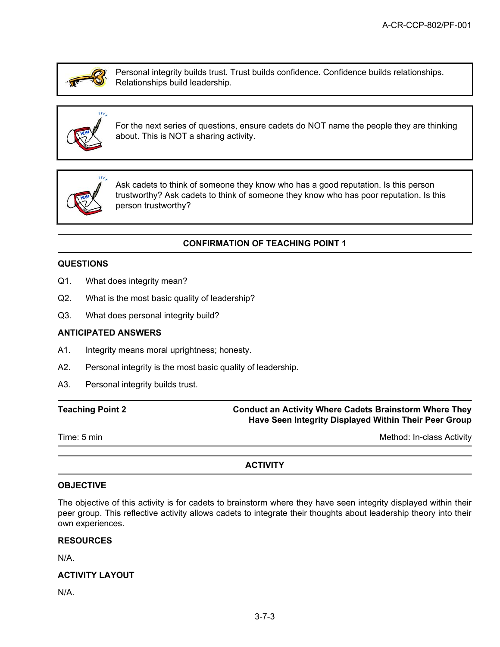

Personal integrity builds trust. Trust builds confidence. Confidence builds relationships. Relationships build leadership.



For the next series of questions, ensure cadets do NOT name the people they are thinking about. This is NOT a sharing activity.



Ask cadets to think of someone they know who has a good reputation. Is this person trustworthy? Ask cadets to think of someone they know who has poor reputation. Is this person trustworthy?

# CONFIRMATION OF TEACHING POINT 1

### **QUESTIONS**

- Q1. What does integrity mean?
- Q2. What is the most basic quality of leadership?
- Q3. What does personal integrity build?

# ANTICIPATED ANSWERS

- A1. Integrity means moral uprightness; honesty.
- A2. Personal integrity is the most basic quality of leadership.
- A3. Personal integrity builds trust.

Teaching Point 2 Conduct an Activity Where Cadets Brainstorm Where They Have Seen Integrity Displayed Within Their Peer Group

Time: 5 min Method: In-class Activity

# **ACTIVITY**

## **OBJECTIVE**

The objective of this activity is for cadets to brainstorm where they have seen integrity displayed within their peer group. This reflective activity allows cadets to integrate their thoughts about leadership theory into their own experiences.

#### **RESOURCES**

N/A.

# ACTIVITY LAYOUT

N/A.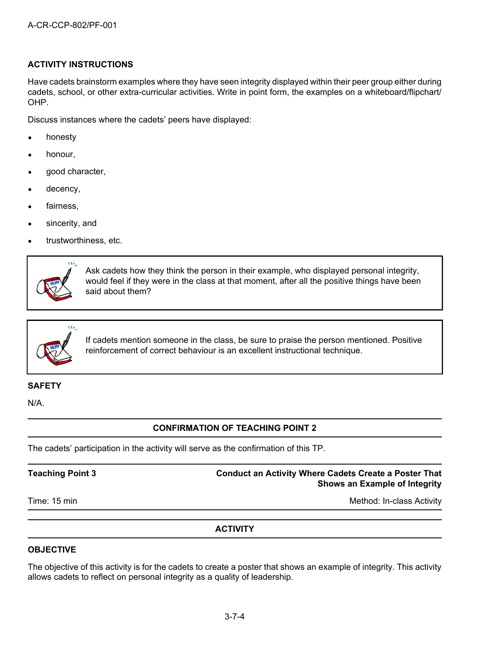# ACTIVITY INSTRUCTIONS

Have cadets brainstorm examples where they have seen integrity displayed within their peer group either during cadets, school, or other extra-curricular activities. Write in point form, the examples on a whiteboard/flipchart/ OHP.

Discuss instances where the cadets' peers have displayed:

- honesty
- honour,
- good character,
- decency,
- fairness,
- sincerity, and
- trustworthiness, etc.



Ask cadets how they think the person in their example, who displayed personal integrity, would feel if they were in the class at that moment, after all the positive things have been said about them?



If cadets mention someone in the class, be sure to praise the person mentioned. Positive reinforcement of correct behaviour is an excellent instructional technique.

# **SAFETY**

N/A.

# CONFIRMATION OF TEACHING POINT 2

The cadets' participation in the activity will serve as the confirmation of this TP.

# Teaching Point 3 Conduct an Activity Where Cadets Create a Poster That Shows an Example of Integrity

Time: 15 min Method: In-class Activity

**ACTIVITY** 

#### **OBJECTIVE**

The objective of this activity is for the cadets to create a poster that shows an example of integrity. This activity allows cadets to reflect on personal integrity as a quality of leadership.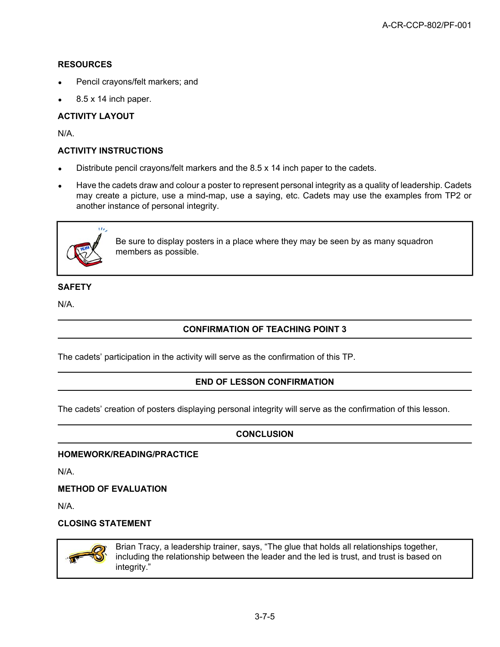# **RESOURCES**

- Pencil crayons/felt markers; and
- 8.5 x 14 inch paper.

# ACTIVITY LAYOUT

N/A.

# ACTIVITY INSTRUCTIONS

- Distribute pencil crayons/felt markers and the 8.5 x 14 inch paper to the cadets.
- Have the cadets draw and colour a poster to represent personal integrity as a quality of leadership. Cadets may create a picture, use a mind-map, use a saying, etc. Cadets may use the examples from TP2 or another instance of personal integrity.



Be sure to display posters in a place where they may be seen by as many squadron members as possible.

# **SAFETY**

N/A.

# CONFIRMATION OF TEACHING POINT 3

The cadets' participation in the activity will serve as the confirmation of this TP.

# END OF LESSON CONFIRMATION

The cadets' creation of posters displaying personal integrity will serve as the confirmation of this lesson.

# **CONCLUSION**

# HOMEWORK/READING/PRACTICE

N/A.

METHOD OF EVALUATION

N/A.

# CLOSING STATEMENT



Brian Tracy, a leadership trainer, says, "The glue that holds all relationships together, including the relationship between the leader and the led is trust, and trust is based on integrity."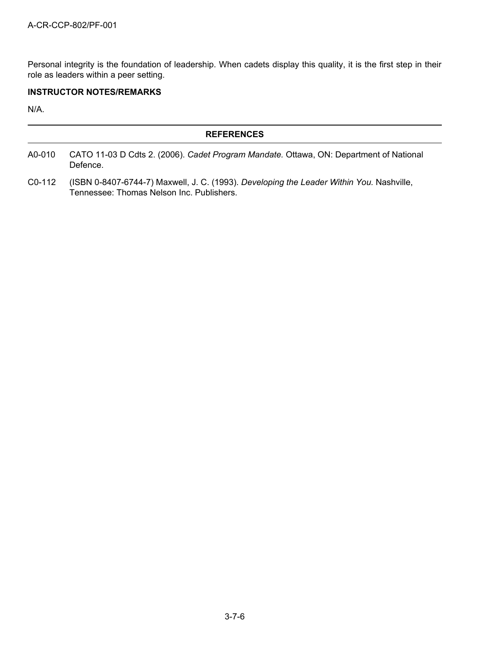Personal integrity is the foundation of leadership. When cadets display this quality, it is the first step in their role as leaders within a peer setting.

# INSTRUCTOR NOTES/REMARKS

N/A.

# REFERENCES

- A0-010 CATO 11-03 D Cdts 2. (2006). Cadet Program Mandate. Ottawa, ON: Department of National Defence.
- C0-112 (ISBN 0-8407-6744-7) Maxwell, J. C. (1993). Developing the Leader Within You. Nashville, Tennessee: Thomas Nelson Inc. Publishers.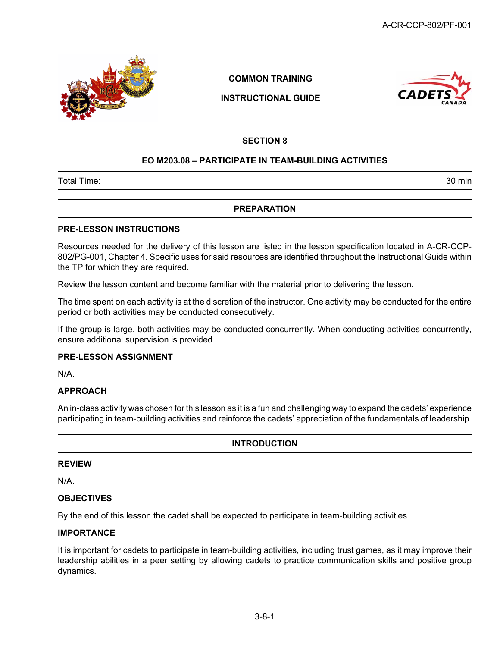

COMMON TRAINING

INSTRUCTIONAL GUIDE



# SECTION 8

#### EO M203.08 – PARTICIPATE IN TEAM-BUILDING ACTIVITIES

Total Time: 30 min

### PREPARATION

#### PRE-LESSON INSTRUCTIONS

Resources needed for the delivery of this lesson are listed in the lesson specification located in A-CR-CCP-802/PG-001, Chapter 4. Specific uses for said resources are identified throughout the Instructional Guide within the TP for which they are required.

Review the lesson content and become familiar with the material prior to delivering the lesson.

The time spent on each activity is at the discretion of the instructor. One activity may be conducted for the entire period or both activities may be conducted consecutively.

If the group is large, both activities may be conducted concurrently. When conducting activities concurrently, ensure additional supervision is provided.

#### PRE-LESSON ASSIGNMENT

N/A.

#### APPROACH

An in-class activity was chosen for this lesson as it is a fun and challenging way to expand the cadets' experience participating in team-building activities and reinforce the cadets' appreciation of the fundamentals of leadership.

# INTRODUCTION

#### REVIEW

N/A.

#### **OBJECTIVES**

By the end of this lesson the cadet shall be expected to participate in team-building activities.

#### IMPORTANCE

It is important for cadets to participate in team-building activities, including trust games, as it may improve their leadership abilities in a peer setting by allowing cadets to practice communication skills and positive group dynamics.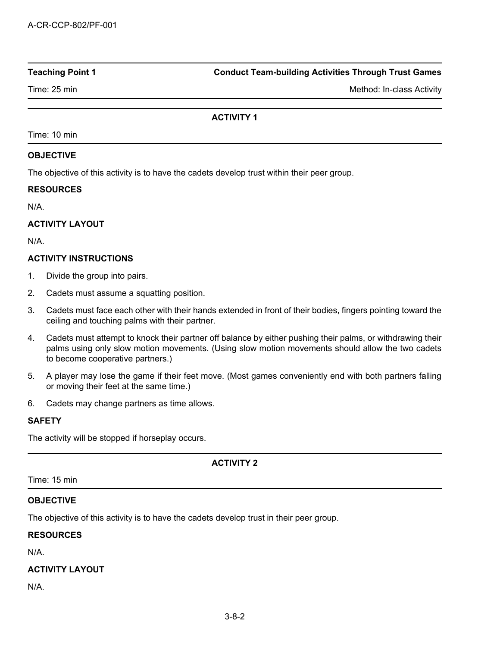# Teaching Point 1 Conduct Team-building Activities Through Trust Games

Time: 25 min Method: In-class Activity

# ACTIVITY 1

Time: 10 min

## **OBJECTIVE**

The objective of this activity is to have the cadets develop trust within their peer group.

### RESOURCES

N/A.

# ACTIVITY LAYOUT

N/A.

# ACTIVITY INSTRUCTIONS

- 1. Divide the group into pairs.
- 2. Cadets must assume a squatting position.
- 3. Cadets must face each other with their hands extended in front of their bodies, fingers pointing toward the ceiling and touching palms with their partner.
- 4. Cadets must attempt to knock their partner off balance by either pushing their palms, or withdrawing their palms using only slow motion movements. (Using slow motion movements should allow the two cadets to become cooperative partners.)
- 5. A player may lose the game if their feet move. (Most games conveniently end with both partners falling or moving their feet at the same time.)
- 6. Cadets may change partners as time allows.

### **SAFETY**

The activity will be stopped if horseplay occurs.

# ACTIVITY 2

Time: 15 min

# **OBJECTIVE**

The objective of this activity is to have the cadets develop trust in their peer group.

#### **RESOURCES**

N/A.

# ACTIVITY LAYOUT

N/A.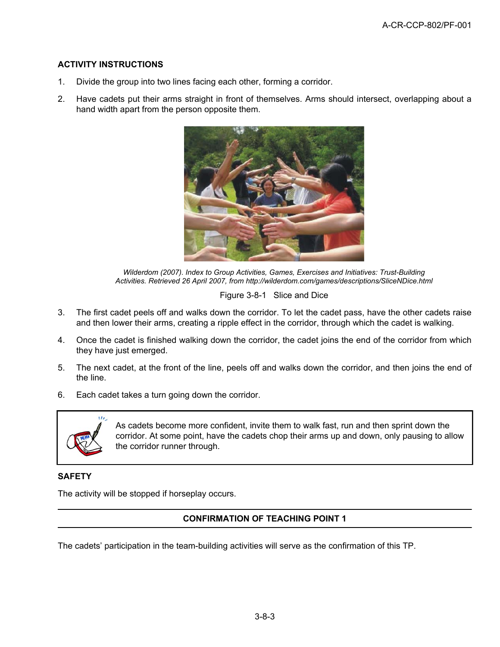# ACTIVITY INSTRUCTIONS

- 1. Divide the group into two lines facing each other, forming a corridor.
- 2. Have cadets put their arms straight in front of themselves. Arms should intersect, overlapping about a hand width apart from the person opposite them.



Wilderdom (2007). Index to Group Activities, Games, Exercises and Initiatives: Trust-Building Activities. Retrieved 26 April 2007, from http://wilderdom.com/games/descriptions/SliceNDice.html

Figure 3-8-1 Slice and Dice

- 3. The first cadet peels off and walks down the corridor. To let the cadet pass, have the other cadets raise and then lower their arms, creating a ripple effect in the corridor, through which the cadet is walking.
- 4. Once the cadet is finished walking down the corridor, the cadet joins the end of the corridor from which they have just emerged.
- 5. The next cadet, at the front of the line, peels off and walks down the corridor, and then joins the end of the line.
- 6. Each cadet takes a turn going down the corridor.



As cadets become more confident, invite them to walk fast, run and then sprint down the corridor. At some point, have the cadets chop their arms up and down, only pausing to allow the corridor runner through.

# **SAFETY**

The activity will be stopped if horseplay occurs.

# CONFIRMATION OF TEACHING POINT 1

The cadets' participation in the team-building activities will serve as the confirmation of this TP.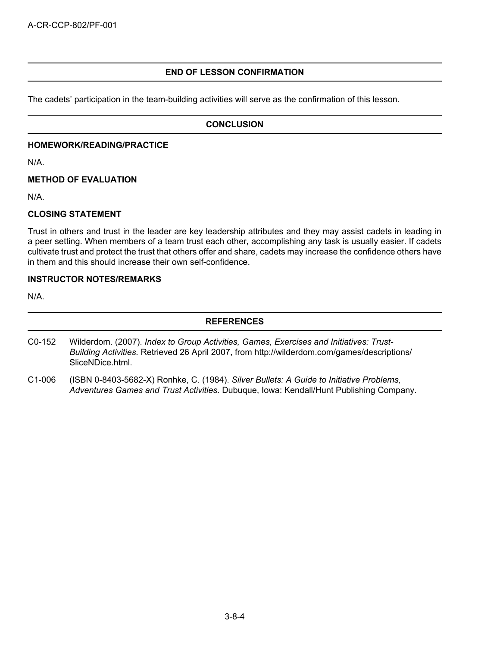# END OF LESSON CONFIRMATION

The cadets' participation in the team-building activities will serve as the confirmation of this lesson.

# **CONCLUSION**

### HOMEWORK/READING/PRACTICE

N/A.

# METHOD OF EVALUATION

N/A.

# CLOSING STATEMENT

Trust in others and trust in the leader are key leadership attributes and they may assist cadets in leading in a peer setting. When members of a team trust each other, accomplishing any task is usually easier. If cadets cultivate trust and protect the trust that others offer and share, cadets may increase the confidence others have in them and this should increase their own self-confidence.

# INSTRUCTOR NOTES/REMARKS

N/A.

# REFERENCES

- C0-152 Wilderdom. (2007). Index to Group Activities, Games, Exercises and Initiatives: Trust-Building Activities. Retrieved 26 April 2007, from http://wilderdom.com/games/descriptions/ SliceNDice.html.
- C1-006 (ISBN 0-8403-5682-X) Ronhke, C. (1984). Silver Bullets: A Guide to Initiative Problems, Adventures Games and Trust Activities. Dubuque, Iowa: Kendall/Hunt Publishing Company.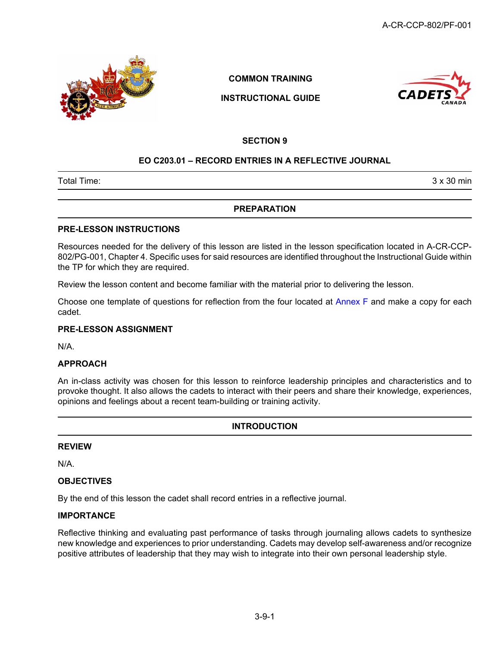

COMMON TRAINING

INSTRUCTIONAL GUIDE



# SECTION 9

# EO C203.01 – RECORD ENTRIES IN A REFLECTIVE JOURNAL

Total Time: 3 x 30 min

# PREPARATION

### PRE-LESSON INSTRUCTIONS

Resources needed for the delivery of this lesson are listed in the lesson specification located in A-CR-CCP-802/PG-001, Chapter 4. Specific uses for said resources are identified throughout the Instructional Guide within the TP for which they are required.

Review the lesson content and become familiar with the material prior to delivering the lesson.

Choose one template of questions for reflection from the four located at Annex F and make a copy for each cadet.

# PRE-LESSON ASSIGNMENT

N/A.

# APPROACH

An in-class activity was chosen for this lesson to reinforce leadership principles and characteristics and to provoke thought. It also allows the cadets to interact with their peers and share their knowledge, experiences, opinions and feelings about a recent team-building or training activity.

# INTRODUCTION

#### REVIEW

N/A.

### **OBJECTIVES**

By the end of this lesson the cadet shall record entries in a reflective journal.

#### IMPORTANCE

Reflective thinking and evaluating past performance of tasks through journaling allows cadets to synthesize new knowledge and experiences to prior understanding. Cadets may develop self-awareness and/or recognize positive attributes of leadership that they may wish to integrate into their own personal leadership style.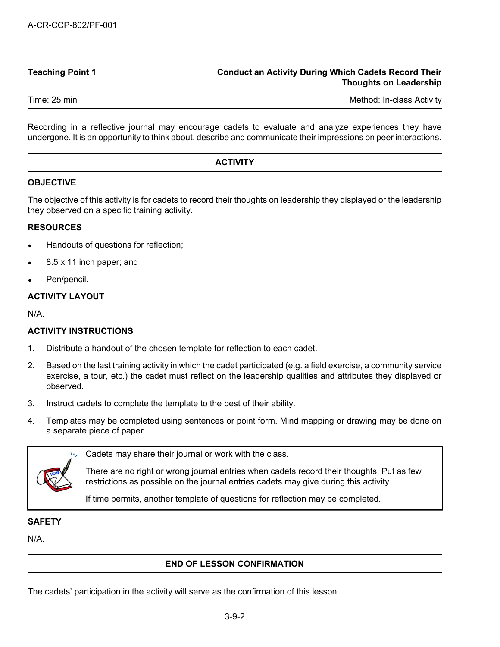# Teaching Point 1 Conduct an Activity During Which Cadets Record Their Thoughts on Leadership

Recording in a reflective journal may encourage cadets to evaluate and analyze experiences they have undergone. It is an opportunity to think about, describe and communicate their impressions on peer interactions.

# **ACTIVITY**

# **OBJECTIVE**

The objective of this activity is for cadets to record their thoughts on leadership they displayed or the leadership they observed on a specific training activity.

# RESOURCES

- Handouts of questions for reflection;
- 8.5 x 11 inch paper; and
- Pen/pencil.

# ACTIVITY LAYOUT

N/A.

# ACTIVITY INSTRUCTIONS

- 1. Distribute a handout of the chosen template for reflection to each cadet.
- 2. Based on the last training activity in which the cadet participated (e.g. a field exercise, a community service exercise, a tour, etc.) the cadet must reflect on the leadership qualities and attributes they displayed or observed.
- 3. Instruct cadets to complete the template to the best of their ability.
- 4. Templates may be completed using sentences or point form. Mind mapping or drawing may be done on a separate piece of paper.



Cadets may share their journal or work with the class.

There are no right or wrong journal entries when cadets record their thoughts. Put as few restrictions as possible on the journal entries cadets may give during this activity.

If time permits, another template of questions for reflection may be completed.

# **SAFETY**

N/A.

# END OF LESSON CONFIRMATION

The cadets' participation in the activity will serve as the confirmation of this lesson.

Time: 25 min Method: In-class Activity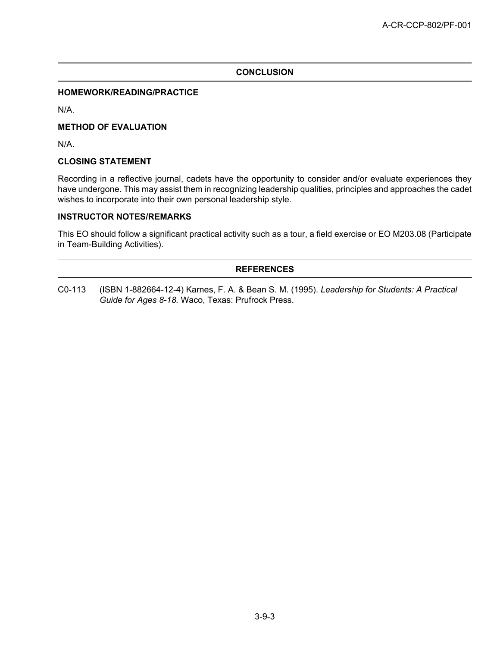# **CONCLUSION**

#### HOMEWORK/READING/PRACTICE

N/A.

# METHOD OF EVALUATION

N/A.

### CLOSING STATEMENT

Recording in a reflective journal, cadets have the opportunity to consider and/or evaluate experiences they have undergone. This may assist them in recognizing leadership qualities, principles and approaches the cadet wishes to incorporate into their own personal leadership style.

### INSTRUCTOR NOTES/REMARKS

This EO should follow a significant practical activity such as a tour, a field exercise or EO M203.08 (Participate in Team-Building Activities).

# **REFERENCES**

C0-113 (ISBN 1-882664-12-4) Karnes, F. A. & Bean S. M. (1995). Leadership for Students: A Practical Guide for Ages 8-18. Waco, Texas: Prufrock Press.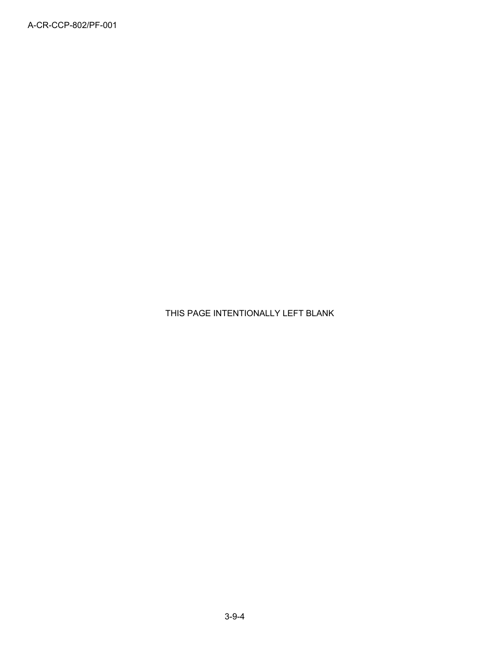THIS PAGE INTENTIONALLY LEFT BLANK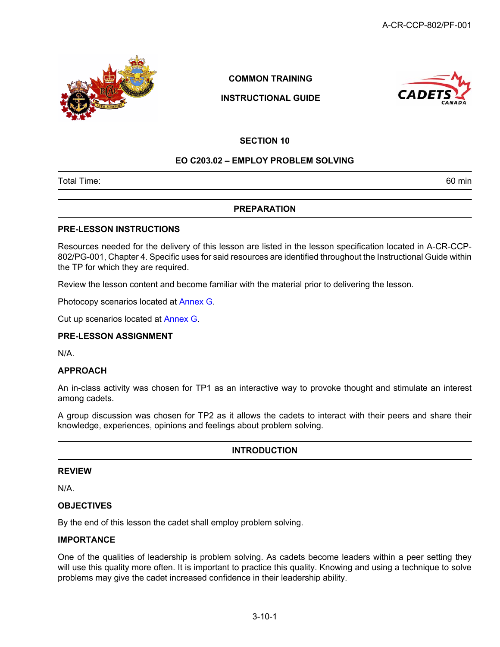

COMMON TRAINING

INSTRUCTIONAL GUIDE



# SECTION 10

#### EO C203.02 – EMPLOY PROBLEM SOLVING

Total Time: 60 min

# PREPARATION

#### PRE-LESSON INSTRUCTIONS

Resources needed for the delivery of this lesson are listed in the lesson specification located in A-CR-CCP-802/PG-001, Chapter 4. Specific uses for said resources are identified throughout the Instructional Guide within the TP for which they are required.

Review the lesson content and become familiar with the material prior to delivering the lesson.

Photocopy scenarios located at Annex G.

Cut up scenarios located at Annex G.

## PRE-LESSON ASSIGNMENT

N/A.

#### APPROACH

An in-class activity was chosen for TP1 as an interactive way to provoke thought and stimulate an interest among cadets.

A group discussion was chosen for TP2 as it allows the cadets to interact with their peers and share their knowledge, experiences, opinions and feelings about problem solving.

#### **INTRODUCTION**

#### REVIEW

N/A.

#### **OBJECTIVES**

By the end of this lesson the cadet shall employ problem solving.

#### IMPORTANCE

One of the qualities of leadership is problem solving. As cadets become leaders within a peer setting they will use this quality more often. It is important to practice this quality. Knowing and using a technique to solve problems may give the cadet increased confidence in their leadership ability.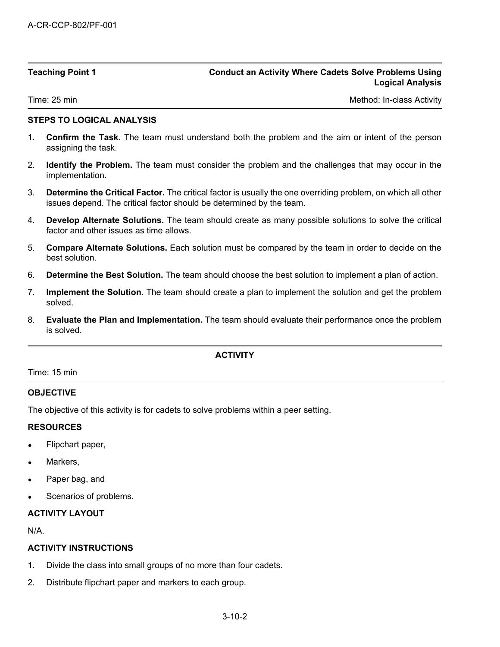# Teaching Point 1 Conduct an Activity Where Cadets Solve Problems Using Logical Analysis

Time: 25 min Method: In-class Activity

# STEPS TO LOGICAL ANALYSIS

- 1. Confirm the Task. The team must understand both the problem and the aim or intent of the person assigning the task.
- 2. **Identify the Problem.** The team must consider the problem and the challenges that may occur in the implementation.
- 3. Determine the Critical Factor. The critical factor is usually the one overriding problem, on which all other issues depend. The critical factor should be determined by the team.
- 4. Develop Alternate Solutions. The team should create as many possible solutions to solve the critical factor and other issues as time allows.
- 5. Compare Alternate Solutions. Each solution must be compared by the team in order to decide on the best solution.
- 6. Determine the Best Solution. The team should choose the best solution to implement a plan of action.
- 7. Implement the Solution. The team should create a plan to implement the solution and get the problem solved.
- 8. Evaluate the Plan and Implementation. The team should evaluate their performance once the problem is solved.

# **ACTIVITY**

Time: 15 min

# **OBJECTIVE**

The objective of this activity is for cadets to solve problems within a peer setting.

# **RESOURCES**

- Flipchart paper,
- Markers,
- Paper bag, and  $\bullet$
- Scenarios of problems.

# ACTIVITY LAYOUT

N/A.

# ACTIVITY INSTRUCTIONS

- 1. Divide the class into small groups of no more than four cadets.
- 2. Distribute flipchart paper and markers to each group.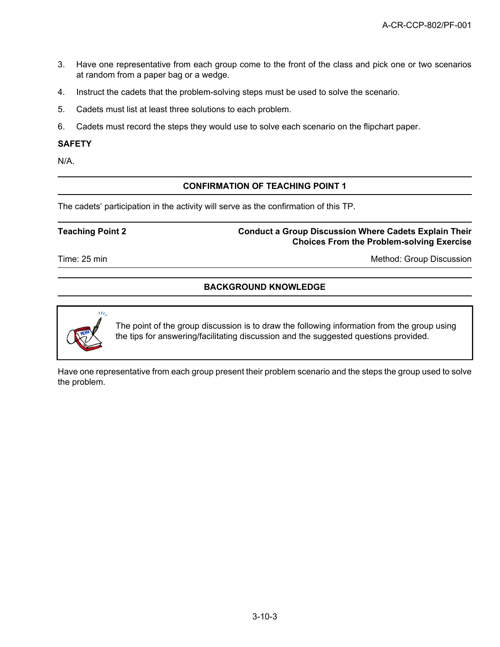- 3. Have one representative from each group come to the front of the class and pick one or two scenarios at random from a paper bag or a wedge.
- 4. Instruct the cadets that the problem-solving steps must be used to solve the scenario.
- 5. Cadets must list at least three solutions to each problem.
- 6. Cadets must record the steps they would use to solve each scenario on the flipchart paper.

# **SAFETY**

N/A.

# CONFIRMATION OF TEACHING POINT 1

The cadets' participation in the activity will serve as the confirmation of this TP.

## Teaching Point 2 Conduct a Group Discussion Where Cadets Explain Their Choices From the Problem-solving Exercise

Time: 25 min Method: Group Discussion

# BACKGROUND KNOWLEDGE



The point of the group discussion is to draw the following information from the group using the tips for answering/facilitating discussion and the suggested questions provided.

Have one representative from each group present their problem scenario and the steps the group used to solve the problem.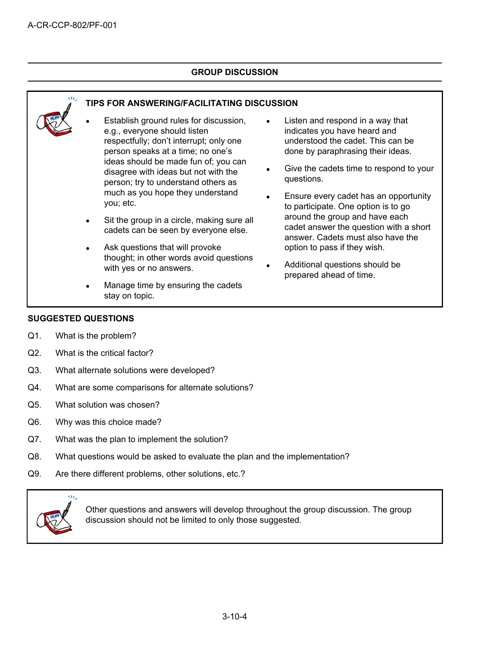# GROUP DISCUSSION

# TIPS FOR ANSWERING/FACILITATING DISCUSSION

- Establish ground rules for discussion, e.g., everyone should listen respectfully; don't interrupt; only one person speaks at a time; no one's ideas should be made fun of; you can disagree with ideas but not with the person; try to understand others as much as you hope they understand you; etc.
- Sit the group in a circle, making sure all cadets can be seen by everyone else.
- Ask questions that will provoke thought; in other words avoid questions with yes or no answers.
- Manage time by ensuring the cadets stay on topic.
- Listen and respond in a way that indicates you have heard and understood the cadet. This can be done by paraphrasing their ideas.
- Give the cadets time to respond to your questions.
- Ensure every cadet has an opportunity to participate. One option is to go around the group and have each cadet answer the question with a short answer. Cadets must also have the option to pass if they wish.
- Additional questions should be prepared ahead of time.

# SUGGESTED QUESTIONS

- Q1. What is the problem?
- Q2. What is the critical factor?
- Q3. What alternate solutions were developed?
- Q4. What are some comparisons for alternate solutions?
- Q5. What solution was chosen?
- Q6. Why was this choice made?
- Q7. What was the plan to implement the solution?
- Q8. What questions would be asked to evaluate the plan and the implementation?
- Q9. Are there different problems, other solutions, etc.?



Other questions and answers will develop throughout the group discussion. The group discussion should not be limited to only those suggested.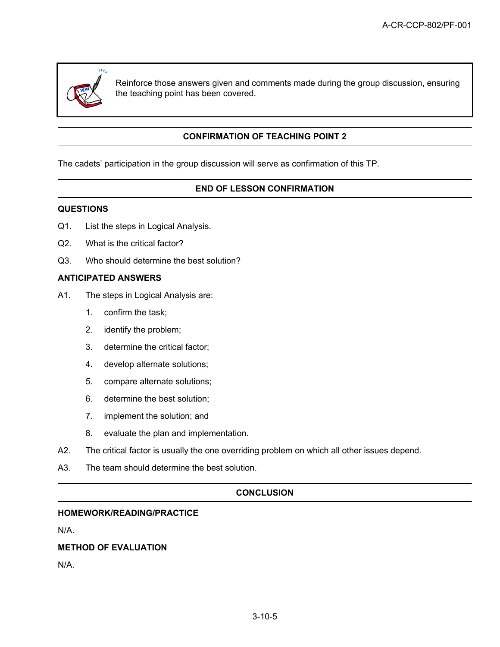

Reinforce those answers given and comments made during the group discussion, ensuring the teaching point has been covered.

# CONFIRMATION OF TEACHING POINT 2

The cadets' participation in the group discussion will serve as confirmation of this TP.

# END OF LESSON CONFIRMATION

### **QUESTIONS**

- Q1. List the steps in Logical Analysis.
- Q2. What is the critical factor?
- Q3. Who should determine the best solution?

# ANTICIPATED ANSWERS

- A1. The steps in Logical Analysis are:
	- 1. confirm the task;
	- 2. identify the problem;
	- 3. determine the critical factor;
	- 4. develop alternate solutions;
	- 5. compare alternate solutions;
	- 6. determine the best solution;
	- 7. implement the solution; and
	- 8. evaluate the plan and implementation.
- A2. The critical factor is usually the one overriding problem on which all other issues depend.
- A3. The team should determine the best solution.

# **CONCLUSION**

#### HOMEWORK/READING/PRACTICE

N/A.

# METHOD OF EVALUATION

N/A.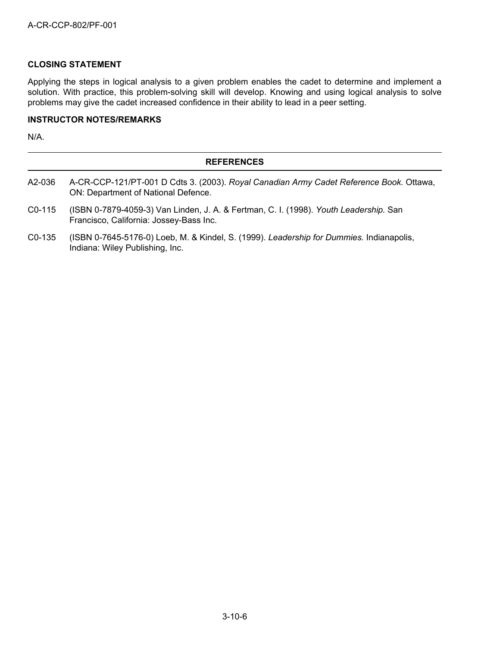# CLOSING STATEMENT

Applying the steps in logical analysis to a given problem enables the cadet to determine and implement a solution. With practice, this problem-solving skill will develop. Knowing and using logical analysis to solve problems may give the cadet increased confidence in their ability to lead in a peer setting.

## INSTRUCTOR NOTES/REMARKS

N/A.

|                     | <b>REFERENCES</b>                                                                                                                |
|---------------------|----------------------------------------------------------------------------------------------------------------------------------|
| A2-036              | A-CR-CCP-121/PT-001 D Cdts 3. (2003). Royal Canadian Army Cadet Reference Book. Ottawa,<br>ON: Department of National Defence.   |
| C <sub>0</sub> -115 | (ISBN 0-7879-4059-3) Van Linden, J. A. & Fertman, C. I. (1998). Youth Leadership. San<br>Francisco, California: Jossey-Bass Inc. |
| C0-135              | (ISBN 0-7645-5176-0) Loeb, M. & Kindel, S. (1999). Leadership for Dummies. Indianapolis,<br>Indiana: Wiley Publishing, Inc.      |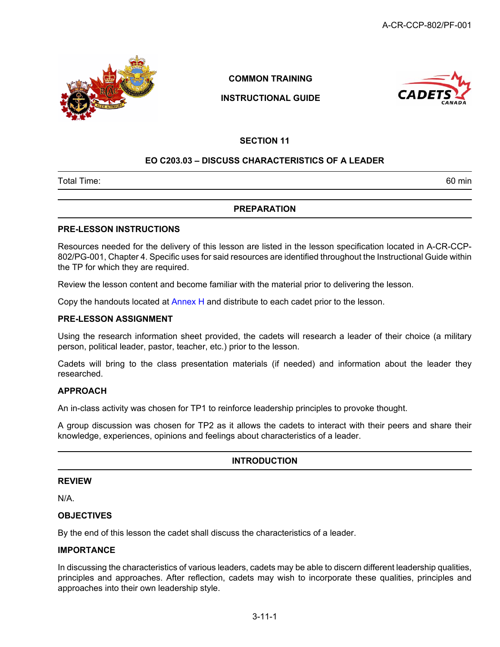

COMMON TRAINING

INSTRUCTIONAL GUIDE



# SECTION 11

### EO C203.03 – DISCUSS CHARACTERISTICS OF A LEADER

Total Time: 60 min

# PREPARATION

#### PRE-LESSON INSTRUCTIONS

Resources needed for the delivery of this lesson are listed in the lesson specification located in A-CR-CCP-802/PG-001, Chapter 4. Specific uses for said resources are identified throughout the Instructional Guide within the TP for which they are required.

Review the lesson content and become familiar with the material prior to delivering the lesson.

Copy the handouts located at Annex H and distribute to each cadet prior to the lesson.

#### PRE-LESSON ASSIGNMENT

Using the research information sheet provided, the cadets will research a leader of their choice (a military person, political leader, pastor, teacher, etc.) prior to the lesson.

Cadets will bring to the class presentation materials (if needed) and information about the leader they researched.

### APPROACH

An in-class activity was chosen for TP1 to reinforce leadership principles to provoke thought.

A group discussion was chosen for TP2 as it allows the cadets to interact with their peers and share their knowledge, experiences, opinions and feelings about characteristics of a leader.

# INTRODUCTION

#### REVIEW

N/A.

#### **OBJECTIVES**

By the end of this lesson the cadet shall discuss the characteristics of a leader.

#### **IMPORTANCE**

In discussing the characteristics of various leaders, cadets may be able to discern different leadership qualities, principles and approaches. After reflection, cadets may wish to incorporate these qualities, principles and approaches into their own leadership style.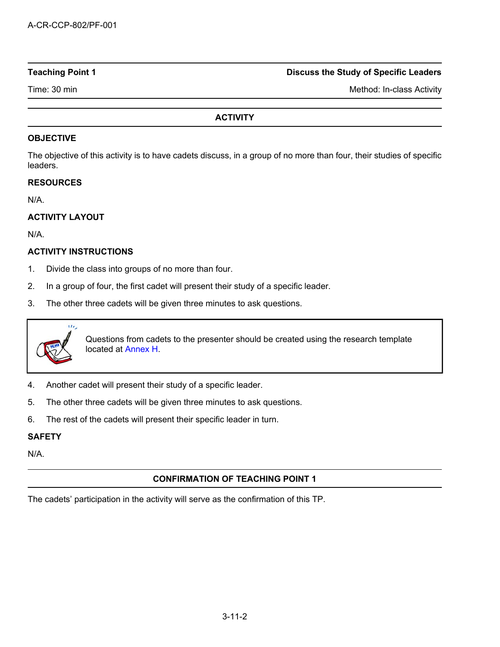# Teaching Point 1 **Discuss the Study of Specific Leaders**

Time: 30 min Method: In-class Activity

# **ACTIVITY**

# **OBJECTIVE**

The objective of this activity is to have cadets discuss, in a group of no more than four, their studies of specific leaders.

# **RESOURCES**

N/A.

# ACTIVITY LAYOUT

N/A.

# ACTIVITY INSTRUCTIONS

- 1. Divide the class into groups of no more than four.
- 2. In a group of four, the first cadet will present their study of a specific leader.
- 3. The other three cadets will be given three minutes to ask questions.



Questions from cadets to the presenter should be created using the research template located at Annex H.

- 4. Another cadet will present their study of a specific leader.
- 5. The other three cadets will be given three minutes to ask questions.
- 6. The rest of the cadets will present their specific leader in turn.

# **SAFETY**

N/A.

# CONFIRMATION OF TEACHING POINT 1

The cadets' participation in the activity will serve as the confirmation of this TP.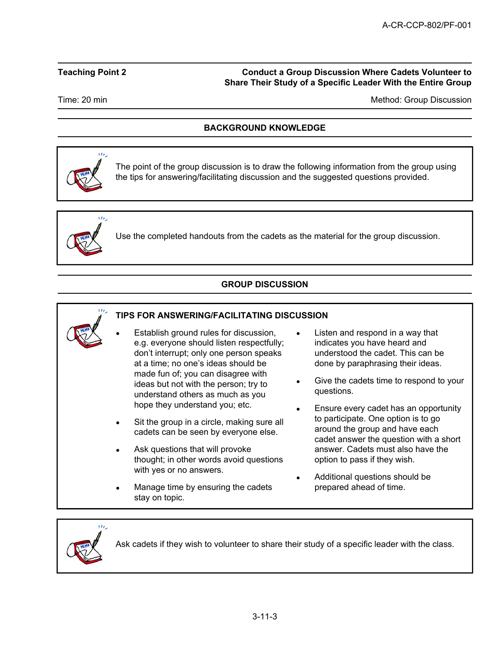# Teaching Point 2 Conduct a Group Discussion Where Cadets Volunteer to Share Their Study of a Specific Leader With the Entire Group

Time: 20 min Method: Group Discussion Nethod: Group Discussion

# BACKGROUND KNOWLEDGE



The point of the group discussion is to draw the following information from the group using the tips for answering/facilitating discussion and the suggested questions provided.



Use the completed handouts from the cadets as the material for the group discussion.

# GROUP DISCUSSION

# TIPS FOR ANSWERING/FACILITATING DISCUSSION

- Establish ground rules for discussion, e.g. everyone should listen respectfully; don't interrupt; only one person speaks at a time; no one's ideas should be made fun of; you can disagree with ideas but not with the person; try to understand others as much as you hope they understand you; etc.
- Sit the group in a circle, making sure all cadets can be seen by everyone else.
- Ask questions that will provoke thought; in other words avoid questions with yes or no answers.
- Manage time by ensuring the cadets stay on topic.
- Listen and respond in a way that indicates you have heard and understood the cadet. This can be done by paraphrasing their ideas.
- Give the cadets time to respond to your questions.
- Ensure every cadet has an opportunity to participate. One option is to go around the group and have each cadet answer the question with a short answer. Cadets must also have the option to pass if they wish.
- Additional questions should be prepared ahead of time.



Ask cadets if they wish to volunteer to share their study of a specific leader with the class.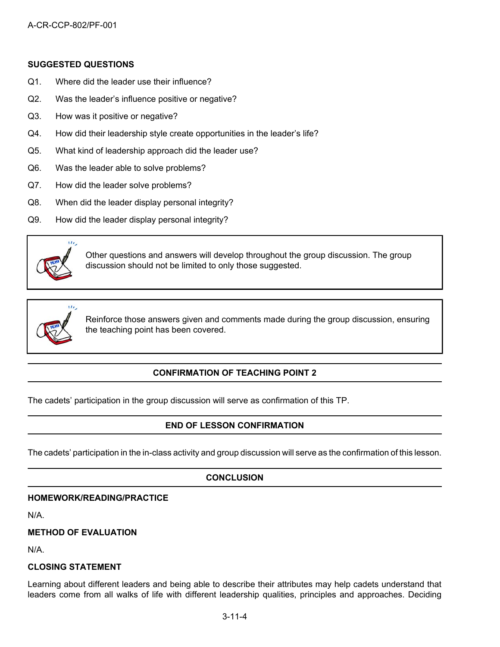# SUGGESTED QUESTIONS

- Q1. Where did the leader use their influence?
- Q2. Was the leader's influence positive or negative?
- Q3. How was it positive or negative?
- Q4. How did their leadership style create opportunities in the leader's life?
- Q5. What kind of leadership approach did the leader use?
- Q6. Was the leader able to solve problems?
- Q7. How did the leader solve problems?
- Q8. When did the leader display personal integrity?
- Q9. How did the leader display personal integrity?



Other questions and answers will develop throughout the group discussion. The group discussion should not be limited to only those suggested.



Reinforce those answers given and comments made during the group discussion, ensuring the teaching point has been covered.

# CONFIRMATION OF TEACHING POINT 2

The cadets' participation in the group discussion will serve as confirmation of this TP.

# END OF LESSON CONFIRMATION

The cadets' participation in the in-class activity and group discussion will serve as the confirmation of this lesson.

#### **CONCLUSION**

#### HOMEWORK/READING/PRACTICE

N/A.

# METHOD OF EVALUATION

N/A.

#### CLOSING STATEMENT

Learning about different leaders and being able to describe their attributes may help cadets understand that leaders come from all walks of life with different leadership qualities, principles and approaches. Deciding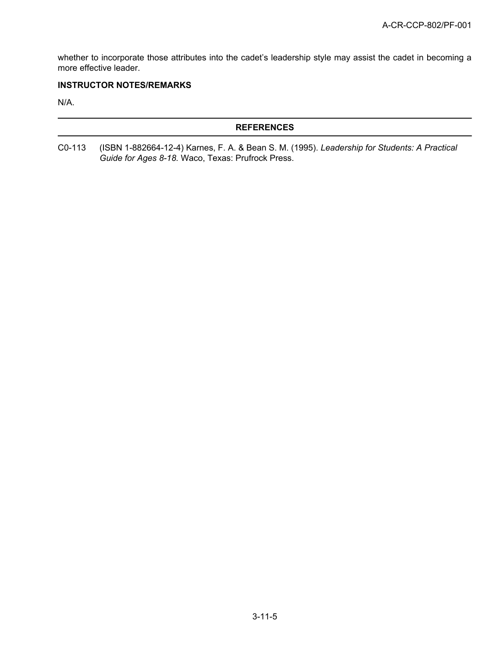whether to incorporate those attributes into the cadet's leadership style may assist the cadet in becoming a more effective leader.

# INSTRUCTOR NOTES/REMARKS

N/A.

# REFERENCES

C0-113 (ISBN 1-882664-12-4) Karnes, F. A. & Bean S. M. (1995). Leadership for Students: A Practical Guide for Ages 8-18. Waco, Texas: Prufrock Press.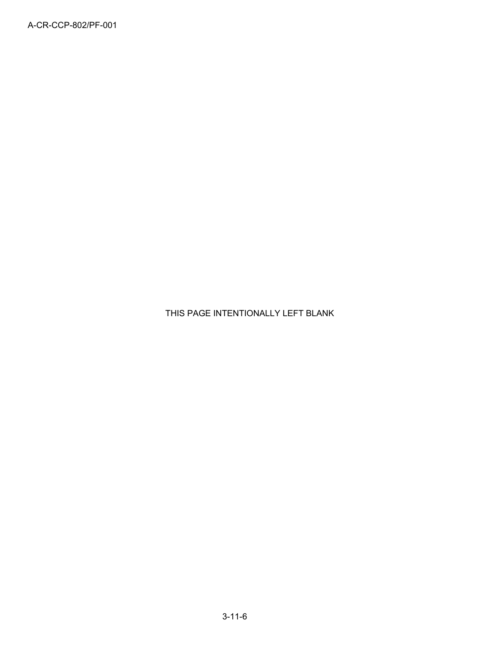THIS PAGE INTENTIONALLY LEFT BLANK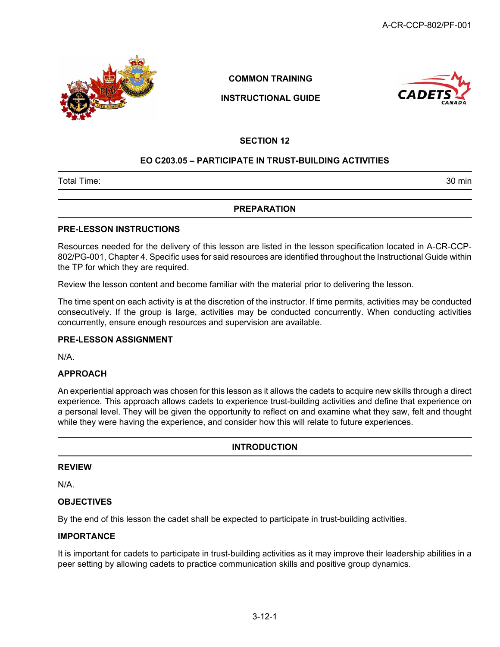

COMMON TRAINING

INSTRUCTIONAL GUIDE



### SECTION 12

### EO C203.05 – PARTICIPATE IN TRUST-BUILDING ACTIVITIES

Total Time: 30 min

## PREPARATION

### PRE-LESSON INSTRUCTIONS

Resources needed for the delivery of this lesson are listed in the lesson specification located in A-CR-CCP-802/PG-001, Chapter 4. Specific uses for said resources are identified throughout the Instructional Guide within the TP for which they are required.

Review the lesson content and become familiar with the material prior to delivering the lesson.

The time spent on each activity is at the discretion of the instructor. If time permits, activities may be conducted consecutively. If the group is large, activities may be conducted concurrently. When conducting activities concurrently, ensure enough resources and supervision are available.

### PRE-LESSON ASSIGNMENT

N/A.

### APPROACH

An experiential approach was chosen for this lesson as it allows the cadets to acquire new skills through a direct experience. This approach allows cadets to experience trust-building activities and define that experience on a personal level. They will be given the opportunity to reflect on and examine what they saw, felt and thought while they were having the experience, and consider how this will relate to future experiences.

## INTRODUCTION

#### REVIEW

N/A.

### **OBJECTIVES**

By the end of this lesson the cadet shall be expected to participate in trust-building activities.

### **IMPORTANCE**

It is important for cadets to participate in trust-building activities as it may improve their leadership abilities in a peer setting by allowing cadets to practice communication skills and positive group dynamics.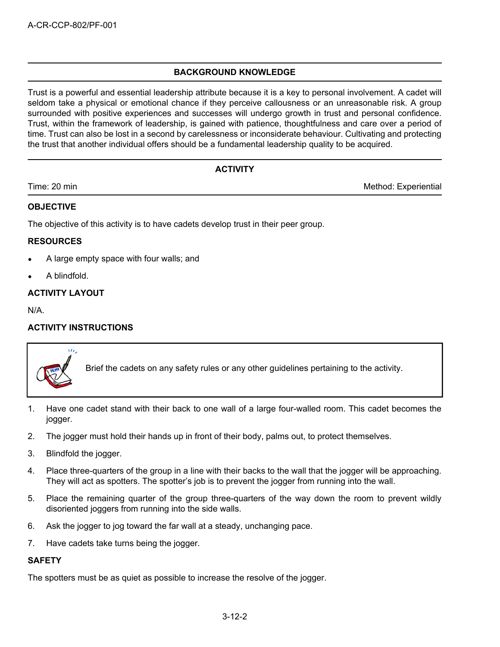# BACKGROUND KNOWLEDGE

Trust is a powerful and essential leadership attribute because it is a key to personal involvement. A cadet will seldom take a physical or emotional chance if they perceive callousness or an unreasonable risk. A group surrounded with positive experiences and successes will undergo growth in trust and personal confidence. Trust, within the framework of leadership, is gained with patience, thoughtfulness and care over a period of time. Trust can also be lost in a second by carelessness or inconsiderate behaviour. Cultivating and protecting the trust that another individual offers should be a fundamental leadership quality to be acquired.

# **ACTIVITY**

Time: 20 min Method: Experiential Company of the Method: Experiential Method: Experiential

# **OBJECTIVE**

The objective of this activity is to have cadets develop trust in their peer group.

## RESOURCES

- A large empty space with four walls; and
- A blindfold.

# ACTIVITY LAYOUT

N/A.

# ACTIVITY INSTRUCTIONS



Brief the cadets on any safety rules or any other guidelines pertaining to the activity.

- 1. Have one cadet stand with their back to one wall of a large four-walled room. This cadet becomes the jogger.
- 2. The jogger must hold their hands up in front of their body, palms out, to protect themselves.
- 3. Blindfold the jogger.
- 4. Place three-quarters of the group in a line with their backs to the wall that the jogger will be approaching. They will act as spotters. The spotter's job is to prevent the jogger from running into the wall.
- 5. Place the remaining quarter of the group three-quarters of the way down the room to prevent wildly disoriented joggers from running into the side walls.
- 6. Ask the jogger to jog toward the far wall at a steady, unchanging pace.
- 7. Have cadets take turns being the jogger.

### **SAFETY**

The spotters must be as quiet as possible to increase the resolve of the jogger.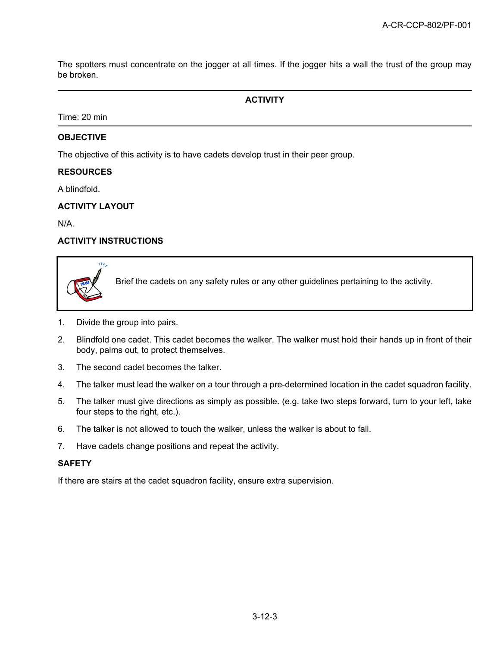The spotters must concentrate on the jogger at all times. If the jogger hits a wall the trust of the group may be broken.

# **ACTIVITY**

Time: 20 min

### **OBJECTIVE**

The objective of this activity is to have cadets develop trust in their peer group.

### RESOURCES

A blindfold.

# ACTIVITY LAYOUT

N/A.

# ACTIVITY INSTRUCTIONS



Brief the cadets on any safety rules or any other guidelines pertaining to the activity.

- 1. Divide the group into pairs.
- 2. Blindfold one cadet. This cadet becomes the walker. The walker must hold their hands up in front of their body, palms out, to protect themselves.
- 3. The second cadet becomes the talker.
- 4. The talker must lead the walker on a tour through a pre-determined location in the cadet squadron facility.
- 5. The talker must give directions as simply as possible. (e.g. take two steps forward, turn to your left, take four steps to the right, etc.).
- 6. The talker is not allowed to touch the walker, unless the walker is about to fall.
- 7. Have cadets change positions and repeat the activity.

### **SAFETY**

If there are stairs at the cadet squadron facility, ensure extra supervision.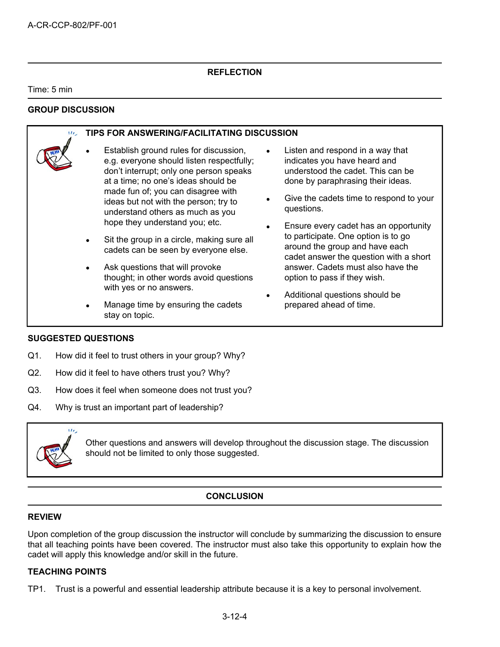# REFLECTION

Time: 5 min

# GROUP DISCUSSION

| $\mathcal{U}_{\mathcal{F}_{\mathcal{F}}}$ | TIPS FOR ANSWERING/FACILITATING DISCUSSION                                                                                                                            |           |                                                                                                                                            |  |
|-------------------------------------------|-----------------------------------------------------------------------------------------------------------------------------------------------------------------------|-----------|--------------------------------------------------------------------------------------------------------------------------------------------|--|
|                                           | Establish ground rules for discussion,<br>e.g. everyone should listen respectfully;<br>don't interrupt; only one person speaks<br>at a time; no one's ideas should be |           | Listen and respond in a way that<br>indicates you have heard and<br>understood the cadet. This can be<br>done by paraphrasing their ideas. |  |
|                                           | made fun of; you can disagree with<br>ideas but not with the person; try to<br>understand others as much as you                                                       |           | Give the cadets time to respond to your<br>questions.                                                                                      |  |
|                                           | hope they understand you; etc.                                                                                                                                        | $\bullet$ | Ensure every cadet has an opportunity                                                                                                      |  |
|                                           | Sit the group in a circle, making sure all<br>cadets can be seen by everyone else.                                                                                    |           | to participate. One option is to go<br>around the group and have each<br>cadet answer the question with a short                            |  |
|                                           | Ask questions that will provoke<br>thought; in other words avoid questions<br>with yes or no answers.                                                                 |           | answer. Cadets must also have the<br>option to pass if they wish.                                                                          |  |
|                                           |                                                                                                                                                                       | $\bullet$ | Additional questions should be                                                                                                             |  |
|                                           | Manage time by ensuring the cadets<br>stay on topic.                                                                                                                  |           | prepared ahead of time.                                                                                                                    |  |

## SUGGESTED QUESTIONS

- Q1. How did it feel to trust others in your group? Why?
- Q2. How did it feel to have others trust you? Why?
- Q3. How does it feel when someone does not trust you?
- Q4. Why is trust an important part of leadership?



Other questions and answers will develop throughout the discussion stage. The discussion should not be limited to only those suggested.

# **CONCLUSION**

## REVIEW

Upon completion of the group discussion the instructor will conclude by summarizing the discussion to ensure that all teaching points have been covered. The instructor must also take this opportunity to explain how the cadet will apply this knowledge and/or skill in the future.

# TEACHING POINTS

TP1. Trust is a powerful and essential leadership attribute because it is a key to personal involvement.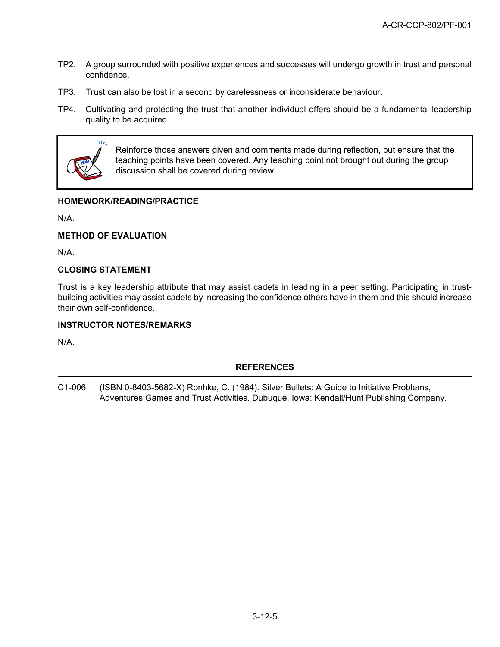- TP2. A group surrounded with positive experiences and successes will undergo growth in trust and personal confidence.
- TP3. Trust can also be lost in a second by carelessness or inconsiderate behaviour.
- TP4. Cultivating and protecting the trust that another individual offers should be a fundamental leadership quality to be acquired.



Reinforce those answers given and comments made during reflection, but ensure that the teaching points have been covered. Any teaching point not brought out during the group discussion shall be covered during review.

## HOMEWORK/READING/PRACTICE

N/A.

## METHOD OF EVALUATION

N/A.

### CLOSING STATEMENT

Trust is a key leadership attribute that may assist cadets in leading in a peer setting. Participating in trustbuilding activities may assist cadets by increasing the confidence others have in them and this should increase their own self-confidence.

## INSTRUCTOR NOTES/REMARKS

N/A.

# **REFERENCES**

C1-006 (ISBN 0-8403-5682-X) Ronhke, C. (1984). Silver Bullets: A Guide to Initiative Problems, Adventures Games and Trust Activities. Dubuque, Iowa: Kendall/Hunt Publishing Company.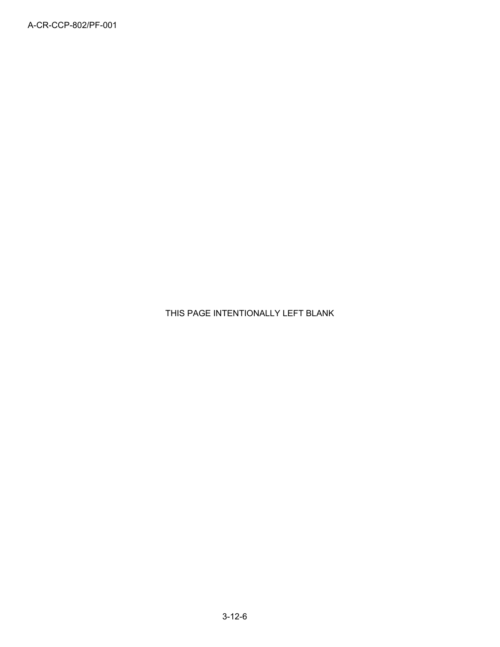THIS PAGE INTENTIONALLY LEFT BLANK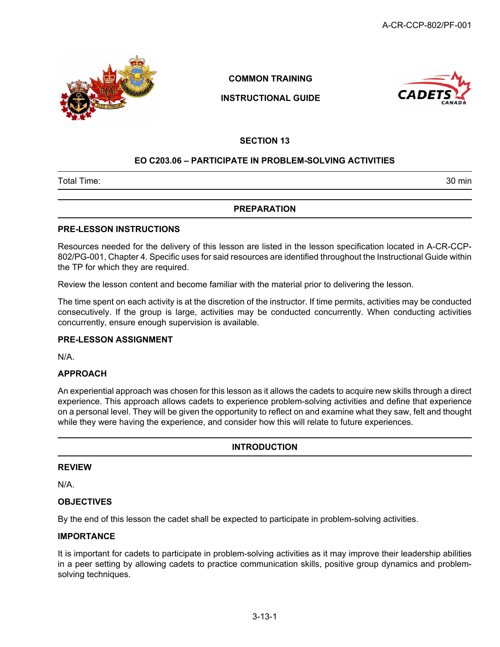

COMMON TRAINING

INSTRUCTIONAL GUIDE



### SECTION 13

### EO C203.06 – PARTICIPATE IN PROBLEM-SOLVING ACTIVITIES

Total Time: 30 min

## PREPARATION

### PRE-LESSON INSTRUCTIONS

Resources needed for the delivery of this lesson are listed in the lesson specification located in A-CR-CCP-802/PG-001, Chapter 4. Specific uses for said resources are identified throughout the Instructional Guide within the TP for which they are required.

Review the lesson content and become familiar with the material prior to delivering the lesson.

The time spent on each activity is at the discretion of the instructor. If time permits, activities may be conducted consecutively. If the group is large, activities may be conducted concurrently. When conducting activities concurrently, ensure enough supervision is available.

### PRE-LESSON ASSIGNMENT

N/A.

## APPROACH

An experiential approach was chosen for this lesson as it allows the cadets to acquire new skills through a direct experience. This approach allows cadets to experience problem-solving activities and define that experience on a personal level. They will be given the opportunity to reflect on and examine what they saw, felt and thought while they were having the experience, and consider how this will relate to future experiences.

## INTRODUCTION

### REVIEW

N/A.

### **OBJECTIVES**

By the end of this lesson the cadet shall be expected to participate in problem-solving activities.

### **IMPORTANCE**

It is important for cadets to participate in problem-solving activities as it may improve their leadership abilities in a peer setting by allowing cadets to practice communication skills, positive group dynamics and problemsolving techniques.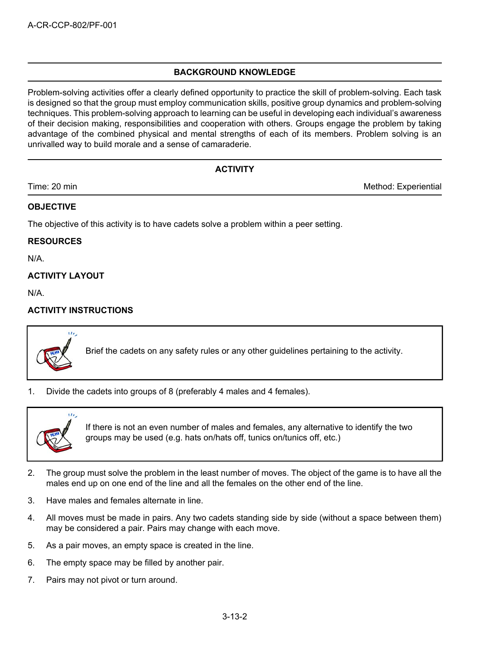# BACKGROUND KNOWLEDGE

Problem-solving activities offer a clearly defined opportunity to practice the skill of problem-solving. Each task is designed so that the group must employ communication skills, positive group dynamics and problem-solving techniques. This problem-solving approach to learning can be useful in developing each individual's awareness of their decision making, responsibilities and cooperation with others. Groups engage the problem by taking advantage of the combined physical and mental strengths of each of its members. Problem solving is an unrivalled way to build morale and a sense of camaraderie.

## **ACTIVITY**

Time: 20 min Method: Experiential Company of the Method: Experiential Method: Experiential

## **OBJECTIVE**

The objective of this activity is to have cadets solve a problem within a peer setting.

### RESOURCES

N/A.

# ACTIVITY LAYOUT

N/A.

# ACTIVITY INSTRUCTIONS



Brief the cadets on any safety rules or any other guidelines pertaining to the activity.

1. Divide the cadets into groups of 8 (preferably 4 males and 4 females).



If there is not an even number of males and females, any alternative to identify the two groups may be used (e.g. hats on/hats off, tunics on/tunics off, etc.)

- 2. The group must solve the problem in the least number of moves. The object of the game is to have all the males end up on one end of the line and all the females on the other end of the line.
- 3. Have males and females alternate in line.
- 4. All moves must be made in pairs. Any two cadets standing side by side (without a space between them) may be considered a pair. Pairs may change with each move.
- 5. As a pair moves, an empty space is created in the line.
- 6. The empty space may be filled by another pair.
- 7. Pairs may not pivot or turn around.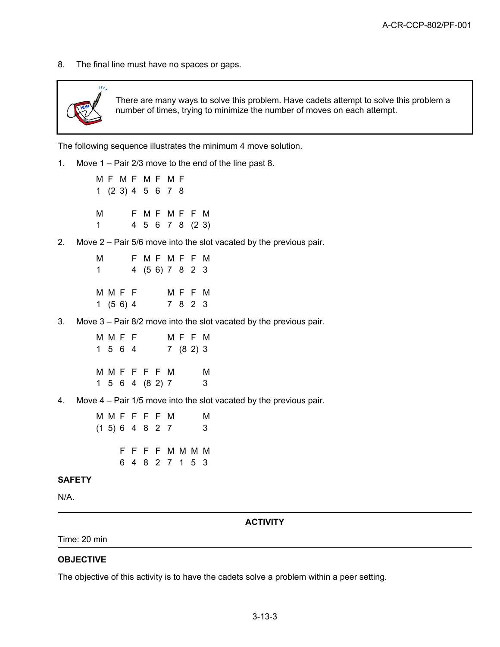8. The final line must have no spaces or gaps.



There are many ways to solve this problem. Have cadets attempt to solve this problem a number of times, trying to minimize the number of moves on each attempt.

The following sequence illustrates the minimum 4 move solution.

1. Move 1 – Pair 2/3 move to the end of the line past 8.

 M F M F M F M F 1 (2 3) 4 5 6 7 8 M F M F M F F M 1 4 5 6 7 8 (2 3)

2. Move 2 – Pair 5/6 move into the slot vacated by the previous pair.

 M F M F M F F M 1 4 (5 6) 7 8 2 3 M M F F M F F M 1 (5 6) 4 7 8 2 3

3. Move 3 – Pair 8/2 move into the slot vacated by the previous pair.

M M F F M F F M 1 5 6 4 7 (8 2) 3 M M F F F F M M 1 5 6 4 (8 2) 7 3

4. Move 4 – Pair 1/5 move into the slot vacated by the previous pair.

 M M F F F F M M (1 5) 6 4 8 2 7 3 F F F F M M M M 6 4 8 2 7 1 5 3

#### **SAFETY**

N/A.

## **ACTIVITY**

Time: 20 min

#### **OBJECTIVE**

The objective of this activity is to have the cadets solve a problem within a peer setting.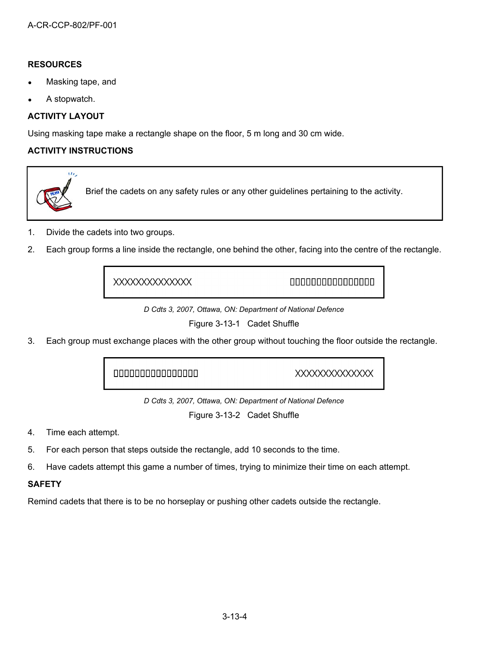# **RESOURCES**

- Masking tape, and
- A stopwatch.

# ACTIVITY LAYOUT

Using masking tape make a rectangle shape on the floor, 5 m long and 30 cm wide.

# ACTIVITY INSTRUCTIONS



Brief the cadets on any safety rules or any other guidelines pertaining to the activity.

- 1. Divide the cadets into two groups.
- 2. Each group forms a line inside the rectangle, one behind the other, facing into the centre of the rectangle.

**XXXXXXXXXXXXX** 

000000000000000

D Cdts 3, 2007, Ottawa, ON: Department of National Defence

Figure 3-13-1 Cadet Shuffle

3. Each group must exchange places with the other group without touching the floor outside the rectangle.

000000000000000

**XXXXXXXXXXXXX** 

D Cdts 3, 2007, Ottawa, ON: Department of National Defence Figure 3-13-2 Cadet Shuffle

- 4. Time each attempt.
- 5. For each person that steps outside the rectangle, add 10 seconds to the time.
- 6. Have cadets attempt this game a number of times, trying to minimize their time on each attempt.

## **SAFETY**

Remind cadets that there is to be no horseplay or pushing other cadets outside the rectangle.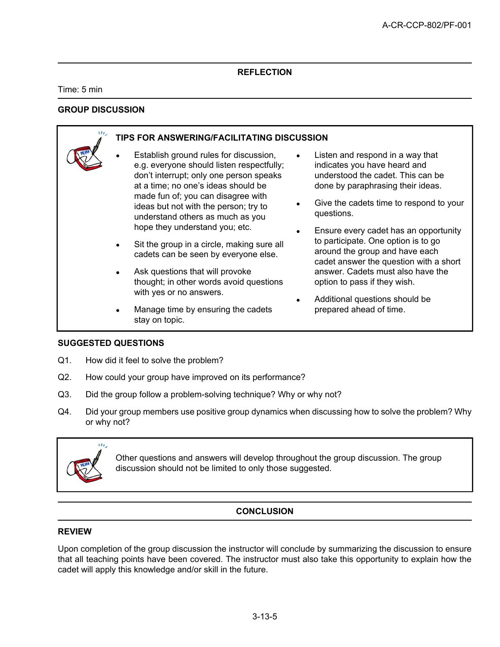## **REFLECTION**

Time: 5 min

# GROUP DISCUSSION

| TIPS FOR ANSWERING/FACILITATING DISCUSSION |                                                                                                                                                                                                             |           |                                                                                                                                            |
|--------------------------------------------|-------------------------------------------------------------------------------------------------------------------------------------------------------------------------------------------------------------|-----------|--------------------------------------------------------------------------------------------------------------------------------------------|
|                                            | Establish ground rules for discussion,<br>e.g. everyone should listen respectfully;<br>don't interrupt; only one person speaks<br>at a time; no one's ideas should be<br>made fun of; you can disagree with | $\bullet$ | Listen and respond in a way that<br>indicates you have heard and<br>understood the cadet. This can be<br>done by paraphrasing their ideas. |
|                                            | ideas but not with the person; try to<br>understand others as much as you                                                                                                                                   |           | Give the cadets time to respond to your<br>questions.                                                                                      |
|                                            | hope they understand you; etc.                                                                                                                                                                              | $\bullet$ | Ensure every cadet has an opportunity                                                                                                      |
|                                            | Sit the group in a circle, making sure all<br>cadets can be seen by everyone else.                                                                                                                          |           | to participate. One option is to go<br>around the group and have each<br>cadet answer the question with a short                            |
|                                            | Ask questions that will provoke<br>thought; in other words avoid questions<br>with yes or no answers.                                                                                                       |           | answer. Cadets must also have the<br>option to pass if they wish.                                                                          |
|                                            |                                                                                                                                                                                                             |           | Additional questions should be                                                                                                             |
|                                            | Manage time by ensuring the cadets<br>stay on topic.                                                                                                                                                        |           | prepared ahead of time.                                                                                                                    |

### SUGGESTED QUESTIONS

- Q1. How did it feel to solve the problem?
- Q2. How could your group have improved on its performance?
- Q3. Did the group follow a problem-solving technique? Why or why not?
- Q4. Did your group members use positive group dynamics when discussing how to solve the problem? Why or why not?



Other questions and answers will develop throughout the group discussion. The group discussion should not be limited to only those suggested.

# **CONCLUSION**

### REVIEW

Upon completion of the group discussion the instructor will conclude by summarizing the discussion to ensure that all teaching points have been covered. The instructor must also take this opportunity to explain how the cadet will apply this knowledge and/or skill in the future.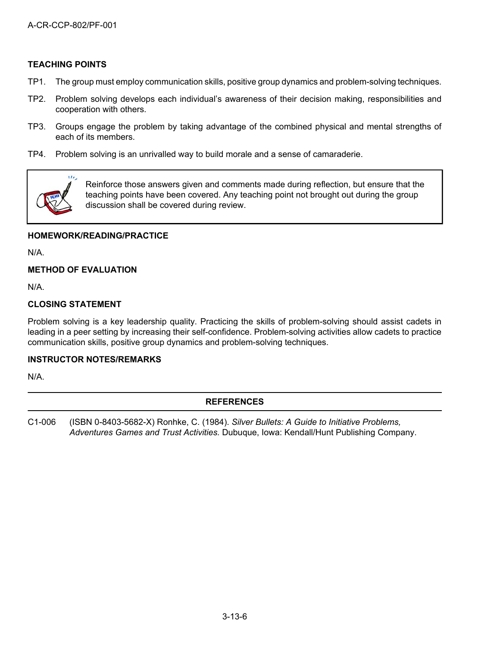## TEACHING POINTS

- TP1. The group must employ communication skills, positive group dynamics and problem-solving techniques.
- TP2. Problem solving develops each individual's awareness of their decision making, responsibilities and cooperation with others.
- TP3. Groups engage the problem by taking advantage of the combined physical and mental strengths of each of its members.
- TP4. Problem solving is an unrivalled way to build morale and a sense of camaraderie.



Reinforce those answers given and comments made during reflection, but ensure that the teaching points have been covered. Any teaching point not brought out during the group discussion shall be covered during review.

### HOMEWORK/READING/PRACTICE

N/A.

## METHOD OF EVALUATION

N/A.

## CLOSING STATEMENT

Problem solving is a key leadership quality. Practicing the skills of problem-solving should assist cadets in leading in a peer setting by increasing their self-confidence. Problem-solving activities allow cadets to practice communication skills, positive group dynamics and problem-solving techniques.

## INSTRUCTOR NOTES/REMARKS

N/A.

## **REFERENCES**

C1-006 (ISBN 0-8403-5682-X) Ronhke, C. (1984). Silver Bullets: A Guide to Initiative Problems, Adventures Games and Trust Activities. Dubuque, Iowa: Kendall/Hunt Publishing Company.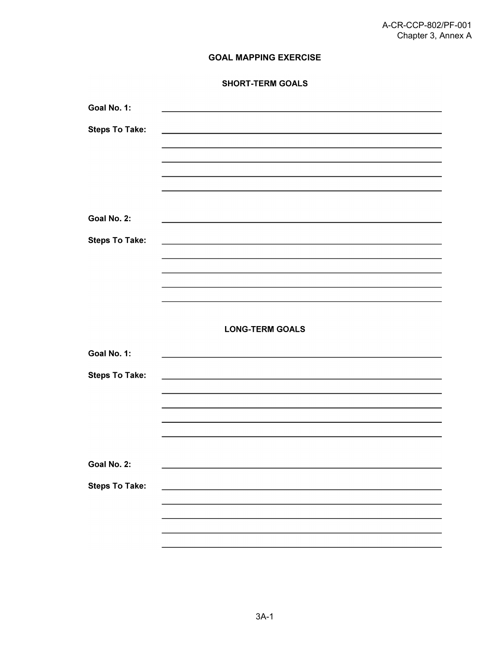# GOAL MAPPING EXERCISE

### **SHORT-TERM GOALS**

| Goal No. 1:           |                        |
|-----------------------|------------------------|
| <b>Steps To Take:</b> |                        |
|                       |                        |
|                       |                        |
|                       |                        |
| Goal No. 2:           |                        |
| <b>Steps To Take:</b> |                        |
|                       |                        |
|                       |                        |
|                       |                        |
|                       |                        |
|                       | <b>LONG-TERM GOALS</b> |
| Goal No. 1:           |                        |
| <b>Steps To Take:</b> |                        |
|                       |                        |
|                       |                        |
|                       |                        |
|                       |                        |
| Goal No. 2:           |                        |
| <b>Steps To Take:</b> |                        |
|                       |                        |
|                       |                        |
|                       |                        |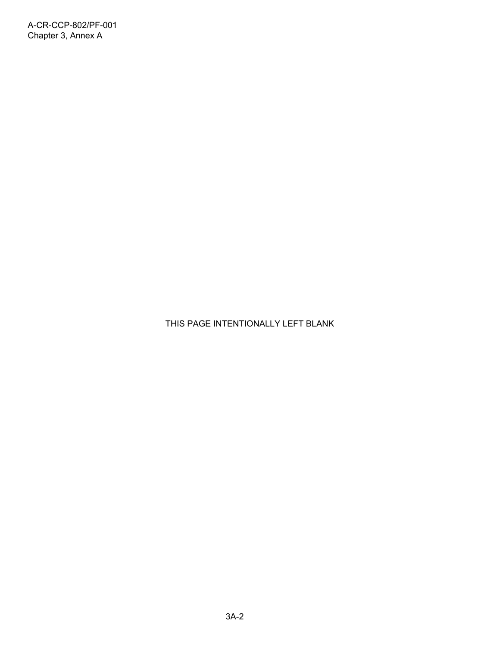THIS PAGE INTENTIONALLY LEFT BLANK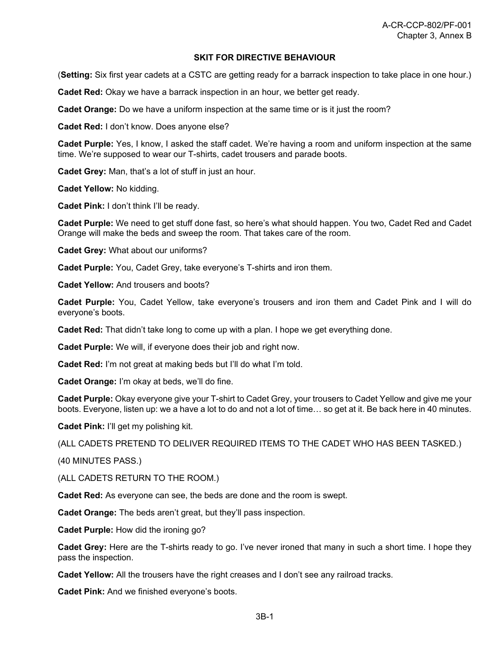## SKIT FOR DIRECTIVE BEHAVIOUR

(Setting: Six first year cadets at a CSTC are getting ready for a barrack inspection to take place in one hour.)

Cadet Red: Okay we have a barrack inspection in an hour, we better get ready.

Cadet Orange: Do we have a uniform inspection at the same time or is it just the room?

Cadet Red: I don't know. Does anyone else?

Cadet Purple: Yes, I know, I asked the staff cadet. We're having a room and uniform inspection at the same time. We're supposed to wear our T-shirts, cadet trousers and parade boots.

Cadet Grey: Man, that's a lot of stuff in just an hour.

Cadet Yellow: No kidding.

Cadet Pink: I don't think I'll be ready.

Cadet Purple: We need to get stuff done fast, so here's what should happen. You two, Cadet Red and Cadet Orange will make the beds and sweep the room. That takes care of the room.

Cadet Grey: What about our uniforms?

Cadet Purple: You, Cadet Grey, take everyone's T-shirts and iron them.

Cadet Yellow: And trousers and boots?

Cadet Purple: You, Cadet Yellow, take everyone's trousers and iron them and Cadet Pink and I will do everyone's boots.

Cadet Red: That didn't take long to come up with a plan. I hope we get everything done.

Cadet Purple: We will, if everyone does their job and right now.

Cadet Red: I'm not great at making beds but I'll do what I'm told.

Cadet Orange: I'm okay at beds, we'll do fine.

Cadet Purple: Okay everyone give your T-shirt to Cadet Grey, your trousers to Cadet Yellow and give me your boots. Everyone, listen up: we a have a lot to do and not a lot of time… so get at it. Be back here in 40 minutes.

Cadet Pink: I'll get my polishing kit.

(ALL CADETS PRETEND TO DELIVER REQUIRED ITEMS TO THE CADET WHO HAS BEEN TASKED.)

(40 MINUTES PASS.)

(ALL CADETS RETURN TO THE ROOM.)

Cadet Red: As everyone can see, the beds are done and the room is swept.

Cadet Orange: The beds aren't great, but they'll pass inspection.

Cadet Purple: How did the ironing go?

Cadet Grey: Here are the T-shirts ready to go. I've never ironed that many in such a short time. I hope they pass the inspection.

Cadet Yellow: All the trousers have the right creases and I don't see any railroad tracks.

Cadet Pink: And we finished everyone's boots.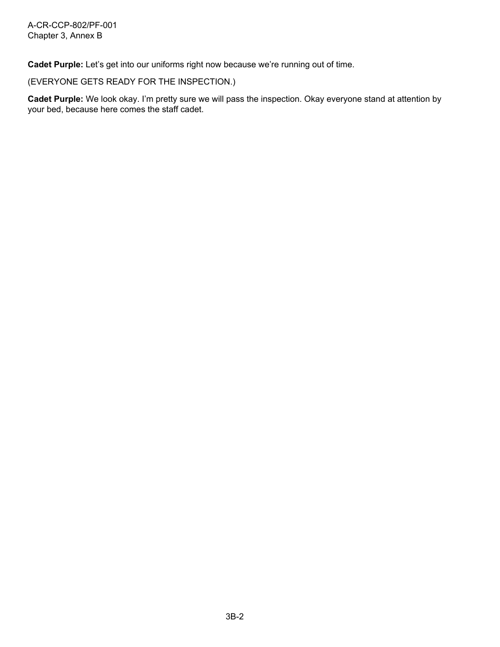Cadet Purple: Let's get into our uniforms right now because we're running out of time.

(EVERYONE GETS READY FOR THE INSPECTION.)

Cadet Purple: We look okay. I'm pretty sure we will pass the inspection. Okay everyone stand at attention by your bed, because here comes the staff cadet.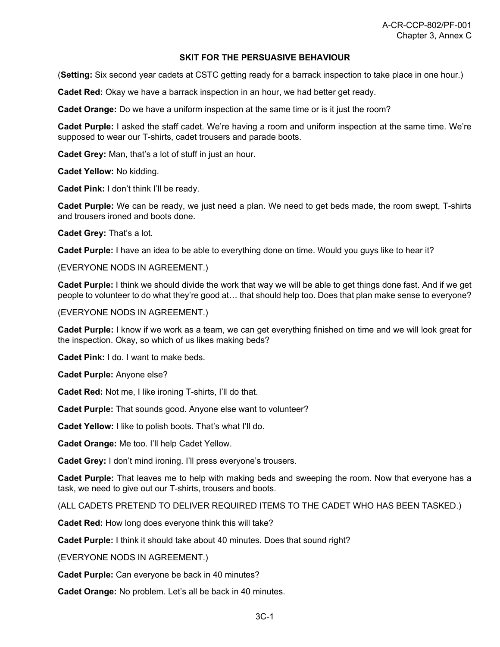## SKIT FOR THE PERSUASIVE BEHAVIOUR

(Setting: Six second year cadets at CSTC getting ready for a barrack inspection to take place in one hour.)

Cadet Red: Okay we have a barrack inspection in an hour, we had better get ready.

Cadet Orange: Do we have a uniform inspection at the same time or is it just the room?

Cadet Purple: I asked the staff cadet. We're having a room and uniform inspection at the same time. We're supposed to wear our T-shirts, cadet trousers and parade boots.

Cadet Grey: Man, that's a lot of stuff in just an hour.

Cadet Yellow: No kidding.

Cadet Pink: I don't think I'll be ready.

Cadet Purple: We can be ready, we just need a plan. We need to get beds made, the room swept, T-shirts and trousers ironed and boots done.

Cadet Grey: That's a lot.

Cadet Purple: I have an idea to be able to everything done on time. Would you guys like to hear it?

(EVERYONE NODS IN AGREEMENT.)

Cadet Purple: I think we should divide the work that way we will be able to get things done fast. And if we get people to volunteer to do what they're good at… that should help too. Does that plan make sense to everyone?

(EVERYONE NODS IN AGREEMENT.)

Cadet Purple: I know if we work as a team, we can get everything finished on time and we will look great for the inspection. Okay, so which of us likes making beds?

Cadet Pink: I do. I want to make beds.

Cadet Purple: Anyone else?

Cadet Red: Not me, I like ironing T-shirts, I'll do that.

Cadet Purple: That sounds good. Anyone else want to volunteer?

Cadet Yellow: I like to polish boots. That's what I'll do.

Cadet Orange: Me too. I'll help Cadet Yellow.

Cadet Grey: I don't mind ironing. I'll press everyone's trousers.

Cadet Purple: That leaves me to help with making beds and sweeping the room. Now that everyone has a task, we need to give out our T-shirts, trousers and boots.

(ALL CADETS PRETEND TO DELIVER REQUIRED ITEMS TO THE CADET WHO HAS BEEN TASKED.)

Cadet Red: How long does everyone think this will take?

Cadet Purple: I think it should take about 40 minutes. Does that sound right?

(EVERYONE NODS IN AGREEMENT.)

Cadet Purple: Can everyone be back in 40 minutes?

Cadet Orange: No problem. Let's all be back in 40 minutes.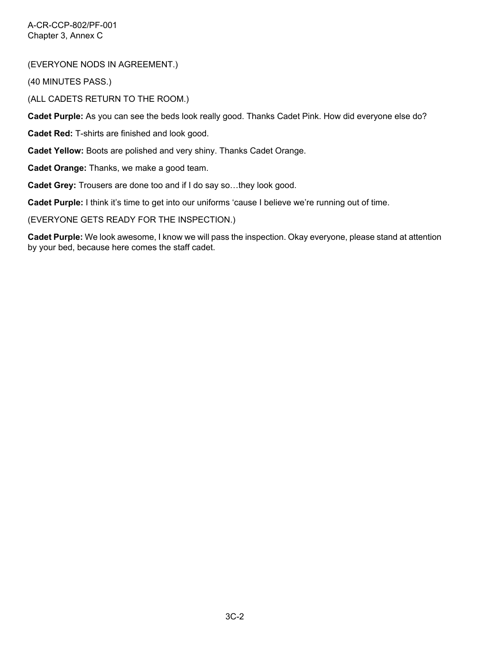# (EVERYONE NODS IN AGREEMENT.)

(40 MINUTES PASS.)

(ALL CADETS RETURN TO THE ROOM.)

Cadet Purple: As you can see the beds look really good. Thanks Cadet Pink. How did everyone else do?

Cadet Red: T-shirts are finished and look good.

Cadet Yellow: Boots are polished and very shiny. Thanks Cadet Orange.

Cadet Orange: Thanks, we make a good team.

Cadet Grey: Trousers are done too and if I do say so...they look good.

Cadet Purple: I think it's time to get into our uniforms 'cause I believe we're running out of time.

(EVERYONE GETS READY FOR THE INSPECTION.)

Cadet Purple: We look awesome, I know we will pass the inspection. Okay everyone, please stand at attention by your bed, because here comes the staff cadet.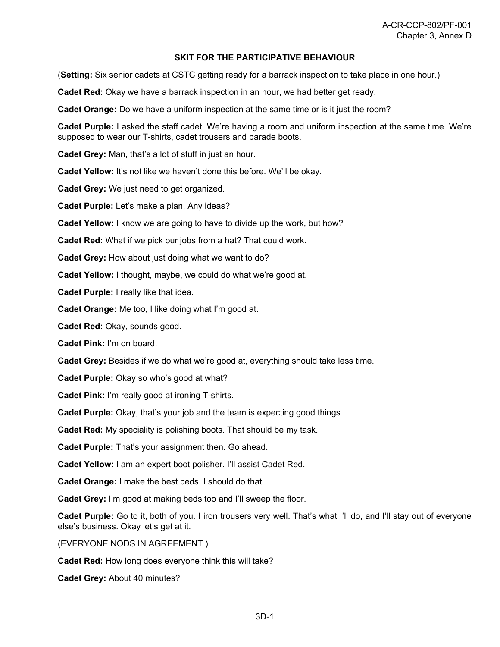# SKIT FOR THE PARTICIPATIVE BEHAVIOUR

(Setting: Six senior cadets at CSTC getting ready for a barrack inspection to take place in one hour.)

Cadet Red: Okay we have a barrack inspection in an hour, we had better get ready.

Cadet Orange: Do we have a uniform inspection at the same time or is it just the room?

Cadet Purple: I asked the staff cadet. We're having a room and uniform inspection at the same time. We're supposed to wear our T-shirts, cadet trousers and parade boots.

Cadet Grey: Man, that's a lot of stuff in just an hour.

Cadet Yellow: It's not like we haven't done this before. We'll be okay.

Cadet Grey: We just need to get organized.

Cadet Purple: Let's make a plan. Any ideas?

Cadet Yellow: I know we are going to have to divide up the work, but how?

Cadet Red: What if we pick our jobs from a hat? That could work.

Cadet Grey: How about just doing what we want to do?

Cadet Yellow: I thought, maybe, we could do what we're good at.

Cadet Purple: I really like that idea.

Cadet Orange: Me too, I like doing what I'm good at.

Cadet Red: Okay, sounds good.

Cadet Pink: I'm on board.

Cadet Grey: Besides if we do what we're good at, everything should take less time.

Cadet Purple: Okay so who's good at what?

Cadet Pink: I'm really good at ironing T-shirts.

Cadet Purple: Okay, that's your job and the team is expecting good things.

Cadet Red: My speciality is polishing boots. That should be my task.

Cadet Purple: That's your assignment then. Go ahead.

Cadet Yellow: I am an expert boot polisher. I'll assist Cadet Red.

Cadet Orange: I make the best beds. I should do that.

Cadet Grey: I'm good at making beds too and I'll sweep the floor.

Cadet Purple: Go to it, both of you. I iron trousers very well. That's what I'll do, and I'll stay out of everyone else's business. Okay let's get at it.

(EVERYONE NODS IN AGREEMENT.)

Cadet Red: How long does everyone think this will take?

Cadet Grey: About 40 minutes?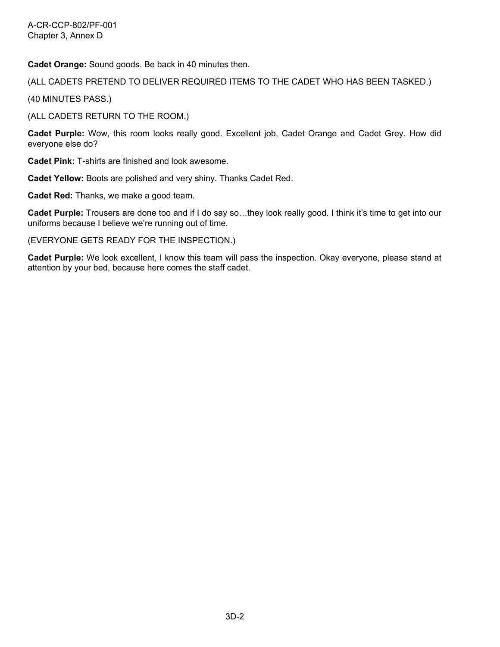Cadet Orange: Sound goods. Be back in 40 minutes then.

(ALL CADETS PRETEND TO DELIVER REQUIRED ITEMS TO THE CADET WHO HAS BEEN TASKED.)

(40 MINUTES PASS.)

(ALL CADETS RETURN TO THE ROOM.)

Cadet Purple: Wow, this room looks really good. Excellent job, Cadet Orange and Cadet Grey. How did everyone else do?

Cadet Pink: T-shirts are finished and look awesome.

Cadet Yellow: Boots are polished and very shiny. Thanks Cadet Red.

Cadet Red: Thanks, we make a good team.

Cadet Purple: Trousers are done too and if I do say so…they look really good. I think it's time to get into our uniforms because I believe we're running out of time.

(EVERYONE GETS READY FOR THE INSPECTION.)

Cadet Purple: We look excellent, I know this team will pass the inspection. Okay everyone, please stand at attention by your bed, because here comes the staff cadet.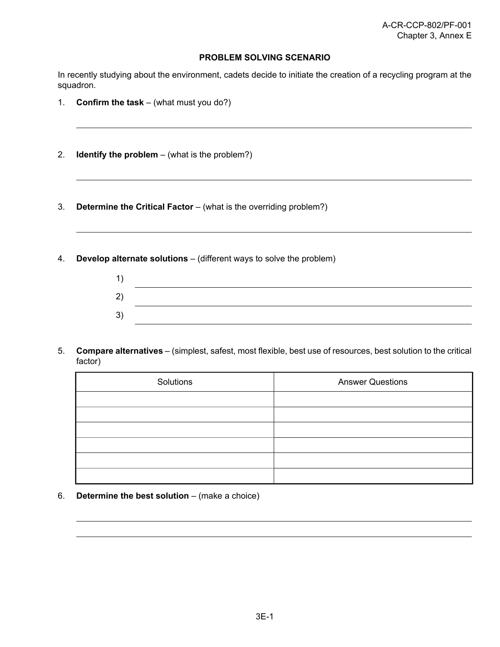### PROBLEM SOLVING SCENARIO

In recently studying about the environment, cadets decide to initiate the creation of a recycling program at the squadron.

- 1. **Confirm the task** (what must you do?)
- 2. **Identify the problem** (what is the problem?)
- 3. Determine the Critical Factor (what is the overriding problem?)
- 4. Develop alternate solutions (different ways to solve the problem)

| -      |  |
|--------|--|
| ົ<br>w |  |

5. Compare alternatives – (simplest, safest, most flexible, best use of resources, best solution to the critical factor)

| Solutions | <b>Answer Questions</b> |
|-----------|-------------------------|
|           |                         |
|           |                         |
|           |                         |
|           |                         |
|           |                         |
|           |                         |

6. Determine the best solution – (make a choice)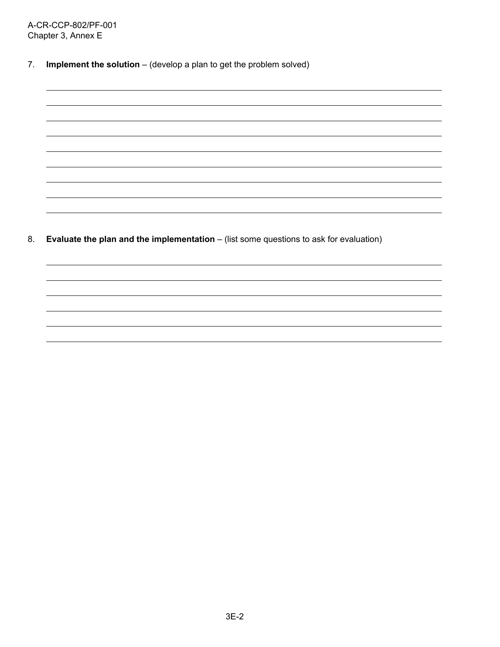A-CR-CCP-802/PF-001 Chapter 3, Annex E

7. **Implement the solution** – (develop a plan to get the problem solved)

8. Evaluate the plan and the implementation – (list some questions to ask for evaluation)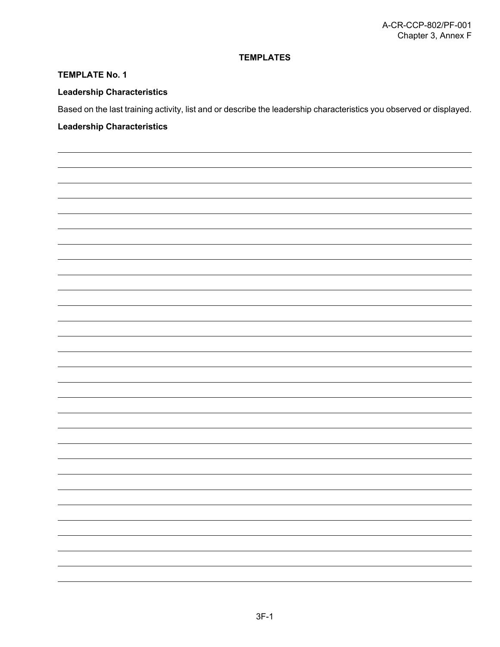## TEMPLATES

## TEMPLATE No. 1

# Leadership Characteristics

Based on the last training activity, list and or describe the leadership characteristics you observed or displayed.

# Leadership Characteristics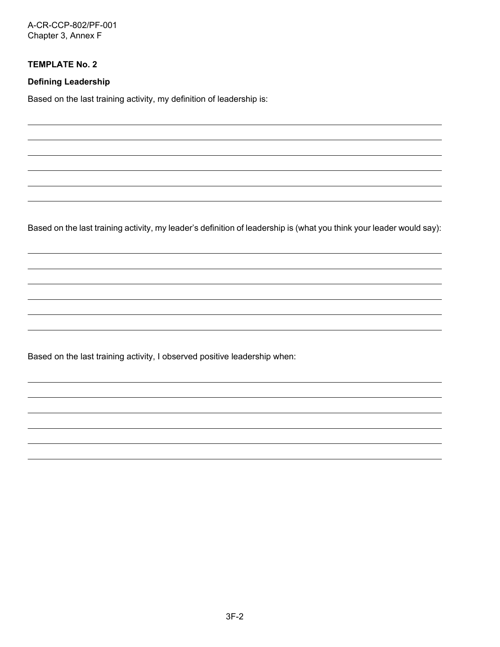A-CR-CCP-802/PF-001 Chapter 3, Annex F

# TEMPLATE No. 2

## Defining Leadership

Based on the last training activity, my definition of leadership is:

Based on the last training activity, my leader's definition of leadership is (what you think your leader would say):

Based on the last training activity, I observed positive leadership when: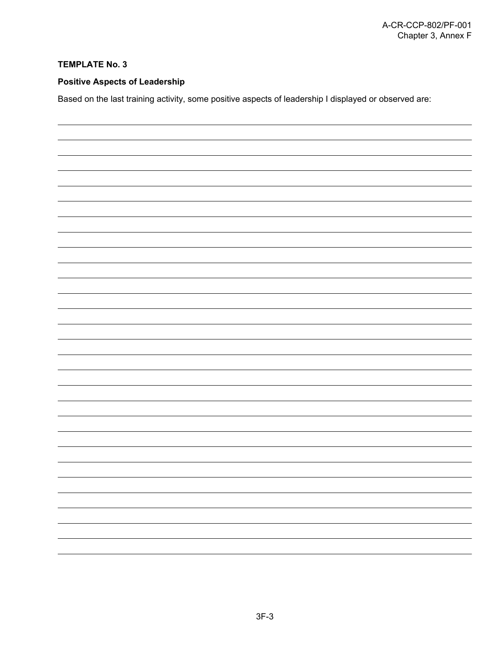# TEMPLATE No. 3

# Positive Aspects of Leadership

Based on the last training activity, some positive aspects of leadership I displayed or observed are: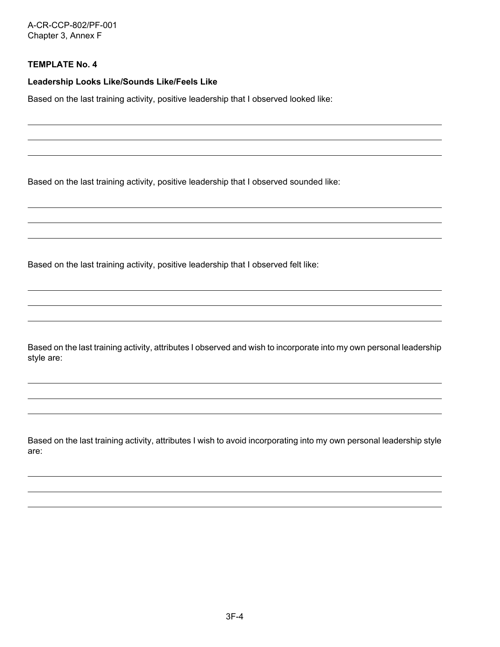A-CR-CCP-802/PF-001 Chapter 3, Annex F

# TEMPLATE No. 4

### Leadership Looks Like/Sounds Like/Feels Like

Based on the last training activity, positive leadership that I observed looked like:

Based on the last training activity, positive leadership that I observed sounded like:

Based on the last training activity, positive leadership that I observed felt like:

Based on the last training activity, attributes I observed and wish to incorporate into my own personal leadership style are:

Based on the last training activity, attributes I wish to avoid incorporating into my own personal leadership style are: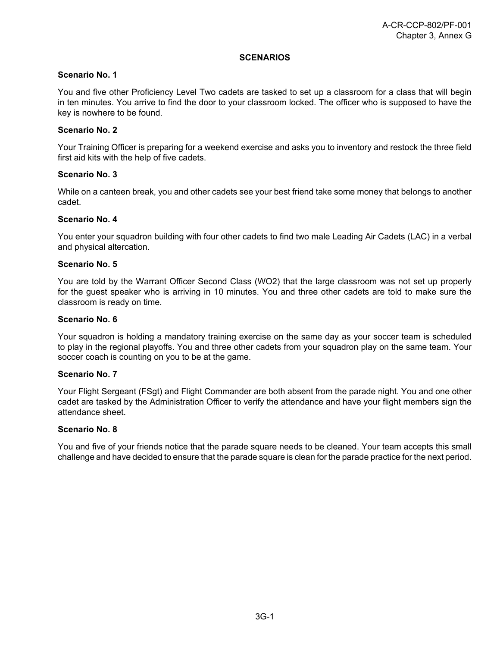## **SCENARIOS**

## Scenario No. 1

You and five other Proficiency Level Two cadets are tasked to set up a classroom for a class that will begin in ten minutes. You arrive to find the door to your classroom locked. The officer who is supposed to have the key is nowhere to be found.

### Scenario No. 2

Your Training Officer is preparing for a weekend exercise and asks you to inventory and restock the three field first aid kits with the help of five cadets.

### Scenario No. 3

While on a canteen break, you and other cadets see your best friend take some money that belongs to another cadet.

## Scenario No. 4

You enter your squadron building with four other cadets to find two male Leading Air Cadets (LAC) in a verbal and physical altercation.

### Scenario No. 5

You are told by the Warrant Officer Second Class (WO2) that the large classroom was not set up properly for the guest speaker who is arriving in 10 minutes. You and three other cadets are told to make sure the classroom is ready on time.

### Scenario No. 6

Your squadron is holding a mandatory training exercise on the same day as your soccer team is scheduled to play in the regional playoffs. You and three other cadets from your squadron play on the same team. Your soccer coach is counting on you to be at the game.

### Scenario No. 7

Your Flight Sergeant (FSgt) and Flight Commander are both absent from the parade night. You and one other cadet are tasked by the Administration Officer to verify the attendance and have your flight members sign the attendance sheet.

### Scenario No. 8

You and five of your friends notice that the parade square needs to be cleaned. Your team accepts this small challenge and have decided to ensure that the parade square is clean for the parade practice for the next period.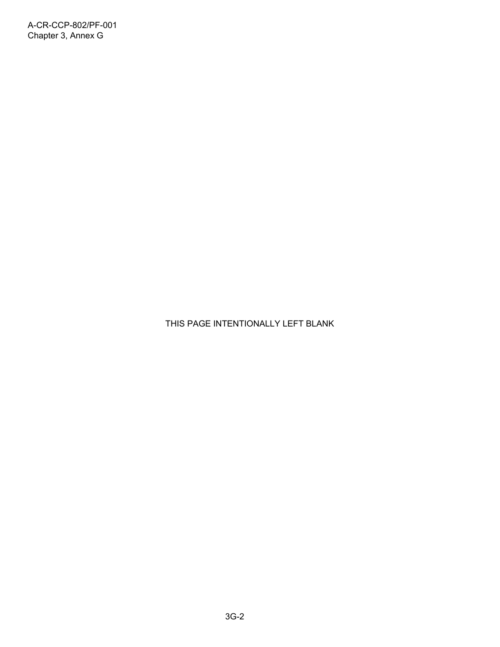THIS PAGE INTENTIONALLY LEFT BLANK